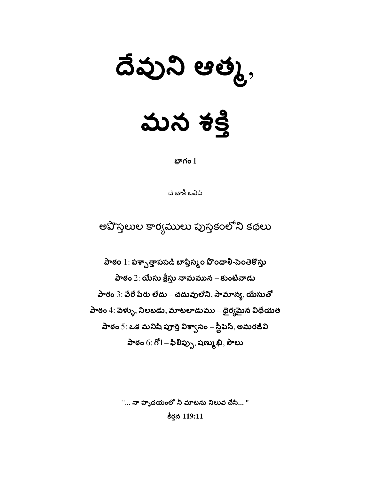# $33390000000,$

బాగం  $\overline{\mathrm{I}}$ 

చే జాకీ ఒఎచ్

అవొస్తలుల కార్యములు పుస్తకంలోని కథలు

పాఠం 1: పశ్చాత్తాపపడి బాప్తిస్మం పొందాలి-పెంతెకొస్తు పాఠం  $2$ : యేసు క్రీస్తు నామమున – కుంటివాడు పాఠం  $3$ : పేరే పేరు లేదు – చదువులేని, సామాన్య, యేసుతో పాఠం  $4$ : వెళ్ళు, నిలబడు, మాటలాడుము – ధైర్యమైన విధేయత పాఠం 5: ఒక మనిషి పూర్తి విశ్వాసం – స్టీఫెస్, అమరజీవి పాఠం  $6: 6!-\text{20} \omega_{\text{D}}$ , షణ్ము ఖి, సౌలు

"... నా హృదయంలో నీ మాటను నిలువ చేసి... "

కీర్తన 119:11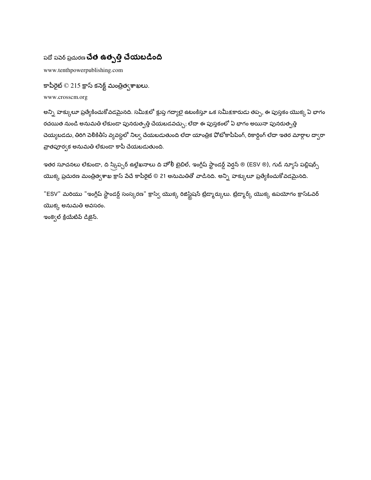#### పదో పపెర్ ప్రచురణ **చేత ఉత్పత్తి చేయబడింది**

www.tenthpowerpublishing.com

కాపీరైట్  $\odot$  215 క్రాస్ కనెక్ట్ మంత్రిత్వశాఖలు.

www.crosscm.org

అన్ని హక్కులూ ప్రత్యేకించుకోవడమైనది. సమీ<u>క</u>లో క్లుప్త గద్యాలై ఉటంకిస్తూ ఒక సమీక్షకారుడు తప్ప, ఈ పుస్తకం యొక్క ఏ భాగం రచయిత నుండి అనుమతి లేకుండా పునరుత్పత్తి చేయబడవచ్చు; లేదా ఈ పుస్తకంలో ఏ భాగం అయినా పునరుత్పత్తి చెయ్యబడదు, తిరిగి పెలికితీసే వ్యవస్థలో నిల్వ చేయబడుతుంది లేదా యాంత్రిక ఫోటోకాపీపింగ్, రికార్డింగ్ లేదా ఇతర మార్గాల ద్వారా వ్రాతపూర్వక అనుమతి లేకుండా కాపీ చేయబడుతుంది.

ఇతర సూచనలు లేకుండా, ది స్క్రిప్చర్ ఉల్లేఖనాలు ది హోలీ బైబిల్, ఇంగ్లీష్ స్టాండర్డ్ పెర్షన్ ® (ESV ®), గుడ్ న్యూస్ పబ్లిషర్స్ యొక్క ప్రచురణ మంత్రిత్వశాఖ క్రాస్ పేచే కాపీరైట్ © 21 అనుమతితో వాడినది. అన్ని హక్కులూ ప్రత్యేకించుకోవడమైనది.

"ESV" మరియు "ఇంగ్లీష్ స్టాండర్డ్ సంస్కరణ" క్రాస్వీ యొక్క రిజిస్ట్రేషన్ ట్రేడ్మార్కులు. ట్రేడ్మార్క్ యొక్క ఉపయోగం క్రాస్*ఓ*వర్ యొక్క అనుమతి అవసరం.

ఇంక్వెల్ క్రియేటివ్ డిజైన్.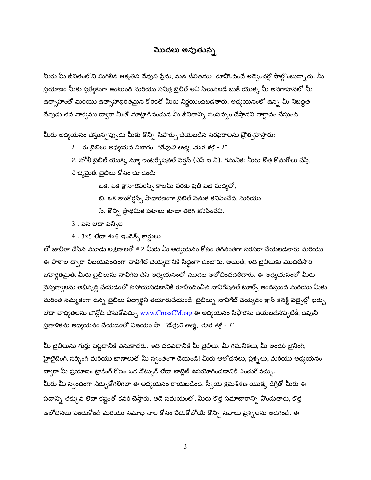#### మొదలు అవుతున్న

మీరు మీ జీవితంలోని మిగిలిన ఆకృతిని దేవుని ప్రేమ, మన జీవితము రూపొందించే అడ్వెంచర్లో పాల్గొంటున్నారు. మీ ప్రయాణం మీకు ప్రత్యేకంగా ఉంటుంది మరియు పవిత్ర టైబిల్ అని పిలువటడే బుక్ యొక్క మీ అవగాహనలో మీ ఉత్సాహంతో మరియు ఉత్సాహభరితమైన కోరికతో మీరు నిర్ణయించబడతారు. అధ్యయనంలో ఉన్న మీ నిబద్ధత దేవుడు తన వాక్యము ద్వారా మీతో మాట్లాడినందున మీ జీవితాన్ని సంపన్నం చేస్తానని వాగ్దానం చేస్తుంది.

మీరు అధ్యయనం చేస్తున్నప్పుడు మీకు కొన్ని సిఫార్సు చేయబడిన సరఫరాలను ప్రోత్సహిస్తారు:

1. ఈ బైబిలు అధ్యయన విభాగం: *"దేవుని ఆత్మ, మన <del>శ</del>క్తి - 1"* 

2. హోలీ టైబిల్ యొక్క న్యూ ఇంటర్సేషనల్ పెర్షన్ (ఎస్ ఐ వి). గమనిక: మీరు కొత్త కొనుగోలు చేస్తే,

సాధ్యమైతే, బైబిలు కోసం చూడండి:

ఒక. ఒక క్రాస్-రిఫరెన్స్ కాలమ్ వరకు ప్రతి పేజీ మధ్యలో,

- బి. ఒక కాంకోర్డన్స్ సాధారణంగా బైబిల్ పెనుక కనిపించేది, మరియు
- సి. కొన్ని ప్రాథమిక పటాలు కూడా తిరిగి కనిపించేవి.
- 3 . పెన్ లేదా పెన్సిల్
- 4 . 3x5 లేదా 4x6 ఇండెక్స్ కార్డులు

లో జాబితా చేసిన మూడు లక్షణాలతో # 2 మీరు మీ అధ్యయనం కోసం తగినంతగా సరఫరా చేయబడతారు మరియు ఈ పాఠాల ద్వారా విజయవంతంగా నావిగేట్ చెయ్యడానికి సిద్ధంగా ఉంటారు. అయితే, ఇది బైబిలుకు మొదటిసారి బహిర్గతమైతే, మీరు బైబిలును నావిగేట్ చేసే అధ్యయనంలో మొదట ఆలోచించదలిచారు. ఈ అధ్యయనంలో మీరు నైపుణ్యాలను అభివృద్ధి చేయడంలో సహాయపడటానికి రూపొందించిన నావిగేషనల్ టూల్స్ అందిస్తుంది మరియు మీకు మరింత నమ్మకంగా ఉన్న బైబిలు విద్యార్థిని తయారుచేయండి. బైబిల్ను నావిగేట్ చెయ్యడం క్రాస్ కనెక్ట్ వెబ్సైట్లో ఖర్చు లేదా బాధ్యతలను డౌన్లోడ్ చేసుకోవచ్చు <u>www.CrossCM.or</u>g ఈ అధ్యయనం సిఫారసు చేయబడినప్పటికీ, దేవుని ప్రణాళికను అధ్యయనం చేయడంలో విజయం సా *""దేవుని ఆత్మ, <i>మన <del>శ</del>క్తి - 1"* 

మీ బైబిలును గుర్తు పెట్టడానికి వెనుకాడరు. ఇది చదవడానికి మీ బైబిలు. మీ గమనికలు, మీ అండర్ లైనింగ్, హైలైటింగ్, సర్కింగ్ మరియు బాణాలుతో మీ స్వంతంగా చేయండి! మీరు ఆలోచనలు, ప్రశ్నలు, మరియు అధ్యయనం ద్వారా మీ ప్రయాణం ట్రాకింగ్ కోసం ఒక నోట్బుక్ లేదా టాబ్లెట్ ఉపయోగించడానికి ఎంచుకోవచ్చు. మీరు మీ స్వంతంగా సేర్చుకోగలిగేలా ఈ అధ్యయనం రాయబడింది. స్వీయ క్రమశిక్షణ యొక్క డిగ్రీతో మీరు ఈ పదాన్ని తక్కువ లేదా కష్టంతో కవర్ చేస్తారు. అదే సమయంలో, మీరు కొత్త సమాచారాన్ని వొందుతారు, కొత్త ఆలోచనలు పంచుకోండి మరియు సమాధానాల కోసం పేడుకోటోయే కొన్ని సవాలు ప్రశ్నలను అడగండి. ఈ

 $\mathfrak{Z}$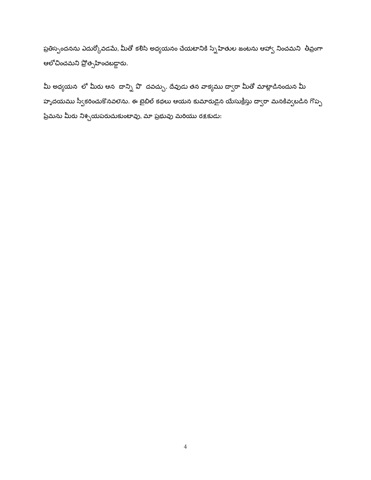ప్రతిస్పందనను ఎదుర్కోవడమే, మీతో కలిసి అధ్యయనం చేయటానికి స్నేహితుల జంటను ఆహ్వా నించమని తీవ్రంగా ఆలోచించమని ప్రోత్సహించబడ్డారు.

మీ అధ్యయన లో మీరు ఆన దాన్ని పొ దవచ్చు. దేవుడు తన వాక్యము ద్వారా మీతో మాట్లాడినందున మీ హృదయము స్వీకరించుకొనవలెను. ఈ బైబిల్ కథలు ఆయన కుమారుడైన యేసుక్రీస్తు ద్వారా మనకివ్వబడిన గొప్ప ప్రేమను మీరు నిశ్చయపరుచుకుంటావు, మా ప్రభువు మరియు రక్షకుడు: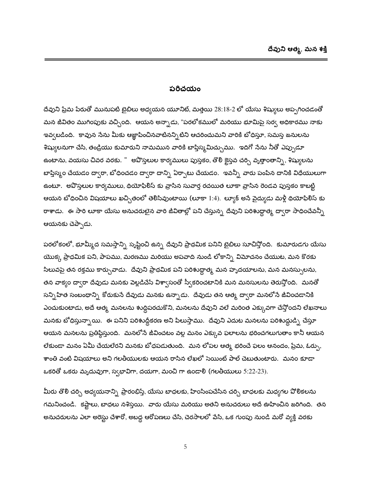#### పరిచయం

దేవుని ప్రేమ పేరుతో మునుపటి బైబిలు అధ్యయన యూనిట్, మత్తయి 28:18-2 లో యేసు శిష్యులు అప్పగించడంతో మన జీవితం ముగింపుకు వచ్చింది. ఆయన అన్నాడు, "పరలోకములో మరియు భూమిపై సర్వ అధికారము నాకు ఇవ్వబడింది. కావున సేను మీకు ఆజ్ఞాపించినవాటినన్నిటిని ఆచరించుమని వారికి బోధిస్తూ, సమస్త జనులను శిష్యులనుగా చేసి, తండ్రియు కుమారుని నామమున వారికి బాప్తిస్మమిచ్చుము. ఇదిగో నేను నీతో ఎప్పుడూ ఉంటాను, వయసు చివర వరకు. " అపొస్తలుల కార్యములు పుస్తకం, తొలి కైస్తవ చర్చి వృత్తాంతాన్ని, శిష్యులను బాప్తిస్మం చేయడం ద్వారా, బోధించడం ద్వారా దాన్ని ఏర్పాటు చేయడం. ఇవన్నీ వారు పంపిన దానికి విధేయులుగా ఉంటూ. అవొస్తలుల కార్యములు, థియోఫిలీస్ కు వ్రాసిన సువార్త రచయిత లూకా వ్రాసిన రెండవ పుస్తకం కాబట్టి ఆయన బోధించిన విషయాలు ఖచ్చితంలో తెలిసివుంటాయి (లూకా 1:4). ల్యూక్ అనే వైద్యుడు మళ్లీ థియోఫిలిస్ కు రాశాడు. ఈ సారి లూకా యేసు అనుచరులైన వారి జీవితాల్లో పని చేస్తున్న దేవుని పరిశుద్ధాత్మ ద్వారా సాధించేవన్నీ ఆయనకు చెప్పాడు.

పరలోకంలో, భూమ్మీద సమస్తాన్ని సృష్టించి ఉన్న దేవుని ప్రాథమిక పనిని బైబిలు సూచిస్తోంది. కుమారుడగు యేసు యొక్క ప్రాధమిక పని, పాపము, మరణము మరియు అపవాది నుండి లోకాన్ని విమోచనం చేయుట, మన కొరకు సిలువపై తన రక్తము కార్చువాడు. దేవుని ప్రాథమిక పని పరిశుద్ధాత్మ మన హృదయాలను, మన మనస్సులను, తన వాక్యం ద్వారా దేవుడు మనకు పెల్లడిచేసే విశ్వాసంతో స్వీకరించటానికి మన మనసులను తెరుస్తోంది. మనతో సన్నిహిత సంబంధాన్ని కోరుకుసే దేవుడు మనకు ఉన్నాడు. దేవుడు తన ఆత్మ ద్వారా మనలోసే జీవించడానికి ఎంచుకుంటాడు, అదే ఆత్మ మనలను శుద్ధిపరచుకొని, మనలను దేవుని వలే మరింత ఎక్కువగా చేస్తోందని లేఖనాలు మనకు బోధిస్తున్నాయి. ఈ పనిని పరిశుద్ధీకరణ అని పిలుస్తాము. దేవుని ఎదుట మనలను పరిశుద్ధుడ్ని చేస్తూ ఆయన మనలను ప్రతిప్ఠిస్తుంది. మనలోనే జీవించటం వల్ల మనం ఎక్కువ ఫలాలను భరించగలుగుతాం కానీ ఆయన లేకుండా మనం ఏమీ చేయలేరని మనకు బోధపడుతుంది. మన లోపల ఆత్మ భరించే ఫలం ఆనందం, ప్రేమ, ఓర్పు, శాంతి వంటి విషయాలు అని గలతీయులకు ఆయన రాసిన లేఖలో సెయింట్ పాల్ చెబుతుంటారు. మనం కూడా ఒకరితో ఒకరు మృదువుగా, స్వభావిగా, దయగా, మంచి గా ఉండాలి (గలతీయులు 5:22-23).

మీరు తొలి చర్చి అధ్యయనాన్ని ప్రారంభిస్తే, యేసు బాధలకు, హింసింపచేసిన చర్చి బాధలకు మధ్యగల పోలికలను గమనించండి. కష్టాలు, బాధలు నశిస్తయి. వారు యేసు మరియు అతని అనుచరులు అదే ఊహించిన జరిగింది. తన అనుచరులను ఎలా అరెస్టు చేశారో, అబద్ద ఆరోపణలు చేసి, చెరసాలలో వేసి, ఒక గుంపు నుండి మరో వ్<mark>వ</mark>క్తి వరకు

5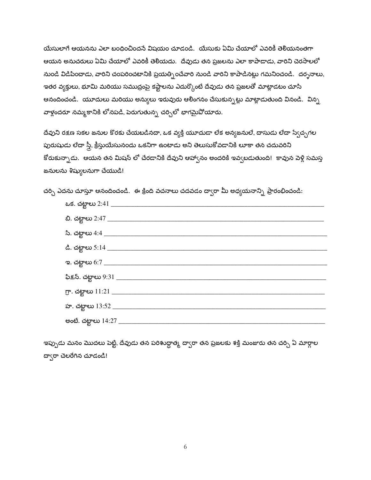యేసులాగే ఆయనను ఎలా బంధించిందనే విషయం చూడండి. యేసుకు ఏమి చేయాలో ఎవరికీ తెలియనంతగా ఆయన అనుచరులు ఏమి చేయాలో ఎవరికీ తెలియదు. దేవుడు తన ప్రజలను ఎలా కాపాడాడు, వారిని చెరసాలలో నుండి విడిపించాడు, వారిని చంపరించటానికి ప్రయత్నించేవారి నుండి వారిని కాపాడినట్లు గమనించండి. దర్ననాలు, ఇతర వ్యక్తులు, భూమి మరియు సముద్రంపై కష్టాలను ఎదుర్కొంటే దేవుడు తన ప్రజలతో మాట్లాడటం చూసి ఆనందించండి. యూదులు మరియు అన్యులు ఇరువురు ఆలింగనం చేసుకున్నట్లు మాట్లాడుతుంది వినండి. విన్న వాళ్లందరూ నమ్మకానికి లోనపడి, పెరుగుతున్న చర్చిలో భాగమైవోయారు.

దేవుని రక్షణ సకల జనుల కొరకు చేయబడినదా, ఒక వ్యక్తి యూదుడా లేక అన్యజనులే, దాసుడు లేదా స్వేచ్ఛగల పురుషుడు లేదా స్త్రీ, క్రీస్తుయేసునందు ఒకనిగా ఉంటాడు అని తెలుసుకోవడానికి లూకా తన చదువరిని కోరుకున్నాడు. ఆయన తన మిషన్ లో చేరడానికి దేవుని ఆహా్నం అందరికి ఇవ్వబడుతుంది! కావున పెళ్లి సమస్త జనులను శిష్యులనుగా చేయుడి!

చర్చి ఎదను చూస్తూ ఆనందించండి. ఈ క్రింది వచనాలు చదవడం ద్వారా మీ అధ్యయనాన్ని ప్రారంభించండి:

ఇప్పుడు మనం మొదలు పెట్టి, దేవుడు తన పరిశుద్ధాత్మ దా్ారా తన ప్రజలకు శక్తి మంజురు తన చర్చి ఏ మార్గాల దా్ారా చెలరేగిన చూడండి!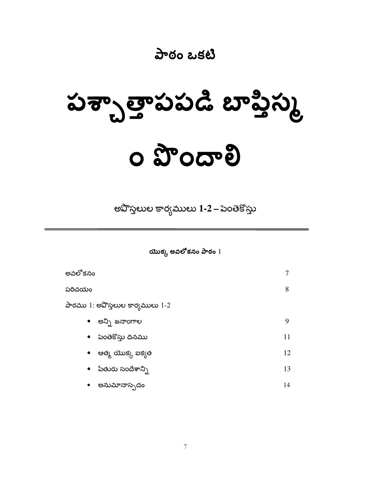#### పాఠం ఒకటి

# పశ్చాత్తాపపడి బాప్తిస్క o Toopa

అవొస్తలుల కార్యములు 1-2 – పెంతెకొస్తు

యొక్క అవలోకనం పాఠం  $1$ 

| అవలోకనం                          |    |
|----------------------------------|----|
| పరిచయం                           | 8  |
| పాఠము 1: అవొస్తలుల కార్యములు 1-2 |    |
| అన్ని జనాంగాల<br>$\bullet$       | 9  |
| • పెంతెకొస్తు దినము              | 11 |
| • ಆತ್ಮು ಯುಕ್ಗು ಐಕ್ಸತ             | 12 |
| • పేతురు సందేశాన్ని              | 13 |
| అనుమానాస్పదం<br>$\bullet$        | 14 |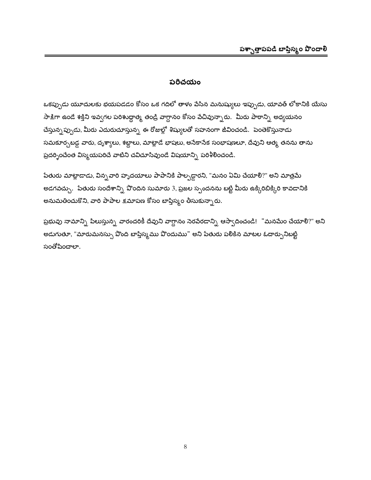#### పరిచయం

ఒకప్పుడు యూదులకు భయపడడం కోసం ఒక గదిలో తాళం పేసిన మనుష్యులు ఇప్పుడు, యావత్ లోకానికి యేసు సాక్షిగా ఉండే శక్తిని ఇవ్వగల పరిశుద్ధాత్మ తండ్రి వాగ్దానం కోసం పేచివున్నారు. మీరు పాఠాన్ని అధ్యయనం చేస్తున్నప్పుడు, మీరు ఎదురుచూస్తున్న ఈ రోజుల్లో శిష్యులతో సహనంగా జీవించండి. పెంతెకొస్తునాడు సమకూర్చబడ్డ వారు, దృశ్యాలు, శబ్దాలు, మాట్లాడే భాషలు, అసేకాసేక సంభాషణలూ, దేవుని ఆత్మ, తనను తాను ప్రదర్భించేంత విస్మయపరిచే వాటిని చవిచూసివుండే విషయాన్ని పరిశీలించండి.

పేతురు మాట్లాడాడు, విన్నవారి హృదయాలు పాపానికి పాల్పడ్డారని, "మనం ఏమి చేయాలి?" అని మాత్రమే అడగవచ్చు. పేతురు సందేశాన్ని పొందిన సుమారు 3, ప్రజల స్పందనను బట్టి మీరు ఉక్కిరిబిక్కిరి కావడానికి అనుమతించుకొని, వారి పాపాల క్షమాపణ కోసం బాప్తిస్మం తీసుకున్నారు.

ప్రభువు నామాన్ని పిలుస్తున్న వారందరికీ దేవుని వాగ్దానం నెరపేరడాన్ని ఆస్వాదించండి! "మనమేం చేయాలి?" అని అడుగుతూ, "మారుమనస్సు వొంది బాప్తిస్మము వొందుము" అని పేతురు పలికిన మాటల ఓదార్పుని<mark>బట్</mark>టి సంతోషించాలా.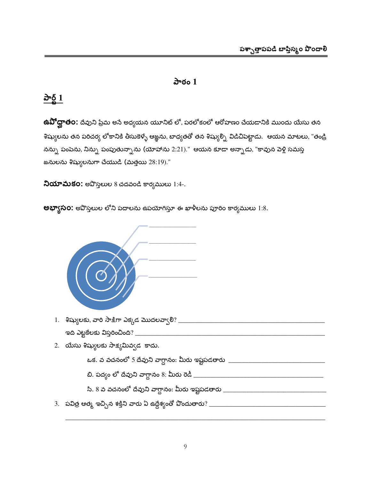#### పాఠం $1$

#### <u>పార్ట్ 1</u>

**ఉవోద్ఘాత౦:** దేవుని ప్రేమ అనే అధ్యయన యూనిట్ లో, పరలోకంలో ఆరోహణం చేయడానికి ముందు యేసు తన శిష్యులను తన పరిచర్య లోకానికి తీసుకెళ్ళే ఆజ్ఞను, బాధ్యతతో తన శిష్యుల్ని విడిచిపెట్టాడు. ఆయన మాటలు, "తండ్రి నన్ను పంపెను, నిన్ను పంపుతున్నాను (యోహాను 2:21)." ఆయన కూడా అన్నాడు, "కావున పెళ్లి సమస్త జనులను శిష్యులనుగా చేయుడి (మత్తయి 28:19)."

 $\lambda$ యామకం: అవొస్తలుల 8 చదవండి కార్యములు 1:4-.

**లభ్వాసం:** అపొస్తలుల లోని పదాలను ఉపయోగిస్తూ ఈ ఖాళీలను పూరిం కార్యములు 1:8.



- 
- 2. యేసు శిష్యులకు సాక్షమివ్వడ కాదు.

ఒక. వ వచనంలో 5 దేవుని వాగ్దానం: మీరు ఇష్టపడతారు \_\_\_\_\_\_\_\_\_\_\_\_\_\_\_\_\_\_\_\_\_\_\_\_\_\_\_\_\_\_\_\_\_

సి. 8 వ వచనంలో దేవుని వాగ్దానం: మీరు ఇష్టపడతారు \_\_\_\_\_\_\_\_\_\_\_\_\_\_\_\_\_\_\_\_\_\_\_\_\_\_\_\_\_\_\_\_\_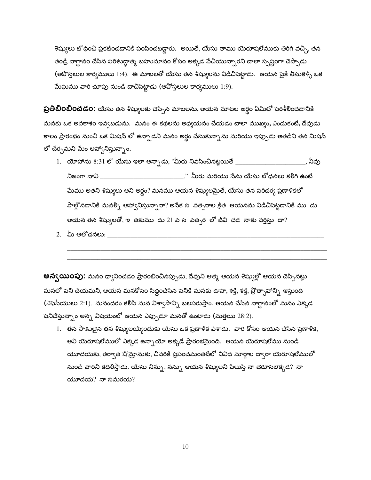శిష్యులు టోధించి ప్రకటించడానికి పంపించబడ్డారు. అయితే, యేసు తాము యెరూషలేముకు తిరిగి వచ్చి, తన తండ్రి వాగ్దానం చేసిన పరిశుద్ధాత్మ బహుమానం కోసం అక్కడ పేచియున్నారని చాలా స్పష్టంగా చెప్పాడు (అపొస్తలుల కార్యములు 1:4). ఈ మాటలతో యేసు తన శిష్యులను విడిచిపెట్టాడు. ఆయన పైకి తీసుకెళ్ళి ఒక మేఘము వారి చూపు నుండి దాచిపెట్టాడు (అవోస్తలుల కార్యములు 1:9).

**ప్రతిబింబించడం:** యేసు తన శిష్యులకు చెప్పిన మాటలను, ఆయన మాటల అర్థం ఏమిటో పరిశీలించడానికి మనకు ఒక అవకాశం ఇవ్వబడును. మనం ఈ కథలను అధ్యయనం చేయడం చాలా ముఖ్యం, ఎందుకంటే, దేవుడు కాలం ప్రారంభం నుంచి ఒక మిషన్ లో ఉన్నాడని మనం అర్థం చేసుకున్నాను మరియు ఇప్పుడు అతడిని తన మిషన్ లో చేర్చమని మేం ఆహ్వానిస్తున్నాం.

- 1.  $\alpha$ యోహాను  $8:31$  లో యేసు ఇలా అన్సాడు, "మీరు నివసించినట్లయితే \_\_\_\_\_\_\_\_\_\_\_\_\_\_\_\_ . నీవు నిజంగా నావి \_\_\_\_\_\_\_\_\_\_\_\_\_\_\_\_\_\_\_\_\_\_\_\_\_\_\_\_\_." మీరు మరియు సేను యేసు బోధనలు కలిగి ఉంటే మేము అతని శిష్యులు అని అర్థం? మనము ఆయన శిష్యులమైతే, యేసు తన పరిచర్య ప్రణాళికలో పాల్గొనడానికి మనల్ని ఆహ్వానిస్తున్నారా? అసేక సహవత్సరాల క్రిత ఆయనను విడిచిపెట్టడానికి ముహదు ఆయన తన శిష్యులతో, ఇ తకుము దు 21 వ స వత<sub>్న</sub>ర లో జీవి చడ నాకు వర్తిస్తు దా?
- 2. మీ ఆలోచనలు:

**అన్వయి౦పు:** మనం ధ్యానించడం ప్రారంభించినప్పుడు, దేవుని ఆత్మ ఆయన శిష్యుల్లో ఆయన చెప్పినట్లు మనలో పని చేయమని, ఆయన మనకోసం సిద్దంచేసిన పనికి మనకు ఊహ, శక్తి, శక్తి, ప్రోత్సాహాన్ని ఇస్తుంది (ఎఫెసీయులు 2:1). మనందరం కలిసి మన విశ్వాసాన్ని బలపరుస్తాం. ఆయన చేసిన వాగ్దానంలో మనం ఎక్కడ పనిచేస్తున్నాం అన్న విషయంలో ఆయన ఎప్పుడూ మనతో ఉంటాడు (మత్తయి  $28:2$ ).

1. తన సాక్షులైన తన శిష్యులయ్యేందుకు యేసు ఒక ప్రణాళిక పేశాడు. వారి కోసం ఆయన చేసిన ప్రణాళిక, అవి యెరూషలేములో ఎక్కడ ఉన్నాయో అక్కడే ప్రారంభమైంది. ఆయన యెరూషలేము నుండి యూదయకు, తర్వాత షోమ్రానుకు, చివరికి ప్రపంచమంతటిలో వివిధ మార్గాల ద్వారా యెరూషలేములో నుండి వారిని కదిలిస్తాడు. యేసు నిన్ను, నన్ను ఆయన శిష్యులని పిలుస్తే నా జెరూసలెక్కడ? నా  $\alpha$   $\alpha$   $\alpha$   $\beta$   $\alpha$   $\beta$   $\alpha$   $\alpha$   $\beta$   $\alpha$   $\beta$   $\alpha$   $\beta$   $\alpha$   $\beta$   $\alpha$   $\beta$   $\alpha$   $\beta$   $\beta$   $\alpha$   $\beta$   $\beta$   $\alpha$   $\beta$   $\beta$   $\alpha$   $\beta$   $\beta$   $\alpha$   $\beta$   $\beta$   $\alpha$   $\beta$   $\beta$   $\alpha$   $\beta$   $\beta$   $\alpha$   $\beta$   $\beta$   $\alpha$   $\beta$   $\beta$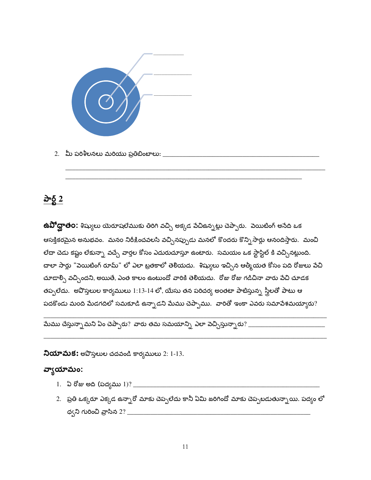

#### <u>పార్ట్ 2</u>

ఉ**వో ద్ఘాత౦:** శిష్యులు యెరూషలేముకు తిరిగి వచ్చి అక్కడ పేచిఉన్నట్లు చెప్పారు. పెయిటింగ్ అసేది ఒక ఆసక్తికరమైన అనుభవం. మనం నిరీక్షించవలసి వచ్చినప్పుడు మనలో కొందరు కొన్ని సార్లు ఆనందిస్తారు. మంచి లేదా చెడు కష్టం లేకున్నా వచ్చే వార్తల కోసం ఎదురుచూస్తూ ఉంటారు. సమయం ఒక స్టాస్టిల్ కి వచ్చినట్లుంది. చాలా సార్లు "వెయిటింగ్ రూమ్" లో ఎలా బ్రతకాలో తెలియదు. శిష్యులు ఇచ్చిన ఆత్మీయత కోసం పది రోజులు పేచి చూడాల్సి వచ్చిందని, అయితే, ఎంత కాలం ఉంటుందో వారికి తెలియదు. రోజు రోజు గడిచినా వారు పేచి చూడక తప్పలేదు. అవొస్తలుల కార్యములు 1:13-14 లో, యేసు తన పరిచర్య అంతటా పాటిస్తున్న స్త్రీలతో పాటు ఆ పదకొండు మంది మేడగదిలో సమకూడి ఉన్నాడని మేము చెప్పాము. వారితో ఇంకా ఎవరు సమాపేశమయ్యారు?

మేము చేస్తున్నామని ఏం చెప్పారు? వారు తమ సమయాన్ని ఎలా వెచ్చిస్తున్నారు? \_\_\_\_\_\_\_\_\_\_\_\_\_\_\_\_\_\_\_\_\_\_\_\_\_\_\_\_\_

**నియామక:** అపొస్తలుల చదవండి కార్యములు 2: 1-13.

#### వ్యాయామం:

- 
- 2. ప్రతి ఒక్కరూ ఎక్కడ ఉన్నారో మాకు చెప్పలేదు కానీ ఏమి జరిగిందో మాకు చెప్పబడుతున్నాయి. పద్యం లో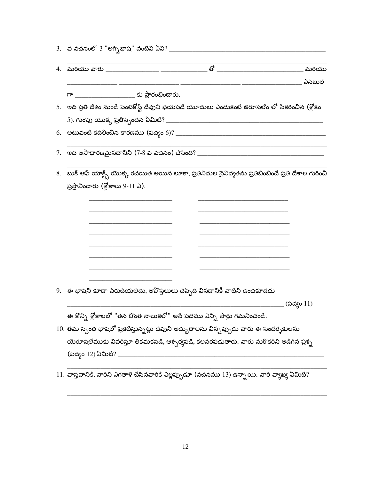| 4. |                                   |                                                                                         |  |                                                                                                       |
|----|-----------------------------------|-----------------------------------------------------------------------------------------|--|-------------------------------------------------------------------------------------------------------|
|    |                                   |                                                                                         |  | ఎనేబుల్                                                                                               |
|    |                                   | గా ______________________ కు ప్రారంభించారు.                                             |  |                                                                                                       |
|    |                                   |                                                                                         |  | 5.   ఇది ప్రతి దేశం నుండి పెంటెకోస్ట్ దేవుని భయపడే యూదులు ఎందుకంటే జెరూసలేం లో సేకరించిన (శ్లోకం      |
|    |                                   |                                                                                         |  |                                                                                                       |
|    |                                   |                                                                                         |  |                                                                                                       |
| 7. |                                   |                                                                                         |  |                                                                                                       |
|    |                                   |                                                                                         |  | 8.   బుక్ ఆఫ్ యాక్ట్స్ యొక్క రచయిత అయిన లూకా, ప్రతినిధుల పైవిధ్యతను ప్రతిబింబించే ప్రతి దేశాల గురించి |
|    | ప్రస్తావించారు (శ్లోకాలు 9-11 ఎ). |                                                                                         |  |                                                                                                       |
|    |                                   |                                                                                         |  |                                                                                                       |
|    |                                   |                                                                                         |  |                                                                                                       |
|    |                                   |                                                                                         |  |                                                                                                       |
|    |                                   |                                                                                         |  |                                                                                                       |
|    |                                   |                                                                                         |  |                                                                                                       |
|    |                                   |                                                                                         |  |                                                                                                       |
|    |                                   |                                                                                         |  |                                                                                                       |
|    |                                   |                                                                                         |  |                                                                                                       |
| 9. |                                   | ్ ఈ భాషని కూడా పేరుచేయలేదు, అవొస్తలులు చెప్పేది వినడానికీ వాటిని ఉంచకూడదు               |  |                                                                                                       |
|    |                                   | ఈ కొన్ని శ్లోకాలలో "తన నొంత నాలుకలో" అసే పదము ఎన్ని సార్లు గమనించండి.                   |  | _ (పద్యం 11)                                                                                          |
|    |                                   |                                                                                         |  |                                                                                                       |
|    |                                   | $10.$ తమ స్వంత భాషలో ప్రకటిస్తున్నట్లు దేవుని అద్భుతాలను విన్నప్పుడు వారు ఈ సందర్శకులను |  |                                                                                                       |
|    |                                   |                                                                                         |  | యెరూషలేముకు వివరిస్తూ తికమకపడి, ఆశ్చర్యపడి, కలవరపడుతారు. వారు మరొకరిని అడిగిన ప్రశ్న                  |
|    |                                   | (పద్యం 12) ఏమిటి? ________________                                                      |  |                                                                                                       |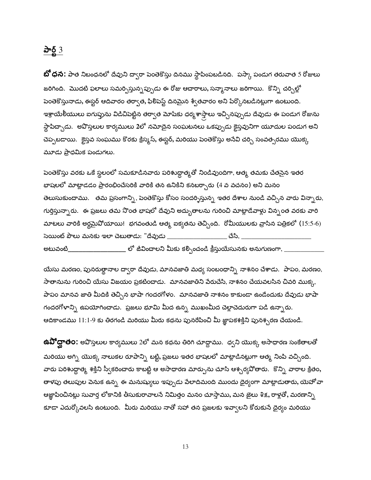#### $\underline{\mathbf{d}}$   $\underline{\mathbf{d}}$   $3$

**బో ధన:** పాత నిబంధనలో దేవుని ద్వారా పెంతెకొస్తు దినము స్థాపింపబడినది. పస్కా పండుగ తరువాత 5 రోజులు జరిగింది. మొదటి ఫలాలు సమర్పిస్తున్నప్పుడు ఈ రోజు ఆచారాలు, సన్మానాలు జరిగాయి. కొన్ని చర్చిల్లో పెంతెకొస్తునాడు, ఈస్టర్ ఆదివారం తర్వాత, ఫిలిపెస్ట్ దినమైన శ్వేతవారం అని పేర్కొనబడినట్లుగా ఉంటుంది. ఇశ్రాయేలీయులు ఐగుప్తును విడిచిపెట్టిన తర్వాత మోషకు ధర్మశాస్త్రాలు ఇచ్చినప్పుడు దేవుడు ఈ పండుగ రోజును స్థాపిద్చాడు. అవొస్తలుల కార్యములు 2లో నమోదైన సంఘటనలు ఒకప్పుడు కైస్తవునిగా యూదుల పండుగ అని చెప్పబడాయి. క్రైస్తవ సంఘము కొరకు క్రిస్మస్, ఈస్టర్, మరియు పెంతెకొస్తు అసేవి చర్చి సంవత్సరము యొక్క మూడు ప్రాధమిక పండుగలు.

పెంతెకొస్తు వరకు ఒకే స్థలంలో సమకూడినవారు పరిశుద్ధాత్మతో నిండివుందిగా, ఆత్మ తమకు చేతనైన ఇతర భాషలలో మాట్లాడడం ప్రారంభించేసరికి వారికి తన ఉనికిని కనబర్చారు (4 వ వచనం) అని మనం తెలుసుకుందాము. తమ ప్రసంగాన్ని, పెంతెకొస్తు కోసం సందర్శిస్తున్న ఇతర దేశాల నుండి వచ్చిన వారు విన్నారు, గుర్తిస్తున్నారు. ఈ ప్రజలు తమ నొంత భాషలో దేవుని అద్భుతాలను గురించి మాట్లాడేవాళ్లు విన్నంత వరకు వారి మాటలు వారికి అర్థమైవోయాయి! భగవంతుడి ఆత్మ ఐక్యతను తెచ్చింది. రోమీయులకు వ్రాసిన పత్రికలో (15:5-6) సెయింట్ పౌలు మనకు ఇలా చెబుతాడు: "దేవుడు \_\_\_\_\_\_\_\_\_\_\_\_\_\_\_\_\_\_\_\_\_ చేసి, \_ \_\_\_\_\_\_\_ లో జీవించాలని మీకు కల్పించండి క్రీస్తుయేసునకు అనుగుణంగా, \_\_\_\_ అటువంటి\_\_\_

యేసు మరణం, పునరుత్థానాల ద్వారా దేవుడు, మానవజాతి మధ్య సంబంధాన్ని నాశనం చేశాడు. పాపం, మరణం, సాతానును గురించి యేసు విజయం ప్రకటించాడు. మానవజాతిని పేరుచేసి, నాశనం చేయవలసిన చివరి ముక్క, పాపం మానవ జాతి మీదికి తెచ్చిన భాషా గందరగోళం. మానవజాతి నాశనం కాకుండా ఉండేందుకు దేవుడు భాషా గందరగోళాన్ని ఉపయోగించాడు. ప్రజలు భూమి మీద ఉన్న ముఖంమీద చెల్లాచెదురుగా పడి ఉన్నారు. ఆదికాండము 11:1-9 కు తిరగండి మరియు మీరు కథను పునరేపించి మీ జ్ఞాపకశక్తిని పునశ్చరణ చేయండి.

**ఉవిోద్ఘాత౦:** అవొస్తలుల కార్యములు 2లో మన కథను తిరిగి చూద్దాము. ధ్వని యొక్క అసాధారణ సంకేతాలతో మరియు అగ్ని యొక్క నాలుకల రూపాన్ని బట్టి, ప్రజలు ఇతర భాషలలో మాట్లాడినట్లుగా ఆత్మ నింపి వచ్చింది. వారు పరిశుద్ధాత్మ శక్తిని స్వీకరించారు కాబట్టి ఆ అసాధారణ మార్పును చూసి ఆశ్చర్యవోతారు. కొన్ని వారాల క్రితం, తాళపు తలుపుల పెనుక ఉన్న ఈ మనుష్యులు ఇప్పుడు పేలాదిమంది ముందు దైర్యంగా మాట్లాడుతారు, యెహోవా ఆజ్ఞాపించినట్లు సువార్త లోకానికి తీసుకురావాలసే నిమిత్తం మనం చూస్తాము, మన జైలు శిక్ష, రాళ్లతో, మరణాన్ని కూడా ఎదుర్కోవలసి ఉంటుంది. మీరు మరియు నాతో సహా తన ప్రజలకు ఇవ్వాలని కోరుకుసే దైర్యం మరియు

13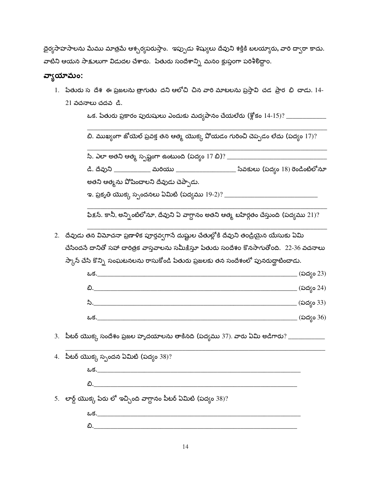|                                                                                       | ధైర్యసాహసాలను మేము మాత్రమే ఆశ్చర్యపరుస్తాం.  ఇప్పుడు శిష్యులు దేవుని శక్తికి బలయ్యారు, వారి ద్వారా కాదు. |
|---------------------------------------------------------------------------------------|----------------------------------------------------------------------------------------------------------|
| వాటిని ఆయన సాక్షులుగా విడుదల చేశారు.  పేతురు సందేశాన్ని  మనం క్లుప్తంగా పరిశీలిద్దాం. |                                                                                                          |

#### వ్యాయామం:

1. పేతురు స దేశ ఈ ప్రజలను త్రాగుతు దని ఆలోచి చిన వారి మాటలను ప్రస్తావి చడ ప్రార భి చాడు. 14- $21$  వచనాలు చదవ  $a$ .

బి. ముఖ్యంగా జోయెల్ ప్రవక్త తన ఆత్మ యొక్క ఏోయడం గురించి చెప్పడం లేదు (పద్యం 17)?

సి. ఎలా అతని ఆత్మ స్పష్టంగా ఉంటుంది (పద్యం 17 బి)? \_\_\_\_\_\_\_\_\_\_\_\_\_\_\_\_\_\_\_\_\_\_\_\_\_\_\_\_\_\_

డి. దేవుని \_\_\_\_\_\_\_\_\_\_\_\_ మరియు \_\_\_\_\_\_\_\_\_\_\_\_\_\_\_\_\_\_\_\_ సేవకులు (పద్యం 18) రెండింటిలోనూ అతని ఆత్మను వోషించాలని దేవుడు చెప్పాడు.

ఇ. ప్రకృతి యొక్క స్పందనలు ఏమిటి (పద్యము 19-2)? \_\_\_\_\_\_\_\_\_\_\_\_\_\_\_\_\_\_\_\_\_\_\_\_\_\_\_\_\_\_\_\_\_\_

ఫిక్షన్. కానీ, అన్నింటిలోనూ, దేవుని ఏ వాగ్దానం అతని ఆత్మ బహిర్గతం చేస్తుంది (పద్యము 21)?

2. దేవుడు తన విమోచనా ప్రణాళిక పూర్తవ్వగాసే దుష్టుల చేతుల్లోకి దేవుని తండ్రియైన యేసుకు ఏమి చేసిందనే దానితో సహా చారిత్రక వాస్తవాలను సమీక్షిస్తూ పేతురు సందేశం కొనసాగుతోంది. 22-36 వచనాలు  $\partial \mathcal{D}_k$ న్ చేసి కొన్ని సంఘటనలను రాసుకోండి పేతురు ప్రజలకు తన సందేశంలో పునరుద్ఘాటించాడు.

| ఒక. | (పద్యం 23) |
|-----|------------|
| ಬಿ. | (పద్యం 24) |
| సి. | (పద్యం 33) |
| ఒక. | (పద్యం 36) |

 $3.$  ్టీటర్ యొక్క సందేశం ప్రజల హృదయాలను తాకినది (పద్యము 37). వారు ఏమి అడిగారు? \_\_\_\_\_\_\_\_\_\_\_

| 4. పిటర్ యొక్క స్పందన ఏమిటి (పద్యం 38)?                           |
|-------------------------------------------------------------------|
| <u>ఒక.___________________________________</u>                     |
| <b>బి.</b>                                                        |
| 5. లార్డ్ యొక్క పేరు లో ఇచ్చింది వాగ్దానం పీటర్ ఏమిటి (పద్యం 38)? |
| ఒక.                                                               |

ಬಿ.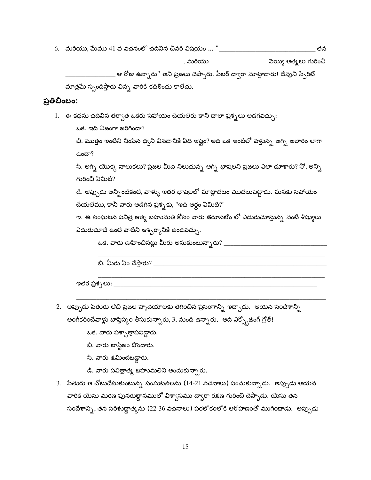\_\_\_\_\_\_\_\_\_\_\_\_\_\_, మరియు \_\_\_\_\_\_\_\_\_\_\_\_\_\_\_\_\_\_\_\_\_ వెయ్యి ఆత్మలు గురించి

\_\_\_\_\_\_\_ ఆ రోజు ఉన్నారు" అని ప్రజలు చెప్పారు. పీటర్ ద్వారా మాట్లాడారు! దేవుని స్పిరిట్

మాత్రమే స్పందిస్తారు విన్న వారికి కదిలించు కాలేదు.

#### ప్రతిబింబం:

 $1.$  ఈ కధను చదివిన తర్వాత ఒకరు సహాయం చేయలేరు కాని చాలా ప్రశ్నలు అడగవచ్చు:

ఒక. ఇది నిజంగా జరిగిందా?

బి. మొత్తం ఇంటిని నింపిన ధ్వని వినడానికి ఏది ఇష్టం? అది ఒక ఇంటిలో పెళ్తున్న అగ్ని అలారం లాగా  $60<sup>2</sup>$ 

సి. అగ్ని యొక్క నాలుకలు? ప్రజల మీద నిలుచున్న అగ్ని భాషలని ప్రజలు ఎలా చూశారు? నో, అన్ని గురించి ఏమిటి?

డి. అప్పుడు అన్నింటికంటే, వాళ్ళు ఇతర భాషలలో మాట్లాడటం మొదలుపెట్టాడు. మనకు సహాయం చేయలేము, కానీ వారు అడిగిన ప్రశ్నకు, "ఇది అర్థం ఏమిటి?"

ఇ. ఈ సంఘటన పవిత్ర ఆత్మ బహుమతి కోసం వారు జెరూసలేం లో ఎదురుచూస్తున్న వంటి శిష్యులు ఎదురుచూచే ఉంటే వాటిని ఆశ్చర్యానికి ఉండవచ్చు.

<u>బి. మీరు ఏం చేస్తారు? \_\_\_\_\_\_\_\_\_\_\_\_\_\_\_\_\_\_\_\_\_\_\_\_\_\_\_\_\_\_</u>

ఇతర ప్రశ్నలు: \_\_\_\_\_\_\_

2. అప్పుడు పేతురు లేచి ప్రజల హృదయాలకు తెగించిన ప్రసంగాన్ని ఇచ్చాడు. ఆయన సందేశాన్ని అంగీకరించేవాళ్లు బాప్తిస్మం తీసుకున్నారు, 3, మంది ఉన్నారు. అది ఎక్స్పోజింగ్ గ్రోత్!

ఒక. వారు పశ్చాత్తాపపడ్డారు.

- బి. వారు బాప్టిజం పొందారు.
- సి. వారు క్షమించబడ్డారు.
- డి. వారు పవిత్రాత్మ బహుమతిని అందుకున్నారు.
- 3. పేతురు ఆ చోటుచేసుకుంటున్న సంఘటనలను (14-21 వచనాలు) పంచుకున్నాడు. అప్పుడు ఆయన వారికి యేసు మరణ పునరుత్దానములో విశ్వాసము ద్వారా రక్షణ గురించి చెప్పాడు. యేసు తన సందేశాన్ని, తన పరిశుద్ధాత్మను (22-36 వచనాలు) పరలోకంలోకి ఆరోహణంతో ముగించాడు. అప్పుడు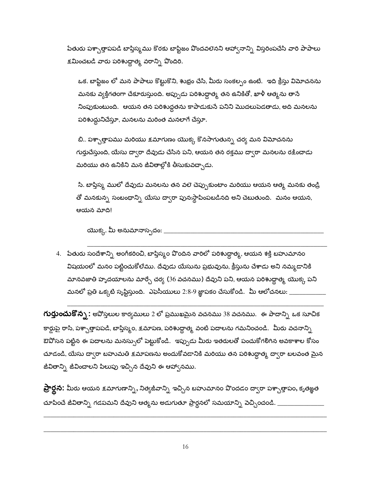పేతురు పశ్చాత్తాపపడి బాప్తిస్మము కొరకు బాప్టిజం పొందవలెనని ఆహ్వానాన్ని విస్తరింపచేసి వారి పాపాలు క్షమించబడి వారు పరిశుద్ధాత్మ వరాన్ని పొందిరి.

ఒక. బాప్టిజం లో మన పాపాలు కొట్టుకొని, శుభ్రం చేసి, మీరు సంకల్పం ఉంటే. ఇది క్రీస్తు విమోచనను మనకు వ్యక్తిగతంగా చేకూరుస్తుంది. అప్పుడు పరిశుద్దాత్మ తన ఉనికితో, ఖాళీ ఆత్మను తానే నింపుకుంటుంది. ఆయన తన పరిశుద్ధతను కాపాడుకునే పనిని మొదలుపెడతాడు, అది మనలను పరిశుద్ధునిచేస్తూ, మనలను మరింత మనలాగే చేస్తూ.

బి.. పశ్చాత్తాపము మరియు క్షమాగుణం యొక్క కొనసాగుతున్న చర్య మన విమోచనను గుర్తుచేస్తుంది, యేసు ద్వారా దేవుడు చేసిన పని, ఆయన తన రక్తము ద్వారా మనలను రక్షించాడు మరియు తన ఉనికిని మన జీవితాల్లోకి తీసుకువచ్చాడు.

సి. బాప్తిస్మ ములో దేవుడు మనలను తన వలె చెప్పుకుంటాం మరియు ఆయన ఆత్మ మనకు తండ్రి తో మనకున్న సంబంధాన్ని యేసు ద్వారా పునఃస్థాపింపబడినది అని చెబుతుంది. మనం ఆయన, ఆయన మాది!

యొక్క. మీ అనుమానాస్పదం: \_

4. పేతురు సందేశాన్ని అంగీకరించి, బాప్తిస్మం పొందిన వారిలో పరిశుద్ధాత్మ, ఆయన శక్తి బహుమానం విషయంలో మనం పట్టించుకోలేము. దేవుడు యేసును ప్రభువును, క్రీస్తును చేశాడు అని నమ్మడానికి మానవజాతి హృదయాలను మార్చే చర్య (36 వచనము) దేవుని పని, ఆయన పరిశుద్ధాత్మ యొక్క పని మనలో ప్రతి ఒక్కటి సృష్టిస్తుంది. ఎఫెసీయులు 2:8-9 జ్ఞాపకం చేసుకోండి. మీ ఆలోచనలు: \_\_

**గుర్తుంచుకొన్న**: అవోస్తలుల కార్యములు 2 లో ప్రముఖమైన వచనము 38 వచనము. ఈ పాదాన్ని ఒక సూచిక కార్డుపై రాసి, పశ్చాత్తాపపడి, బాప్తిస్మం, క్షమాపణ, పరిశుద్ధాత్మ, వంటి పదాలను గమనించండి. మీరు వచనాన్ని ఔవోసన పట్టిన ఈ పదాలను మనస్సులో పెట్టుకోండి. ఇప్పుడు మీరు ఇతరులతో పంచుకోగలిగిన అవకాశాల కోసం చూడండి, యేసు ద్వారా బహుమతి క్షమాపణను అందుకోవడానికి మరియు తన పరిశుద్ధాత్మ ద్వారా బలవంత మైన జీవితాన్ని జీవించాలని పిలుపు ఇచ్చిన దేవుని ఈ ఆహ్వానము.

**ప్రార్థన:** మీరు ఆయన క్షమాగుణాన్ని, నిత్యజీవాన్ని 'ఇచ్చిన బహుమానం పొందడం ద్వారా పశ్చాత్తాపం, కృతజ్ఞత చూపించే జీవితాన్ని గడపమని దేవుని ఆత్మను అడుగుతూ ప్రార్థనలో సమయాన్ని వెచ్చించండి.  $\_$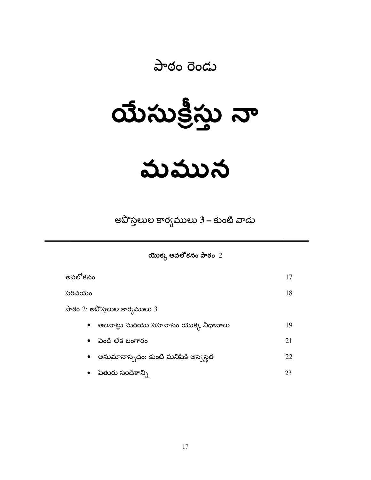#### పాఠం రెండు

# $\omega$   $\omega$

### మమున

అవొస్తలుల కార్యములు 3 – కుంటి వాడు

యొక్క అవలోకనం పాఠం  $2$ 

| అవలోకనం                              | 17 |
|--------------------------------------|----|
| పరిచయం                               | 18 |
| పాఠం 2: అవొస్తలుల కార్యములు 3        |    |
| అలవాట్లు మరియు సహవాసం యొక్క విధానాలు | 19 |
| పెండి లేక బంగారం<br>$\bullet$        | 21 |
| అనుమానాస్పదం: కుంటి మనిషికి అస్వస్థత | 22 |
| పేతురు సందేశాన్ని                    | 23 |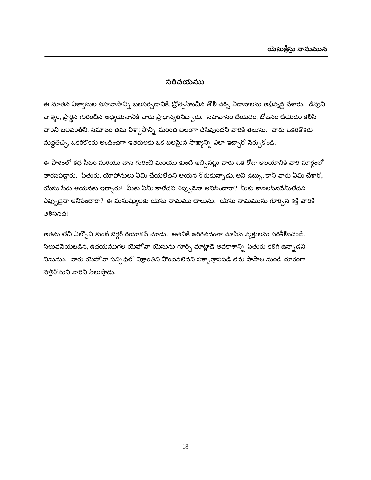#### పరిచయము

ఈ నూతన విశ్వాసుల సహవాసాన్ని బలపర్చడానికి, ప్రోత్సహించిన తొలి చర్చి విధానాలను అభివృద్ధి చేశారు. దేవుని వాక్యం, ప్రార్థన గురించిన అధ్యయనానికి వారు ప్రాధాన్యతనిచ్చారు. సహవాసం చేయడం, భోజనం చేయడం కలిసి వారిని బలవంతిని, సమాజం తమ విశ్వాసాన్ని మరింత బలంగా చేసివుందని వారికి తెలుసు. వారు ఒకరికొకరు మద్దతిచ్చి, ఒకరికొకరు అందించగా ఇతరులకు ఒక బలమైన సాక్ష్యాన్ని ఎలా ఇచ్చారో సేర్చుకోండి.

ఈ పాఠంలో కథ పీటర్ మరియు జాన్ గురించి మరియు కుంటి ఇచ్చినట్లు వారు ఒక రోజు ఆలయానికి వారి మార్గంలో తారసపడ్డారు. పేతురు, యోహానులు ఏమి చేయలేదని ఆయన కోరుకున్నాడు, అవి డబ్బు, కానీ వారు ఏమి చేశారో, యేసు పేరు ఆయనకు ఇచ్చారు! మీకు ఏమీ కాలేదని ఎప్పుడైనా అనిపించారా? మీకు కావలసినదేమీలేదని ఎప్పుడైనా అనిపించారా? ఈ మనుష్యులకు యేసు నామము చాలును. యేసు నామమును గూర్చిన శక్తి వారికి මවී. තිබි!

అతను లేచి నిల్చొని కుంటి బెగ్గర్ రియాక్షన్ చూడు. అతనికి జరిగినదంతా చూసిన వ్యక్తులను పరిశీలించండి. సిలువపేయబడిన, ఉదయముగల యెహోవా యేసును గూర్చి మాట్లాడే అవకాశాన్ని పేతురు కలిగి ఉన్నాడని వినుము. వారు యెహోవా సన్నిధిలో విశ్రాంతిని పొందవలెనని పశ్చాత్తాపపడి తమ పాపాల నుండి దూరంగా పెళ్లిపోమని వారిని పిలుస్తాడు.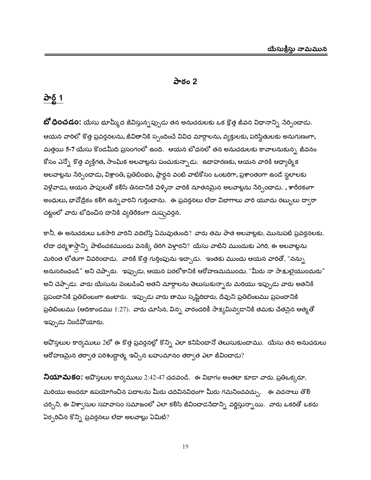#### పాఠం 2

#### <u>పార్ట్</u> 1

**బో ధించడం:** యేసు భూమ్మీద జీవిస్తున్నప్పుడు తన అనుచరులకు ఒక క్రొత్త జీవన విధానాన్ని సేర్పించాడు. ఆయన వారిలో కొత్త ప్రవర్తనలను, జీవితానికి స్పందించే వివిధ మార్గాలను, వ్యక్తులకు, పరిస్థితులకు అనుగుణంగా, మత్తయి 5-7 యేసు కొండమీది ప్రసంగంలో ఉంది. ఆయన బోధనలో తన అనుచరులకు కావాలనుకున్న జీవనం కోసం ఎన్నో కొత్త వ్యక్తిగత, సాంఘిక అలవాట్లను పంచుకున్నాడు. ఉదాహరణకు, ఆయన వారికి ఆధ్యాత్మిక అలవాట్లను సేర్పించాడు, విశ్రాంతి, ప్రతిబింభం, ప్రార్థన వంటి వాటికోసం ఒంటరిగా, ప్రశాంతంగా ఉండే స్థలాలకు పెళ్లేవాడు, ఆయన పాపులతో క<mark>లి</mark>సి తినడానికి పెళ్ళినా వారికి నూతనమైన అలవాట్లను సేర్పిందాడు. , శారీరకంగా అంధులు, భావోద్రేకం కలిగి ఉన్నవారిని గుర్తించాను. ఈ ప్రవర్తనలు లేదా విభాగాలు వారి యూదు రబ్బులు ద్వారా చట్టంలో వారు బోధించిన దానికి వ్యతిరేకంగా దుష్చవర్తన.

కానీ, ఈ అనుచరులు ఒకసారి వారిని వదిలేస్తే ఏమవుతుంది? వారు తమ పాత అలవాట్లకు, మునుపటి ప్రవర్తనలకు, లేదా ధర్మశాస్తాన్ని పాటించకముందు పెనక్కి తిరిగి పెళ్తారని? యేసు వాటిని ముందుకు ఎగిరి, ఈ అలవాట్లను మరింత లోతుగా వివరించాడు. వారికి కొత్త గుర్తింపును ఇచ్చాడు. ఇంతకు ముందు ఆయన వారితో, "నన్ను అనుసరించండి" అని చెప్పారు. ఇప్పుడు, ఆయన పరలోకానికి ఆరోహణమముందు, "మీరు నా సాక్షులైయుందురు" అని చెప్పాడు. వారు యేసును పెంబడించి అతని మార్గాలను తెలుసుకున్నారు మరియు ఇప్పుడు వారు అతనికి ప్రపంచానికి ప్రతిబింబంగా ఉంటారు. ఇప్పుడు వారు తాము సృష్టిరిచారు, దేవుని ప్రతిబింబము ప్రపంచానికి ప్రతిబింబము (ఆదికాండము 1:27). వారు చూసిన, విన్న వారందరికీ సాక్యమివ్వడానికి తమకు చేతనైన ఆత్మతో ఇప్పుడు నిండిపోయారు.

అవొస్తలుల కార్యములు 2లో ఈ కొత్త ప్రవర్తనల్లో కొన్ని ఎలా కనిపించానో తెలుసుకుందాము. యేసు తన అనుచరులు ఆరోహణమైన తర్వాత పరిశుద్ధాత్మ ఇచ్చిన బహుమానం తర్వాత ఎలా జీవించాడు?

నియామకం: అపొస్తలుల కార్యములు 2:42-47 చదవండి. ఈ విభాగం అంతటా కూడా వారు, ప్రతిఒక్కరూ, మరియు అందరూ ఉపయోగించిన పదాలను మీరు చదివినవిధంగా మీరు గమనించవచ్చు. ఈ వచనాలు తొలి చర్చిని, ఈ విశ్వాసుల సహవాసం సమాజంలో ఎలా కలిసి జీవించాడసేదాన్ని వర్ణిస్తున్నాయి. వారు ఒకరితో ఒకరు ఏర్పరిచిన కొన్ని ప్రవర్తనలు లేదా అలవాట్లు ఏమిటి?

19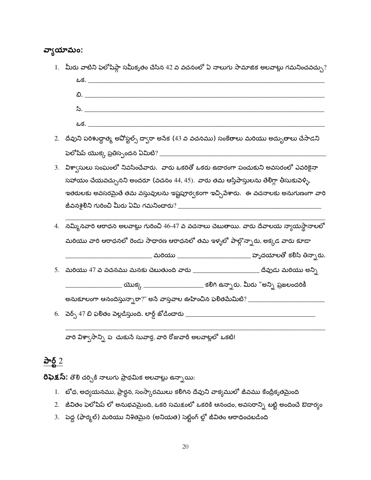#### వ్యాయామం:

1. మీరు వాటిని ఫెలోషిప్గా సమీకృతం చేసిన 42 వ వచనంలో ఏ నాలుగు సామాజిక అలవాట్లు గమనించవచ్చు?  $\mathring{z}$ .  $25.$ 2. దేవుని పరిశుద్ధాత్మ అపోస్టల్స్ ద్వారా అసేక (43 వ వచనము) సంకేతాలు మరియు అద్భుతాలు చేసాడని 3. విశా్సులు సంఘంలో నివసించేవారు. వారు ఒకరితో ఒకరు ఉదారంగా పంచుకుని అవసరంలో ఎవరికైనా సహాయం చేయవచ్చునని అందరూ (వచనం 44, 45). వారు తమ ఆస్తిపాస్తులను తేలిగ్గా తీసుకువెళ్ళి, ఇతరులకు అవసరమైతే తమ వస్తువులను ఇష్టపూర్వకంగా ఇచ్చివేశారు. ఈ వచనాలకు అనుగుణంగా వారి 4. నమ్మినవారి ఆరాధన అలవాట్లు గురించి 46-47 వ వచనాలు చెబుతాయి. వారు దేవాలయ న్యాయస్థానాలలో మరియు వారి ఆరాధనలో రెండు సాధారణ ఆరాధనలో తమ ఇళ్ళలో పాల్గొన్నారు, అక్కడ వారు కూడా \_\_\_\_\_\_\_\_\_\_\_ మరియు \_\_\_\_\_\_\_\_\_\_\_\_\_\_\_\_\_\_\_\_\_\_\_\_\_ హృదయాలతో కలిసి తిన్నారు. \_\_\_\_\_\_\_\_\_\_\_\_ యొక్క \_\_\_\_\_\_\_\_\_\_\_\_\_\_\_\_\_\_\_\_\_\_ కలిగి ఉన్నారు. మీరు "అన్ని ప్రజలందరికీ 

వారి విశా్ధసాన్ని ప్ర చుకునే సువార్త, వారి రోజువారీ అలవాట్లలో ఒకటి!

#### <u>పార్ట్ 2</u>

రిఫెక్షస్: తొలి చర్చికి నాలుగు ప్రాథమిక అలవాట్లు ఉన్నాయి:

- 1. బోధ, అధ్యయనము, ప్రార్థన, సంస్కారములు కలిగిన దేవుని వాక్యములో జీవము కేంద్రీకృతమైంది
- 2. జీవితం ఫెలోషిప్ లో అనుభవమైంది, ఒకరి సమక్షంలో ఒకరికి ఆనందం, అవసరాన్ని బట్టి అందించే ఔదార్యం
- 3. పెద్ద (ఫార్మల్) మరియు నిశితమైన (అనియత) సెట్టింగ్ ల్లో జీవితం ఆరాధించబడింది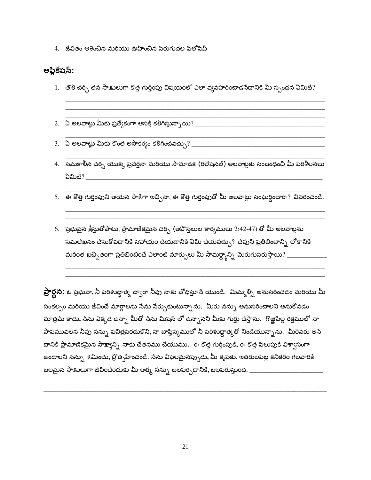4. జీవితం ఆశించిన మరియు ఊహించిన పెరుగుదల ఫైలోషిప్

#### అఫ్లికేషస్:

1. తొలి చర్చి తన సాక్షులుగా కొత్త గుర్తింపు విషయంలో ఎలా వ్యవహరించాడసేదానికి మీ స్పందన ఏమిటి?

2. ఏ అలవాట్లు మీకు ప్రత్యేకంగా ఆసక్తి కలిగిస్తున్నాయి? \_\_\_\_\_\_\_\_\_\_\_\_\_

- 4. సమకాలీన చర్చి యొక్క ప్రవర్తనా మరియు సామాజిక (రిలేషనల్) అలవాట్లకు సంబంధించి మీ పరిశీలనలు ධ්ධාහී $?$
- .<br>5. ఈ కొత్త గుర్తింపుని ఆయన సాక్షిగా ఇచ్చినా, ఈ కొత్త గుర్తింపుతో మీ అలవాట్లు సంఘర్షించారా? వివరించండి.
- 6. ప్రభుపైన క్రీస్తుతోపాటు, ప్రామాణికమైన చర్చి (అవొస్తలుల కార్యములు 2:42-47) తో మీ అలవాట్లను సమలేఖనం చేసుకోవడానికి సహాయం చేయడానికి ఏమి చేయవచ్చు? దేవుని ప్రతిబింబాన్ని లోకానికి మరింత ఖచ్చితంగా ప్రతిబింబించే ఎలాంటి మార్పులు మీ సామర్థ్యాన్ని మెరుగుపరుస్తాయి? \_\_\_\_\_\_\_\_\_\_\_\_

ప్రార్థన: ఓ ప్రభువా, నీ పరిశుద్ధాత్మ ద్వారా నీవు నాకు బోధిస్తూనే యుండి. మిమ్మల్ని అనుసరించడం మరియు మీ సంకల్పం మరియు జీవించే మార్గాలను సేను సేర్చుకుంటున్నాను. మీరు నన్ను అనుసరించాలని అనుకోవడం మాత్రమే కాదు, సేను ఎక్కడ ఉన్నా మీతో సేను మిషన్ లో ఉన్నానని మీకు గుర్తు చేస్తాను. గొఱ్ఱౌపిల్ల రక్తములో నా పాపమువలన నీవు నన్ను పవిత్రపరచుకొని, నా బాప్తిస్మములో నీ పరిశుద్దాత్మతో నిండియున్నాను. మీరెవరు అనే దానికి ప్రామాణికమైన సాక్ష్యాన్ని నాకు చేతనము చేయుము. ఈ కొత్త గుర్తింపుకి, ఈ కొత్త పిలుపుకి విశ్వాసంగా ఉండాలని నన్ను క్షమించు, ప్రోత్సహించండి. సేను విఫలమైనప్పుడు, మీ కృపకు, ఇతరులపట్ల కనికరం గలవారికి బలమైన సాక్షులుగా జీవించేందుకు మీ ఆత్మ నన్ను బలపర్చడానికి, బలపరుస్తుంది. \_\_\_\_\_\_\_\_\_\_\_\_\_\_\_\_\_\_\_\_\_\_\_\_\_\_\_\_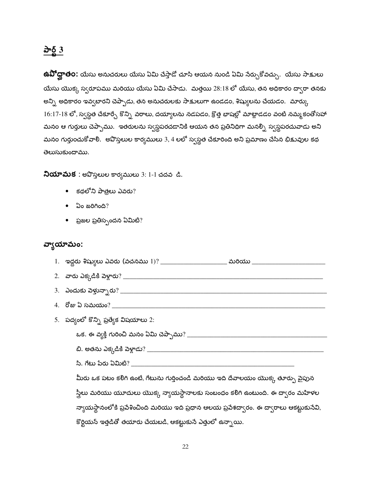#### $\frac{\partial^2 \delta}{\partial x^2}$

**ఉవోద్ఘాత౦:** యేసు అనుచరులు యేసు ఏమి చేస్తాడో చూసి ఆయన నుండి ఏమి సేర్చుకోవచ్చు. యేసు సాక్షులు యేసు యొక్క స్వరూపము మరియు యేసు ఏమి చేసాడు. మత్తయి 28:18 లో యేసు, తన అధికారం ద్వారా తనకు అన్ని అధికారం ఇవ్వబారని చెప్పాడు, తన అనుచరులకు సాక్షులుగా ఉండడం, శిష్యులను చేయడం. మార్కు  $16:17$ - $18$  లో, స్వస్థత చేకూర్చే కొన్ని వరాలు, దయ్యాలను నడపడం, క్రొత్త భాషల్లో మాట్లాడడం వంటి నమ్మకంతోసహా మనం ఆ గుర్తులు చెప్పాము. ఇతరులను స్వస్థపరచడానికి ఆయన తన ప్రతినిధిగా మనల్నీ స్వస్థపరచువాడు అని మనం గుర్తుంచుకోవాలి. అవొస్తలుల కార్యములు 3, 4 లలో స్వస్థత చేకూరింది అని ప్రమాణం చేసిన భిక్షువుల కథ తెలుసుకుందాము.

నియామక : అపొస్తలుల కార్యములు 3: 1-1 చదవ డి.

- $\bullet$  కథలోని పాత్రలు ఎవరు?
- $\bullet$  ఏం జరిగింది?
- ప్రజల ప్రతిస్పందన ఏమిటి?

#### వ్యాయామం:

| _ మరియు ____                                                                              |
|-------------------------------------------------------------------------------------------|
| 2.   వారు ఎక్కడికి పెళ్లారు? ___________                                                  |
| 3. ఎందుకు పెళ్తున్నారు? _________                                                         |
| 4. రోజు ఏ సమయం? ________                                                                  |
| 5. పద్యంలో కొన్ని ప్రత్యేక విషయాలు 2:                                                     |
| ఒక. ఈ వ్యక్తి గురించి మనం ఏమి చెప్పాము $?$ $\_$                                           |
|                                                                                           |
| సి. గేటు పేరు ఏమిటి? ____                                                                 |
| మీరు ఒక పటం కలిగి ఉంటే, గేటును గుర్తించండి మరియు ఇది దేవాలయం యొక్క తూర్పు వైపున           |
| స్త్రిలు మరియు యూదులు యొక్క న్యాయస్థానాలకు సంబంధం కలిగి ఉంటుంది. ఈ ద్వారం మహిళల           |
| న్యాయస్థానంలోకి ప్రవేశించింది మరియు ఇది ప్రధాన ఆలయ ప్రవేశద్వారం. ఈ ద్వారాలు ఆకట్టుకునేవి, |

కొర్టియన్ ఇత్తడితో తయారు చేయబడి, ఆకట్టుకునే ఎత్తులో ఉన్నాయి.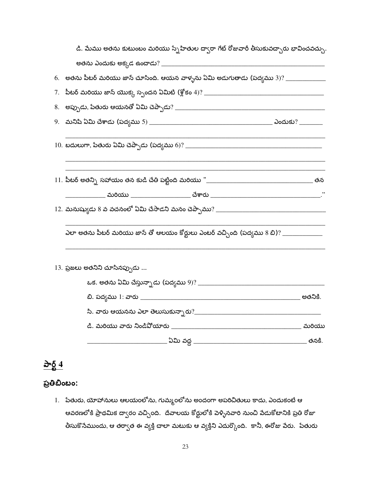| డి. మేము అతను కుటుంబం మరియు స్నేహితుల ద్వారా గేట్ రోజువారీ తీసుకువచ్చారు భావించవచ్చు    |  |
|-----------------------------------------------------------------------------------------|--|
|                                                                                         |  |
|                                                                                         |  |
|                                                                                         |  |
|                                                                                         |  |
|                                                                                         |  |
|                                                                                         |  |
|                                                                                         |  |
|                                                                                         |  |
|                                                                                         |  |
| ఎలా అతను పీటర్ మరియు జాన్ తో ఆలయం కోర్టులు ఎంటర్ వచ్చింది (పద్యము 8 బి)? ______________ |  |
| 13. ప్రజలు అతనిని చూసినప్పుడు                                                           |  |
|                                                                                         |  |
|                                                                                         |  |
|                                                                                         |  |
|                                                                                         |  |

#### పార్ట్  $4$

#### ప్రతిబింబం:

1. పేతురు, యోహానులు ఆలయంలోను, గుమ్మంలోను అందంగా అపరిచితులు కాదు, ఎందుకంటే ఆ ఆవరణలోకి ప్రాథమిక ద్వారం వచ్చింది. దేవాలయ కోర్టులోకి పెళ్ళినవారి నుంచి పేడుకోటానికి ప్రతి రోజు .<br>తీసుకొనేముందు, ఆ తర్వాత ఈ వ్యక్తి చాలా మటుకు ఆ వ్యక్తిని ఎదుర్కొంది. కానీ, ఈరోజు పేరు. పేతురు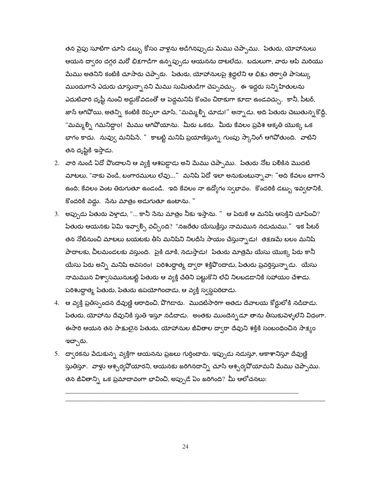తన వైపు సూటిగా చూసి డబ్బు కోసం వాళ్లను అడిగినప్పుడు మేము చెప్పాము. పేతురు, యోహానులు ఆయన దా్ధరం దగ్గర మరో భిక్షగాడిగా ఉన్నప్పుడు ఆయనను దాటలేదు. బదులుగా, వారు ఆపి మరియు మేము అతనిని కంటికి చూసారు చెప్పారు. `పేతురు, యోహానులపై శ్రద్ధలేని ఆ భిక్షు తర్వాతి పాసెట్కు ముందుగానే ఎదురు చూస్తున్నా నని మేము సుమితుడిగా చెప్పవచ్చు. ఈ ఇద్దరు సన్నిహితులను ఎదుటివారి దృష్టీ నుంచి అడ్డుకోవడంతో ఆ పెద్దమనిషి కొంచెం చిరాకుగా కూడా ఉండవచ్చు. కానీ, పీటర్, జాన్ ఆగివోయి, అతన్ని కంటికి రెప్పలా చూసి, "మమ్మల్ని చూడు!" అన్నాడు. అది పేతురు చెబుతున్నకొద్దీ, "మమ్మల్ని గమనిద్దాం! మేము ఆగిపోయాను. మీరు ఒకరు. మీరు కేవలం ప్రవేశ ఆకృతి యొక్క ఒక భాగం కాదు. నువ్వు మనిషినే. " కాబట్టి మనిషి ప్రయాణిస్తున్న గుంపు స్కానింగ్ ఆగివోతుంది. వాటిని తన దృష్టికి ఇస్తాడు.

- 2. వారి నుండి ఏదో పొందాలని ఆ వ్యక్తి ఆశపడ్డాడు అని మేము చెప్పాము. -పేతురు నోట పలికిన మొదటి మాటలు, "నాకు పెండి, బంగారములు లేవు..." మనిషి ఏదో ఇలా అనుకుంటున్నావా: "అది కేవలం బాగానే ఉంది; కేవలం వెంట తిరుగుతూ ఉండండి. ఇది కేవలం నా ఉద్యోగం స్వభావం. కొందరికి డబ్బు ఇవ్వటానికి, కొందరికి వద్దు. సేను మాత్రం అడుగుతూ ఉంటాను. "
- 3. అప్పుడు పేతురు పెళ్తాడు, "... కానీ సేను మాత్రం నీకు ఇస్తాను. " ఆ పేరుకే ఆ మనిషి ఆసక్తిని చూపించి? పేతురు ఆయనకు ఏమి ఇవ్వాల్సి వచ్చింది? "నజరేతు యేసుక్రీస్తు నామమున నడుచుము." ఇక పీటర్ తన నోటినుంచి మాటలు బయటకు తీసి మనిషిని నిలదీసే సాయం చేస్తున్నాడు! తక్షణమే బలం మనిషి పాదాలకు, చీలమండలకు వస్తుంది. పైకి దూకి, నడుస్తాడు! పేతురు మాత్రమే యేసు యొక్క పేరు కానీ యేసు పేరు అన్ని మనిషి అవసరం! పరిశుద్ధాత్మ ద్వారా శక్తిపొందాడు, పేతురు ప్రవర్తిస్తున్నాడు. యేసు నామమున విశ్వాసమునుబట్టి పేతురు ఆ వ్యక్తి చేతిని పట్టుకొని లేచి నిలబడడానికి సహాయం చేశాడు. పరిశుద్ధాత్మ పేతురు, పేతురు ఉపయోగించాడు, ఆ వ్యక్తి స్వస్థపరిచాడు.
- 4. ఆ వ్యక్తి ప్రతిస్పందన దేవుణ్ణి ఆరాధించి, వొగిడారు. మొదటిసారిగా అతడు దేవాలయ కోర్టులోకి నడిచాడు. పేతురు, యోహాను దేవునికి స్తుతి ఇస్తూ నడిచాడు. అంతకు ముందెన్నడూ తాను తీసుకువెళ్ళలేని విధంగా. ఈసారి ఆయన తన సాక్షులైన పేతురు, యోహానుల జీవితాల ద్వారా దేవుని శక్తికి సంబంధించిన సాక్యం ఇచ్చారు.
- 5. ద్వారకను పేడుకున్న వ్యక్తిగా ఆయనను ప్రజలు గుర్తించారు. ఇప్పుడు నడుస్తూ, ఆకాశానిస్తూ దేవుణ్ణి స్తుతిస్తూ. వాళ్లు ఆశ్చర్యవోయారని, ఆయనకు జరిగినదాన్ని చూసి ఆశ్చర్యవోయామని మేము చెప్పాము. తన జీవితాన్ని ఒక ప్రమాదావంగా భావించి, అప్పుడే ఏం జరిగింది? మీ ఆలోచనలు:

24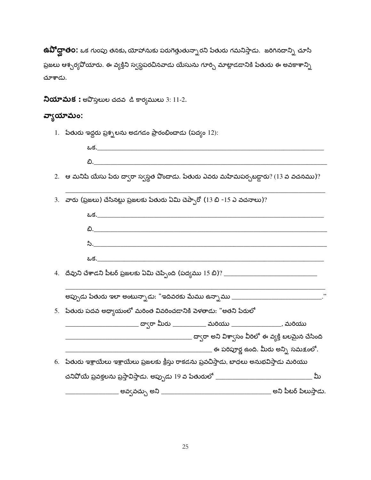**ఉవిోద్ఘాతo:** ఒక గుంపు తనకు, యోహానుకు పరుగెత్తుతున్నారని పేతురు గమనిస్తాడు. జరిగినదాన్ని చూసి ప్రజలు ఆశ్చర్యవోయారు. ఈ వ్యక్తిని స్వస్థపరచినవాడు యేసును గూర్చి మాట్లాడడానికి పేతురు ఈ అవకాశాన్ని చూశాడు.

 $\lambda$ యామక: అవొస్తలుల చదవ డి కార్యములు 3: 11-2.

#### వ్యాయామం:

- 1. పేతురు ఇద్దరు ప్రశ్నలను అడగడం ప్రారంభించాడు (పద్యం 12):
- 2. ఆ మనిషి యేసు పేరు ద్వారా స్వస్థత పొందాడు. పేతురు ఎవరు మహిమపర్చబడ్డారు? (13 వ వచనము)?
- 3. వారు (ప్రజలు) చేసినట్లు ప్రజలకు పేతురు ఏమి చెప్పారో (13 బి -15 ఎ వచనాలు)?

| అప్పుడు పేతురు ఇలా అంటున్నాడు: "ఇదివరకు మేము ఉన్నాము ___________________________."           |
|----------------------------------------------------------------------------------------------|
| 5. పేతురు పదవ అధ్యాయంలో మరింత వివరించడానికి వెళతాడు: "అతని పేరులో                            |
| _____________________ ద్వారా మీరు ____________ మరియు ___________________, మరియు              |
|                                                                                              |
| _______________________ ఈ పరిపూర్ణ ఉంది. మీరు అన్ని సమక్షంలో.                                |
| 6. పేతురు ఇశ్రాయేలు ఇశ్రాయేలు ప్రజలకు క్రీస్తు రాకడను ప్రవచిస్తాడు, బాధలు అనుభవిస్తాడు మరియు |
| మీ                                                                                           |
|                                                                                              |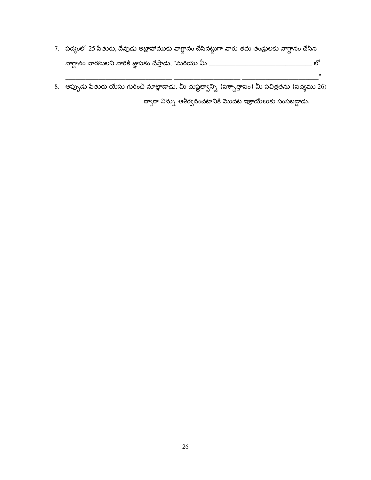- 7. పద్యంలో 25 పేతురు, దేవుడు అబ్రాహాముకు వాగ్దానం చేసినట్టుగా వారు తమ తండ్రులకు వాగ్దానం చేసిన
- 8. అప్పుడు పేతురు యేసు గురించి మాట్లాడాడు. మీ దుష్టత్వాన్ని (పశ్చాత్తాపం) మీ పవిత్రతను (పద్యము 26) \_\_\_\_\_\_\_ ద్వారా నిన్ను ఆశీర్వదించటానికి మొదట ఇశ్రాయేలుకు పంపబడ్డాడు.

 $\boldsymbol{\theta}$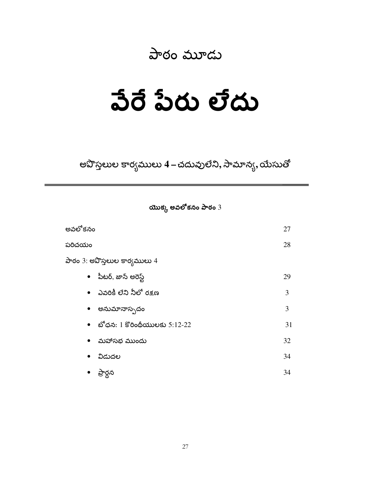#### పాఠం మూడు

### వేరే పేరు లేదు

అవొస్తలుల కార్యములు 4 – చదువులేని, సామాన్య, యేసుతో

యొక్క అవలోకనం పాఠం  $3$ 

| అవలోకనం                        | 27 |
|--------------------------------|----|
| పరిచయం                         | 28 |
| పాఠం 3: అవొస్తలుల కార్యములు 4  |    |
| • పీటర్, జాన్ అరెస్ట్          | 29 |
| •   ఎవరికీ లేని నీలో రక్షణ     | 3  |
| • అనుమానాస్పదం                 | 3  |
| • బోధన: 1 కొరింథీయులకు 5:12-22 | 31 |
| • మహాసభ ముందు                  | 32 |
| • విడుదల                       | 34 |
| ప్రార్థన                       | 34 |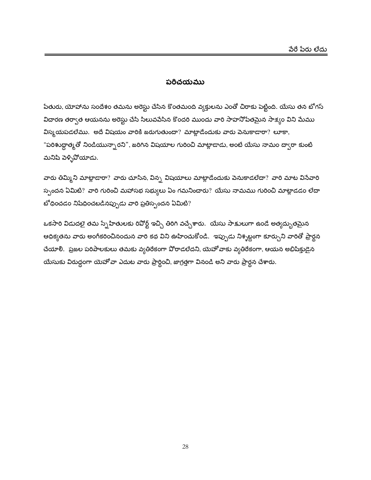#### పరిచయము

పేతురు, యోహాను సందేశం తమను అరెస్టు చేసిన కొంతమంది వ్యక్తులను ఎంతో చిరాకు పెట్టింది. యేసు తన బోగస్ విదారణ తర్వాత ఆయనను అరెస్టు చేసి సిలువపేసిన కొందరి ముందు వారి సాహనోపేతమైన సాక్ష్యం విని మేము విస్మయపడలేము. అదే విషయం వారికి జరుగుతుందా? మాట్లాడేందుకు వారు పెనుకాడారా? లూకా, "పరిశుద్ధాత్మతో నిండియున్నారని", జరిగిన విషయాల గురించి మాట్లాడాడు, అంటే యేసు నామం ద్వారా కుంటి మనిషి పెళ్ళిపోయాడు.

వారు తిమ్మిని మాట్లాడారా? వారు చూసిన, విన్న విషయాలు మాట్లాడేందుకు వెనుకాడలేదా? వారి మాట వినేవారి స్పందన ఏమిటి? వారి గురించి మహాసభ సభ్యులు ఏం గమనించారు? యేసు నామము గురించి మాట్లాడడం లేదా బోధించడం నిషేధించబడినప్పుడు వారి ప్రతిస్పందన ఏమిటి?

ఒకసారి విడుదలై తమ స్నేహితులకు రివోర్ట్ ఇచ్చి తిరిగి వచ్చేశారు. యేసు సాక్షులుగా ఉండే అత్యద్భుతమైన ఆధిక్యతను వారు అంగీకరించినందున వారి కథ విని ఊహించుకోండి. ఇప్పుడు నిశ్శబ్దంగా కూర్చుని వారితో ప్రార్థన చేయాలి. ప్రజల పరిపాలకులు తమకు వ్యతిరేకంగా పోరాడలేదని, యెహోవాకు వ్యతిరేకంగా, ఆయన అభిషిక్తుడైన యేసుకు విరుద్దంగా యెహోవా ఎదుట వారు ప్రార్థించి, జాగ్రత్తగా వినండి అని వారు ప్రార్థన చేశారు.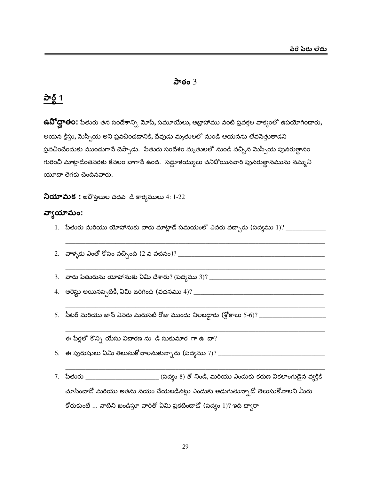#### పాఠం $3$

#### పార్ట్ 1

**ఉవిో ద్ఘాత౦:** పేతురు తన సందేశాన్ని మోషే, సమూయేలు, అబ్రాహాము వంటి ప్రవక్తల వాక్యంలో ఉపయోగించారు, ఆయన క్రీస్తు, మెస్సీయ అని ప్రవచించడానికి, దేవుడు మృతులలో నుండి ఆయనను లేవసెత్తుతాడని ప్రవచించేందుకు ముందుగానే చెప్పాడు. పేతురు సందేశం మృతులలో నుండి వచ్చిన మెస్సీయ పునరుత్థానం గురించి మాట్లాడేంతవరకు కేవలం బాగానే ఉంది. సద్దూకయ్యులు చనిపోయినవారి పునరుత్థానమును నమ్మని యూదా తెగకు చెందినవారు.

నియామక: అపొస్తలుల చదవ డి కార్యములు 4: 1-22

#### వ్వాయామం:

- 
- 
- 
- 
- 

ఈ పేర్లలో కొన్ని యేసు విదారణ ను డి సుకుమార గా ఉ $m$ ?

- 
- 7. పేతురు \_\_\_\_\_\_\_\_\_\_\_\_\_\_\_\_\_\_\_\_\_\_\_\_\_\_\_\_(పద్యం 8) తో నిండి, మరియు ఎందుకు కరుణ వికలాంగుడైన వ్యక్తికి చూపించాడో మరియు అతను నయం చేయబడినట్లు ఎందుకు అడుగుతున్నాడో తెలుసుకోవాలని మీరు కోరుకుంటే ... వాటిని ఖండిస్తూ వారితో ఏమి ప్రకటించాడో (పద్యం 1)? ఇది ద్వారా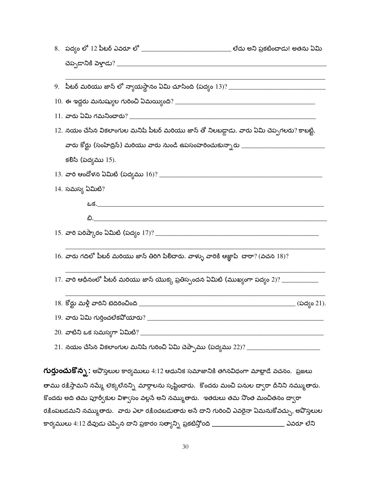| 12. నయం చేసిన వికలాంగుల మనిషి పీటర్ మరియు జాన్ తో నిలబడ్డాడు. వారు ఏమి చెప్పగలరు? కాబట్టి,   |  |
|----------------------------------------------------------------------------------------------|--|
|                                                                                              |  |
| కలిసి (పద్యము 15).                                                                           |  |
|                                                                                              |  |
| 14. సమస్య ఏమిటి?                                                                             |  |
|                                                                                              |  |
|                                                                                              |  |
|                                                                                              |  |
| $16.$ వారు గదిలో పీటర్ మరియు జాన్ తిరిగి పిలిచారు. వాళ్ళు వారికి ఆజ్ఞాపి  చారా? (వచన $18) ?$ |  |
| 17. వారి ఆధీనంలో పీటర్ మరియు జాన్ యొక్క ప్రతిస్పందన ఏమిటి (ముఖ్యంగా పద్యం 2)? _____________  |  |
|                                                                                              |  |
|                                                                                              |  |
|                                                                                              |  |
|                                                                                              |  |
|                                                                                              |  |

**గుర్తుంచుకొన్న**: అపొస్తలుల కార్యములు 4:12 ఆధునిక సమాజానికి తగినవిధంగా మాట్లాడే వచనం. ప్రజలు తాము రక్షిస్తామని నమ్మే లెక్కలేనన్ని మార్గాలను సృష్టించారు. కొందరు మంచి పనుల ద్వారా దీనిని నమ్ముతారు. కొందరు అది తమ పూర్వీకుల విశ్వాసం వల్లసే అని నమ్ముతారు. ఇతరులు తమ నొంత మంచితనం ద్వారా రక్షింపబడమని నమ్ముతారు. వారు ఎలా రక్షించబడుతారు అసే దాని గురించి ఎవరైనా ఏమనుకోవచ్చు, అపొస్తలుల కార్యములు 4:12 దేవుడు చెప్పిన దాని ప్రకారం సత్యాన్ని ప్రకటిస్తోంది \_\_\_\_\_\_\_\_\_\_\_\_\_\_\_\_\_\_\_\_\_\_\_\_\_\_ ఎవరూ లేని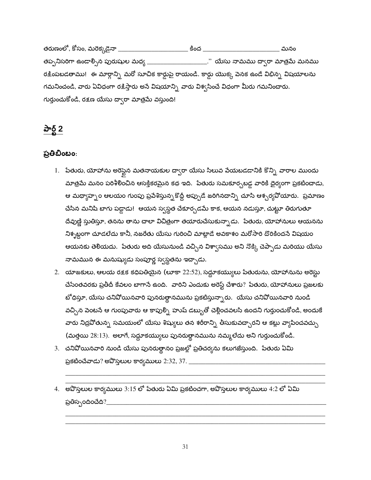తరుణంలో, కోసం, మరెక్కడైనా \_\_\_\_\_\_\_\_\_\_\_\_\_\_\_\_\_\_\_\_\_\_\_\_\_ కింద \_\_\_\_\_\_ మనం తప్పనిసరిగా ఉండార్సిన పురుషుల మధ్య \_\_\_\_\_\_\_\_\_\_\_\_\_\_\_\_\_\_\_." యేసు నామము ద్వారా మాత్రమే మనము రక్షింపబడతాము! ఈ మార్గాన్ని మరో సూచిక కార్డుపై రాయండి. కార్డు యొక్క పెనక ఉండే విభిన్న విషయాలను గమనించండి, వారు ఏవిధంగా రక్షిస్తారు అసే విషయాన్ని వారు విశ్వసించే విధంగా మీరు గమనించారు. గుర్తుంచుకోండి, రక్షణ యేసు ద్వారా మాత్రమే వస్తుంది!

#### పార్ట్ 2

#### ప్రతిబింబం:

- 1. పేతురు, యోహాను అరెస్టైన మతనాయకుల ద్వారా యేసు సిలువ పేయబడడానికి కొన్ని వారాల ముందు మాత్రమే మనం పరిశీలించిన ఆసక్తికరమైన కథ ఇది. పేతురు సమకూర్చబడ్డ వారికి దైర్యంగా ప్రకటించాడు, ఆ మధ్యాహ్నం ఆలయం గుంపు ప్రవేశిస్తున్నకొద్దీ అప్పుడే జరిగినదాన్ని చూసి ఆశ్చర్యవోయారు. ప్రమాణం చేసిన మనిషి బాగు పడ్డాడు! ఆయన స్వస్థత చేకూర్చడమే కాక, ఆయన నడుస్తూ, చుట్టూ తిరుగుతూ దేవుణ్ణి స్తుతిస్తూ, తనను తాను చాలా విచిత్రంగా తయారుచేసుకున్నాడు. పేతురు, యోహానులు ఆయనను నిశ్నబ్దంగా చూడలేదు కానీ, నజరేతు యేసు గురించి మాట్లాడే అవకాశం మరోసారి దొరికిందనే విషయం ఆయనకు తెలియదు. పేతురు అది యేసునుండి వచ్చిన విశ్వాసము అని నొక్కి చెప్పాడు మరియు యేసు నామమున ఈ మనుష్యుడు సంపూర్ణ స్వస్థతను ఇచ్చాడు.
- 2. యాజకులు, ఆలయ రక్షక కధిపతియైన (లూకా 22:52), సద్దూకయ్యులు పేతురును, యోహానును అరెస్టు చేసేంతవరకు ప్రతీదీ కేవలం బాగానే ఉంది. వారిని ఎందుకు అరెస్ట్ చేశారు? పేతురు, యోహానులు ప్రజలకు బోధిస్తూ, యేసు చనిపోయినవారి పునరుత్థానమును ప్రకటిస్తున్నారు. యేసు చనిపోయినవారి నుండి వచ్చిన పెంటనే ఆ గుంపువారు ఆ కాపుల్ని హుష్ డబ్బుతో చెల్లించవలసి ఉందని గుర్తుంచుకోండి, అందుకే వారు నిద్రవోతున్న సమయంలో యేసు శిష్యులు తన శరీరాన్ని తీసుకువచ్చారని ఆ కట్లు వ్యాపి<mark>ం</mark>చవచ్చు (మత్తయి 28:13). అలాగే, సద్దూకయ్యులు పునరుత్థానమును నమ్మలేదు అని గుర్తుంచుకోండి.
- 3. చనిపోయినవారి నుండి యేసు పునరుత్థానం ప్రజల్లో ప్రతిచర్యను కలుగజేస్తుంది. పేతురు ఏమి
- 4. అపొస్తలుల కార్యములు 3:15 లో పేతురు ఏమి ప్రకటించగా, అపొస్తలుల కార్యములు 4:2 లో ఏమి ప్రతిస్పందించేది?\_\_\_\_\_\_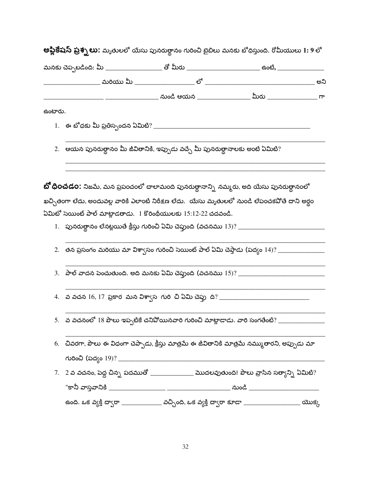| ఉంటారు. |                                                                                 |                                                                                                                                                                                                  |
|---------|---------------------------------------------------------------------------------|--------------------------------------------------------------------------------------------------------------------------------------------------------------------------------------------------|
|         |                                                                                 |                                                                                                                                                                                                  |
|         | 2.   ఆయన పునరుత్థానం మీ జీవితానికి, ఇప్పుడు వచ్చే మీ పునరుత్థానాలకు అంటే ఏమిటి? |                                                                                                                                                                                                  |
|         | ఏమిటో సెయింట్ పాల్ మాట్లాడతాడు.  1 కొరింథీయులకు 15:12-22 చదవండి.                | <b>బో ధించడం:</b> నిజమే, మన ప్రపంచంలో చాలామంది పునరుత్దానాన్ని నమ్మరు, అది యేసు పునరుత్థానంలో<br>ఖచ్చితంగా లేదు, అందువల్ల వారికి ఎలాంటి నిరీక్షణ లేదు.  యేసు మృతులలో నుండి లేపంచకపోతే దాని అర్థం |
|         |                                                                                 |                                                                                                                                                                                                  |
|         |                                                                                 |                                                                                                                                                                                                  |
|         |                                                                                 |                                                                                                                                                                                                  |
|         |                                                                                 |                                                                                                                                                                                                  |
|         |                                                                                 |                                                                                                                                                                                                  |
|         |                                                                                 |                                                                                                                                                                                                  |
|         |                                                                                 | 5.   వ వచనంలో 18 పౌలు ఇప్పటికే చనివోయినవారి గురించి మాట్లాడాడు. వారి సంగతేంటి? ___________                                                                                                       |
|         |                                                                                 | 6.   చివరగా, పౌలు ఈ విధంగా చెప్పాడు, క్రీస్తు మాత్రమే ఈ జీవితానికి మాత్రమే నమ్ముతారని, అప్పుడు మా                                                                                                |
|         |                                                                                 |                                                                                                                                                                                                  |
|         |                                                                                 | $7.$ $\,$ 2 వ వచనం, పెద్ద చిన్న పదముతో ______________ మొదలవుతుంది! పౌలు వ్రాసిన సత్యాన్ని ఏమిటి?                                                                                                 |

32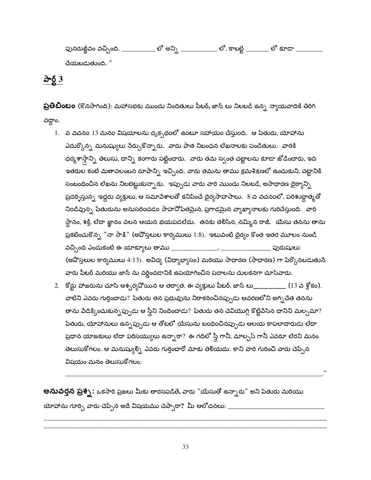పునరుఙ్జీవం వచ్చింది. \_\_\_\_\_\_\_\_\_\_\_ లో అన్ని లో కూడా <sub>.</sub> లో, కాబట్టి \_ చేయబడుతుంది. "

పార్ట్  $3$ 

**ప్రతిబింబం** (కొనసాగింది): మహాసభకు ముందు నిందితులు పీటర్, జాన్ లు నిలబడి ఉన్న న్యాయవాదికి తిరిగి వద్దాం.

- 1. వ వచనం 13 మనం విషయాలను దృక్పథంలో ఉంటూ సహాయం చేస్తుంది. ఆ పేతురు, యోహాను ఎదుర్కొన్న మనుష్యులు సేర్చుకొన్నారు. వారు పాత నిబంధన లేఖనాలకు పండితులు. వారికి ధర్మశాస్తాన్ని తెలుసు, దాన్ని కంగారు పట్టించారు. వారు తమ స్వంత చట్టాలను కూడా జోడించారు, ఇది ఇతరుల కంటే మతావలంబన రూపాన్ని ఇచ్చింది. వారు తమను తాము క్రమశిక్షణలో ఉంచుకుని, చట్టానికి సంబంధించిన లేఖను నిలబెట్టుకున్నారు. ఇప్పుడు వారు వారి ముందు నిలబడి, అసాధారణ ధైర్యాన్ని ప్రదర్శిస్తున్న ఇద్దరు వ్యక్తులు, ఆ సమాపేశాలతో కనిపించే దైర్యసాహసాలు. 8 వ వచనంలో, పరిశుద్ధాత్మతో నిండివున్న పేతురును అనుసరించడం సాహనోపేతమైన, ప్రగాఢమైన వ్యాఖ్యానాలకు గురిచేస్తుంది. వారి స్థానం, శక్తి, లేదా జ్ఞానం వలన ఆయన భయపడలేదు. తనకు తెలిసిన, నమ్మిన రాజీ. యేసు తనను తాను ప్రకటించుకొన్న "నా సాక్షి" (అవోస్తలుల కార్యములు  $1\mathpunct{.}8$ ). ఇటువంటి దైర్యం కొంత ఇతర మూలం నుండి  $\overline{\phantom{a}}$  . The contract of  $\overline{\phantom{a}}$ వచ్చింది ఎందుకంటే ఈ యాక్యూలు తాము  $\_\_$ \_\_ పురుషులు (అవొస్తలుల కార్యములు 4:13). అవిద్య (విద్యాభ్యాసం) మరియు సాధారణ (సాధారణ) గా పేర్కొనబడుతునే వారు పీటర్ మరియు జాన్ ను వర్ణించడానికి ఉపయోగించిన పదాలను చులకనగా చూసేవారు.
- 2. కోర్టు హాజరును చూసి ఆశ్చర్యవోయిన ఆ తర్వాత, ఈ వ్యక్తులు పీటర్, జాన్ ల<u>ు (</u>13 వ శ్లోకం). వాటిని ఎవరు గుర్తించాడు? పేతురు తన ప్రభువును నిరాకరించినప్పుడు ఆవరణలోని అగ్నిచేత తనను తాను పేడెక్కించుకున్నప్పుడు ఆ స్త్రీని నిందించాడు? పేతురు తన చెవియొగ్గి కొట్టిపేసిన దానిని మల్చమా? పేతురు, యోహానులు ఉన్నప్పుడు ఆ తోటలో యేసును బంధించినప్పుడు ఆలయ కాపలాదారుడు లేదా ప్రధాన యాజకులు లేదా పరిసయ్యులు ఉన్నారా? ఈ గదిలో స్త్రీ గానీ, మాల్చస్ గానీ ఎవరూ లేరని మనం తెలుసుకోగలం. ఆ మనుష్యుల్ని ఎవరు గుర్తించారో మాకు తెలియదు. కాని వారి గురించి వారు చెప్పిన విషయం మనం తెలుసుకోగలం.

**అనువర్తన ప్రశ్న**: ఒకసారి ప్రజలు మీకు తారసపడితే, వారు "యేసుతో ఉన్నారు" అని పేతురు మరియు యోహాను గూర్చి వారు చెప్పిన అదే విషయము చెప్పారా? మీ ఆలోచనలు: \_\_\_\_\_\_\_\_\_\_\_\_\_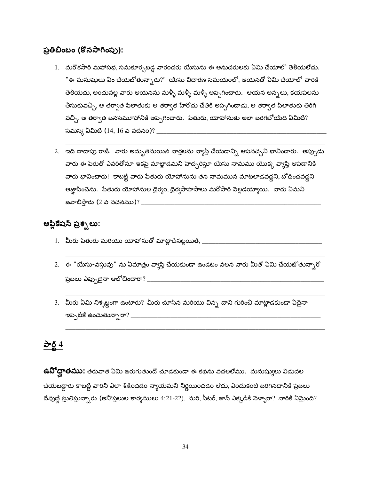#### ప్రతిబింబం (కొనసాగింపు):

- 1. మరొకసారి మహాసభ, సమకూర్చబడ్డ వారందరు యేసును ఈ అనుచరులకు ఏమి చేయాలో తెలియలేదు. "ఈ మనుషులు ఏం చేయబోతున్నారు?" యేసు విచారణ సమయంలో, ఆయనతో ఏమి చేయాలో వారికి తెలియదు, అందువల్ల వారు ఆయనను మళ్ళీ మళ్ళీ మళ్ళీ అప్పగించారు. ఆయన అన్నలు, కయపలను తీసుకువచ్చి, ఆ తర్వాత పిలాతుకు ఆ తర్వాత హేరోదు చేతికి అప్పగించాడు, ఆ తర్వాత పిలాతుకు తిరిగి వచ్చి, ఆ తర్వాత జనసమూహానికి అప్పగించారు. పేతురు, యోహానుకు అలా జరగబోయేది ఏమిటి? సమస్య ఏమిటి (14, 16 వ వచనం)? \_\_\_
- 2. ఇది దాదాపు రాజీ. వారు అద్భుతమయిన వార్తలను వ్యాప్తి చేయడాన్ని ఆపవచ్చని భావించారు. అప్పుడు వారు ఈ పేరుతో ఎవరితోనూ ఇకపై మాట్లాడమని హెచ్సరిస్తూ యేసు నామము యొక్క వ్యాప్తి ఆపడానికి వారు భావించారు! కాబట్టి వారు పేతురు యోహానును తన నామమున మాటలాడవద్దని, బోధించవద్దని ఆజ్ఞాపించెను. పేతురు యోహానుల దైర్యం, దైర్యసాహసాలు మరోసారి వెల్లడయ్యాయి. వారు ఏమని

#### అప్లికేషస్ ప్రశ్నలు:

- 1. మీరు పేతురు మరియు యోహానుతో మాట్లాడినట్లయితే, \_\_\_\_\_\_\_\_\_
- 2. ఈ "యేసు-వస్తువు" ను ఏమాత్రం వ్యాప్తి చేయకుండా ఉండటం వలన వారు మీతో ఏమి చేయబోతున్నారో
- 3. మీరు ఏమి నిశ్నబ్ధంగా ఉంటారు? మీరు చూసిన మరియు విన్న దాని గురించి మాట్లాడకుండా ఏదైనా

#### <u>పార్ట్ 4</u>

ఉ**వోద్ఘాతము:** తరువాత ఏమి జరుగుతుందో చూడకుండా ఈ కథను వదలలేము. మనుష్యులు విడుదల చేయబడ్డారు కాబట్టి వారిని ఎలా శిక్షించడం న్యాయమని నిర్ణయించడం లేదు, ఎందుకంటే జరిగినదానికి ప్రజలు దేవుణ్ణి స్తుతిస్తున్నారు (అవొస్తలుల కార్యములు 4:21-22). మరి, పీటర్, జాన్ ఎక్కడికి వెళ్ళారా? వారికి ఏమైంది?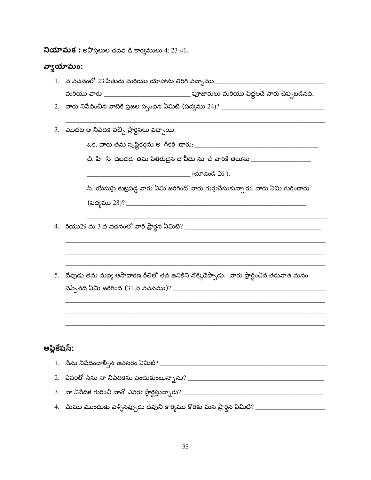$\lambda$ యామక: అవొస్తలుల చదవ డి కార్యములు 4: 23-41.

#### వ్వాయామం:

| υ           |                                                                                                      |  |  |  |
|-------------|------------------------------------------------------------------------------------------------------|--|--|--|
|             | 1.   వ వచనంలో 23 పేతురు మరియు యోహాను తిరిగి వచ్చాము __                                               |  |  |  |
|             |                                                                                                      |  |  |  |
|             |                                                                                                      |  |  |  |
|             |                                                                                                      |  |  |  |
|             | 3.   మొదట ఆ నిపేదిక వచ్చి ప్రార్ధనలు వచ్చాయి.                                                        |  |  |  |
|             |                                                                                                      |  |  |  |
|             | బి. హి సి చబడడ తమ పితరుడైన దావీదు ను డి వారికి తెలుసు ___________________________                    |  |  |  |
|             | _________________(చూడండి 26 ).                                                                       |  |  |  |
|             | సి. యేసుపై కుట్రపడ్డ వారు ఏమి జరిగిందో వారు గుర్తుచేసుకున్నారు. వారు ఏమి గుర్తించారు                 |  |  |  |
|             | (పద్యము 28)? ______                                                                                  |  |  |  |
|             |                                                                                                      |  |  |  |
|             |                                                                                                      |  |  |  |
|             |                                                                                                      |  |  |  |
|             |                                                                                                      |  |  |  |
|             |                                                                                                      |  |  |  |
|             | 5.   దేవుడు తమ మధ్య అసాధారణ రీతిలో తన ఉనికిని నొక్కిచెప్పాడు.  వారు ప్రార్ధించిన తరువాత మనం          |  |  |  |
|             |                                                                                                      |  |  |  |
|             |                                                                                                      |  |  |  |
|             |                                                                                                      |  |  |  |
|             |                                                                                                      |  |  |  |
|             |                                                                                                      |  |  |  |
| అప్లికేషస్: |                                                                                                      |  |  |  |
|             |                                                                                                      |  |  |  |
|             |                                                                                                      |  |  |  |
|             |                                                                                                      |  |  |  |
|             | 4.   మేము ముందుకు పెళ్ళినప్పుడు దేవుని కార్యము కొరకు మన ప్రార్థన ఏమిటి? ____________________________ |  |  |  |
|             |                                                                                                      |  |  |  |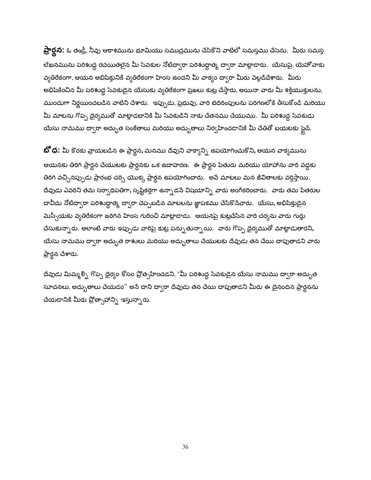**ప్రార్దన:** ఓ తండ్రీ, నీవు ఆకాశమును భూమియు సముద్రమును చేసికొని వాటిలో సమస్తము చేసెను. మీరు సమస్త లేఖనమును పరిశుద్ధ రచయితలైన మీ సేవకుల నోటిద్వారా పరిశుద్దాత్మ ద్వారా మాట్లాడారు. యేసుపై, యెహోవాకు వ్యతిరేకంగా, ఆయన అభిషిక్తునికి వ్యతిరేకంగా హింస ఉందని మీ వాక్యం ద్వారా మీరు పెల్లడిచేశారు. మీరు అభిషేకించిన మీ పరిశుద్ధ సేవకుడైన యేసుకు వ్యతిరేకంగా ప్రజలు కుట్ర చేస్తారు, అయినా వారు మీ శక్తియుక్తులను, ముందుగా నిర్ణయించబడిన వాటిని చేశారు. ఇప్పుడు, ప్రభువు, వారి బెదిరింపులను పరిగణలోకి తీసుకోండి మరియు మీ మాటను గొప్ప దైర్యముతో మాట్లాడటానికి మీ సేవకుడిని నాకు చేతనము చేయుము. మీ పరిశుద్ధ సేవకుడు యేసు నామము ద్వారా అద్భుత సంకేతాలు మరియు అద్భుతాలు నిర్వహించడానికి మీ చేతితో బయటకు స్టైచ్.

**బో ధ:** మీ కొరకు వ్రాయబడిన ఈ ప్రార్థన, మనము దేవుని వాక్యాన్ని ఉపయోగించుకొని, ఆయన వాక్యమును ఆయనకు తిరిగి ప్రార్థన చేయుటకు ప్రార్ధనకు ఒక ఉదాహరణ. ఈ ప్రార్థన పేతురు మరియు యోహాను వారి వద్దకు తిరిగి వచ్చినప్పుడు ప్రారంభ చర్చి యొక్క ప్రార్థన ఉపయోగించారు. అపే మాటలు మన జీవితాలకు వర్తిస్తాయి. దేవుడు ఎవరిని తమ సర్వాధిపతిగా, సృష్టికర్తగా ఉన్నాడనే విషయాన్ని వారు అంగీకరించారు. వారు తమ పితరుల దావీదు నోటిద్వారా పరిశుద్ధాత్మ ద్వారా చెప్పబడిన మాటలను జ్ఞాపకము చేసికొనేవారు. యేసు, అభిషిక్తుడైన మెస్సీయకు వ్యతిరేకంగా జరిగిన హింస గురించి మాట్లాడాడు. ఆయనపై కుట్రచేసిన వారి చర్యను వారు గుర్తు చేసుకున్నారు. అలాంటి వారు ఇప్పుడు వారిపై కుట్ర పన్నుతున్నాయి. వారు గొప్ప దైర్యముతో మాట్లాడుతారని, యేసు నామము ద్వారా అద్భుత రాశులు మరియు అద్భుతాలు చేయుటకు దేవుడు తన చేయి చాపుతాడని వారు ప్రార్థన చేశారు.

దేవుడు మిమ్మల్ని గొప్ప దైర్యం కోసం ప్రోత్సహించడని, "మీ పరిశుద్ధ సేవకుడైన యేసు నామము ద్వారా అద్భుత సూచనలు, అద్భుతాలు చేయడం" అసే దాని ద్వారా దేవుడు తన చేయి చాపుతాడని మీరు ఈ దైనందిన ప్రార్థనను చేయడానికి మీరు ప్రోత్సాహాన్ని ఇస్తున్నారు.

36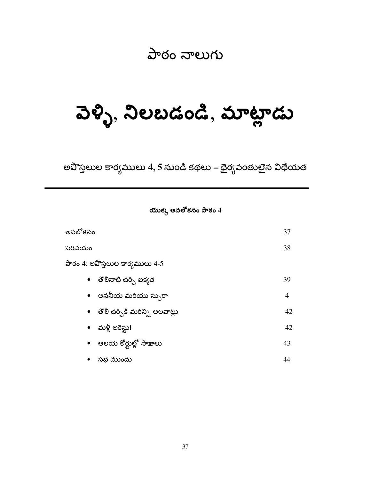#### పాఠం నాలుగు

### పెళ్ళి, నిలబడండి, మాట్లాడు

అవొస్తలుల కార్యములు 4, 5 నుండి కథలు – దైర్యవంతులైన విధేయత

యొక్క అవలోకనం పాఠం  $4$ 

| అవలోకనం                           | 37             |
|-----------------------------------|----------------|
| పరిచయం                            | 38             |
| పాఠం 4: అవొస్తలుల కార్యములు 4-5   |                |
| •    తొలినాటి చర్చి ఐక్యత         | 39             |
| •   అననీయ మరియు స్పురా            | $\overline{4}$ |
| •   తొలి చర్చికి మరిన్ని అలవాట్లు | 42             |
| • మళ్లీ అరెస్టు!                  | 42             |
| •    ఆలయ కోర్టుల్లో సాక్షాలు      | 43             |
| • సభ ముందు                        | 44             |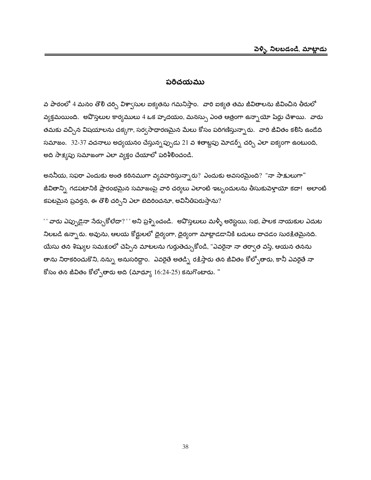#### పరిచయము

వ పాఠంలో 4 మనం తొలి చర్చి విశ్వాసుల ఐక్యతను గమనిస్తాం. వారి ఐక్యత తమ జీవితాలను జీవించిన తీరులో వ్యక్తమయింది. అవొస్తలుల కార్యములు 4 ఒక హృదయం, మనస్సు ఎంత ఆత్రంగా ఉన్నాయో షేర్లు చేశాయి. వారు తమకు వచ్చిన విషయాలను చక్కగా, సర్వసాధారణమైన మేలు కోసం పరిగణిస్తున్నారు. వారి జీవితం కలిసి ఉండేది సమాజం. 32-37 వచనాలు అధ్యయనం చేస్తున్నప్పుడు 21 వ శతాబ్దపు మోడర్స్ చర్చి ఎలా ఐక్యంగా ఉంటుంది, అది సాక్ష్యపు సమాజంగా ఎలా వ్యక్తం చేయాలో పరిశీలించండి.

అననీయ, సఫరా ఎందుకు అంత కఠినముగా వ్యవహరిస్తున్నారు? ఎందుకు అవసరమైంది? "నా సాక్షులుగా" జీవితాన్ని గడపటానికి ప్రారంభమైన సమాజంపై వారి చర్యలు ఎలాంటి ఇబ్బందులను తీసుకుపెళ్తాయో కదా! అలాంటి కపటమైన ప్రవర్తన, ఈ తొలి చర్చిని ఎలా బెదిరించనూ, అవినీతిపరుస్తాను?

'' వారు ఎప్పుడైనా సేర్చుకోలేదా?''' అని ప్రశ్నించండి. అవొస్తలులు మళ్ళీ అరెస్టయి, సభ, పాలక నాయకుల ఎదుట నిలబడి ఉన్నారు. అవును, ఆలయ కోర్టులలో దైర్యంగా, దైర్యంగా మాట్లాడడానికి బదులు దాచడం సురక్షితమైనది. యేసు తన శిష్యుల సమక్షంలో చెప్పిన మాటలను గుర్తుతెచ్చుకోండి, "ఎవరైనా నా తర్వాత వస్తే, ఆయన తనను తాను నిరాకరించుకొని, నన్ను అనుసరిద్దాం. ఎవరైతే అతడ్ని రక్షిస్తారు తన జీవితం కోల్పోతారు, కానీ ఎవరైతే నా కోసం తన జీవితం కోల్పోతారు అది (మాథ్యూ 16:24-25) కనుగొంటారు. "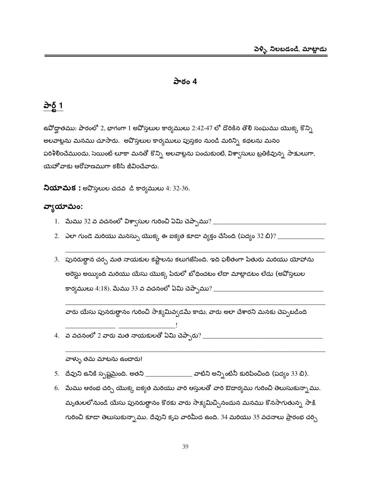#### పాఠం 4

#### <u>పార్ట్ 1</u>

ఉవోద్ఘాతము: పాఠంలో 2, భాగంగా 1 అవోస్తలుల కార్యములు 2:42-47 లో దొరికిన తొలి సంఘము యొక్క కొన్ని అలవాట్లను మనము చూసారు. అవొస్తలుల కార్యములు పుస్తకం నుండి మరిన్ని కథలను మనం పరిశీలించేముందు, సెయింట్ లూకా మనతో కొన్ని అలవాట్లను పంచుకుంటే, విశా్సులు బ్రతికివున్న సాక్షులుగా, యెహోవాకు ఆరోహణముగా కలిసి జీవించేవారు.

 $\lambda$ యామక: అవొస్తలుల చదవ డి కార్యములు 4: 32-36.

#### వ్వాయామం:

- 
- 
- 3. పునరుత్థాన చర్చ మత నాయకుల కష్టాలను కలుగజేసింది. ఇది ఫలితంగా పేతురు మరియు యోహాను అరెస్టు అయ్యింది మరియు యేసు యొక్క పేరులో బోధించటం లేదా మాట్లాడటం లేదు (అపోస్తలుల

వారు యేసు పునరుత్థానం గురించి సాక్ష్యమివ్వడమే కాదు, వారు అలా చేశారని మనకు చెప్పటడింది

#### వాళ్ళు తమ మాటను ఉంచారు!

- 5. దేవుని ఉనికి స్పష్టమైంది. అతని \_\_\_\_\_\_\_\_\_\_\_\_\_\_\_\_ వాటిని అన్నింటినీ కురిపించింది (పద్యం 33 బి).
- 6. మేము ఆరంభ చర్చి యొక్క ఐక్యత మరియు వారి ఆస్తులతో వారి ఔదార్యము గురించి తెలుసుకున్నాము. మృతులలోనుండి యేసు పునరుత్థానం కొరకు వారు సాక్ష్యమిచ్చినందున మనము కొనసాగుతున్న సాక్షి గురించి కూడా తెలుసుకున్నాము. దేవుని కృప వారిమీద ఉంది. 34 మరియు 35 వచనాలు ప్రారంభ చర్చి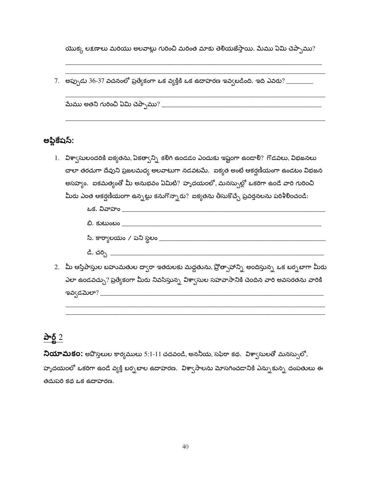యొక్క లక్షణాలు మరియు అలవాట్లు గురించి మరింత మాకు తెలియజేస్తాయి. మేము ఏమి చెప్పాము?

7. అప్పుడు 36-37 వచనంలో ప్రత్యేకంగా ఒక వ్యక్తికి ఒక ఉదాహరణ ఇవ్వబడింది. ఇది ఎవరు? \_\_\_\_\_\_\_\_\_

| మేము అతని గురించి ఏమి చెప్పాము? |  |  |  |
|---------------------------------|--|--|--|
|---------------------------------|--|--|--|

#### అప్లికేషస్:

1. విశ్వాసులందరికి ఐక్యతను, ఏకత్వాన్ని కలిగి ఉండడం ఎందుకు ఇష్టంగా ఉండాలి? గొడవలు, విభజనలు చాలా తరచుగా దేవుని ప్రజలమధ్య అలవాటుగా నడవటమే. ఐక్యత అంటే ఆకర్షణీయంగా ఉండటం విభజన అసహ్యం. ఐకమత్వంతో మీ అనుభవం ఏమిటి? హృదయంలో, మనస్సుల్లో ఒకరిగా ఉండే వారి గురించి మీరు ఎంత ఆకర్షణీయంగా ఉన్నట్లు కనుగొన్నారు? ఐక్యతను తీసుకొచ్చే ప్రవర్తనలను పరిశీలించండి:



ఎలా ఉండవచ్చు? ప్రత్యేకంగా మీరు నివసిస్తున్న విశ్వాసుల సహవాసానికి చెందిన వారి అవసరతను వారికి 

#### <u>పార్ట్ 2</u>

నియామకం: అపొస్తలుల కార్యములు 5:1-11 చదవండి, అననీయ, సఫేరా కథ. విశ్వాసులతో మనస్సులో, హృదయంలో ఒకరిగా ఉండే వ్యక్తి బర్చబాల ఉదాహరణ. విశ్వాసాలను మోసగించడానికి ఎన్నుకున్న దంపతులు ఈ తదుపరి కథ ఒక ఉదాహరణ.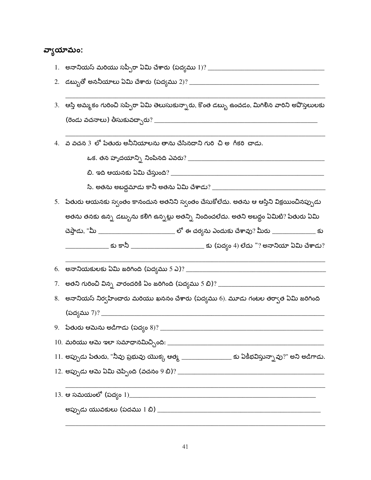#### వ్యాయామం:

- 
- 
- 3. ఆస్తి అమ్మకం గురించి సప్పిరా ఏమి తెలుసుకున్నారు, కొంత డబ్బు ఉంచడం, మిగిలిన వారిని అపొస్తలులకు
- 4. వ వచన 3 లో పేతురు అనీనియాలను తాను చేసినదాని గురి చి అ గీకరి చాడు.

- 5. పేతురు ఆయనకు స్వంతం కానందున అతనిని స్వంతం చేసుకోలేదు. అతను ఆ ఆస్తిని విక్రయించినప్పుడు అతను తనకు ఉన్న డబ్బును కలిగి ఉన్నట్లు అతన్ని నిందించలేదు. అతని అబద్దం ఏమిటి? పేతురు ఏమి చెప్తాడు, "మీ \_\_\_\_\_\_\_\_\_\_\_\_\_\_\_\_\_\_\_\_\_\_\_\_\_\_\_\_ లో ఈ చర్యను ఎందుకు చేశావు? మీరు \_\_\_\_\_\_\_\_\_\_\_\_\_\_\_\_ కు
	- \_\_\_\_\_\_\_\_\_\_\_\_\_\_\_ కు కానీ \_\_\_\_\_\_\_\_\_\_\_\_\_\_\_\_\_\_\_\_\_\_\_\_\_\_\_\_ కు (పద్యం 4) లేదు "? అనానియా ఏమి చేశాడు?

- 
- 8. అనానియస్ నిర్వహించారు మరియు ఖననం చేశారు (పద్యము 6). మూడు గంటల తర్వాత ఏమి జరిగింది <u> 1980 - Johann Barn, mars ar breithinn ar chwaraeth a bhaile ann an t-</u>

11. అప్పుడు పేతురు, "నీవు ప్రభువు యొక్క ఆత్మ \_\_\_\_\_\_\_\_\_\_\_\_\_\_\_\_\_\_\_\_\_ కు ఏకీభవిస్తున్నావు?" అని అడిగాడు.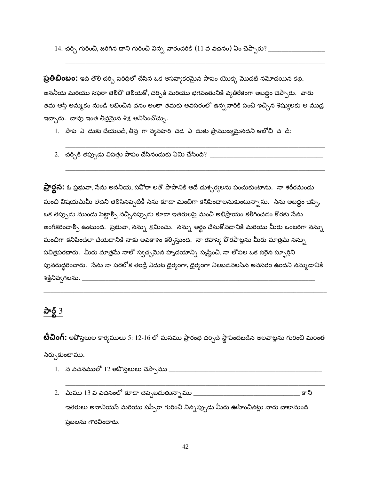**ప్రతిబింబం:** ఇది తొలి చర్చి పరిధిలో చేసిన ఒక అసహ్యకరమైన పాపం యొక్క మొదటి నమోదయిన కథ. అననీయ మరియు సఫరా తెలినో తెలియకో, చర్చికి మరియు భగవంతునికి వ్యతిరేకంగా అబద్దం చెప్పారు. వారు తమ ఆస్తి అమ్మకం నుండి లభించిన ధనం అంతా తమకు అవసరంలో ఉన్నవారికి పంచి ఇచ్చిన శిష్యులకు ఆ ముద్ర ఇచ్చారు. చావు ఇంత తీవ్రమైన శిక్ష అనిపించొచ్చు.

1. పాప ఎ దుకు చేయబడి, తీవ్ర గా వ్యవహరి చడ ఎ దుకు ప్రాముఖ్యమైనదని ఆలోచి చ డి:

2. చర్చికి తప్పుడు విపత్తు పాపం చేసినందుకు ఏమి చేసింది?  $\pm$ 

**ప్రార్థన:** ఓ ప్రభువా, సేను అననీయ, సఫోరా లతో పాపానికి అదే దుశ్చర్యలను పంచుకుంటాను. నా శరీరమందు మంచి విషయమేమీ లేదని తెలిసినప్పటికీ సేను కూడా మంచిగా కనిపించాలనుకుంటున్నాను. సేను అబద్ధం చెప్పి, ఒక తప్పుడు ముందు పెట్టాల్సి వచ్చినప్పుడు కూడా ఇతరులపై మంచి అభిప్రాయం కలిగించడం కొరకు సేను అంగీకరించాల్సి ఉంటుంది. ప్రభువా, నన్ను క్షమించు. నన్ను అర్ధం చేసుకోవడానికి మరియు మీరు ఒంటరిగా నన్ను మంచిగా కనిపించేలా చేయడానికి నాకు అవకాశం కల్పిస్తుంది. నా రహస్య పొరపాట్లను మీరు మాత్రమే నన్ను పవిత్రపరదారు. మీరు మాత్రమే నాలో స్వచ్చమైన హృదయాన్ని సృష్టించి, నా లోపల ఒక సరైన స్ఫూర్తిని పునరుద్దరించారు. సేను నా పరలోక తండ్రి ఎదుట దైర్యంగా, దైర్యంగా నిలబడవలసిన అవసరం ఉందని నమ్మడానికి శక్తినివ్వగలను. \_\_\_\_\_\_\_

#### పార్ట్  $3$

**టీచింగ్:** అపోస్తలుల కార్యములు 5: 12-16 లో మనము ప్రారంభ చర్చిచే స్థాపించబడిన అలవాట్లను గురించి మరింత నేర్చుకుంటాము.

- 
- ఇతరులు అనానియస్ మరియు సప్పీరా గురించి విన్నప్పుడు మీరు ఊహించినట్లు వారు చాలామంది ప్రజలను గౌరవించారు.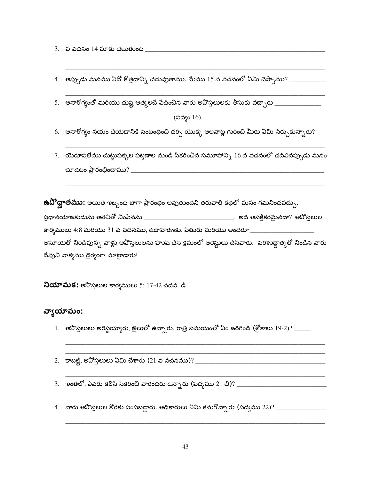4. అప్పుడు మనము ఏదో కొత్తదాన్ని చదువుతాము. మేము 15 వ వచనంలో ఏమి చెప్పాము? \_\_\_\_\_\_\_\_\_\_\_\_\_\_

5. అనారోగ్యంతో మరియు దుష్ట ఆత్మలచే పేధించిన వారు అపొస్తలులకు తీసుకు వచ్చారు \_\_\_\_\_\_\_\_\_\_\_\_\_\_\_\_\_\_\_\_\_\_\_\_\_\_\_\_\_\_\_\_\_

\_\_\_\_\_\_\_\_\_\_\_\_\_\_\_\_\_\_\_\_\_ (పద్యం 16).

6. అనారోగ్యం నయం చేయడానికి సంబంధించి చర్చి యొక్క అలవాట్ల గురించి మీరు ఏమి నేర్చుకున్నారు?

7. యెరూషలేము చుట్టుపక్కల పట్టణాల నుండి సేకరించిన సమూహాన్ని  $16$  వ వచనంలో చదివినప్పుడు మనం

 $\mathop{\hbox{\rm \#}}\nolimits\mathop{\hbox{\rm Q}}\nolimits$ ితము: అయితే ఇబ్బంది బాగా ప్రారంభం అవుతుందని తరువాతి కథలో మనం గమనించవచ్చు. 

అసూయతో నిండివున్న వాళ్లు అవొస్తలులను హుష్ చేసే క్రమంలో అరెస్టులు చేసేవారు. పరిశుద్ధాత్మతో నిండిన వారు దేవుని వాక్యము దైర్యంగా మాట్లాడారు!

**నియామక:** అవొస్తలుల కార్యములు 5: 17-42 చదవ డి

#### వ్యాయామం:

- 1. అవొస్తలులు అరెస్టయ్యారు, జైలులో ఉన్నారు. రాత్రి సమయంలో ఏం జరిగింది (శ్లోకాలు 19-2)? \_\_\_\_\_
- 2. కాబట్టి, అపోస్తలులు ఏమి చేశారు (21 వ వచనము)? \_\_\_\_\_\_\_\_\_\_\_\_\_\_\_\_\_\_\_\_\_\_\_\_\_\_\_\_\_\_\_\_\_
- 
-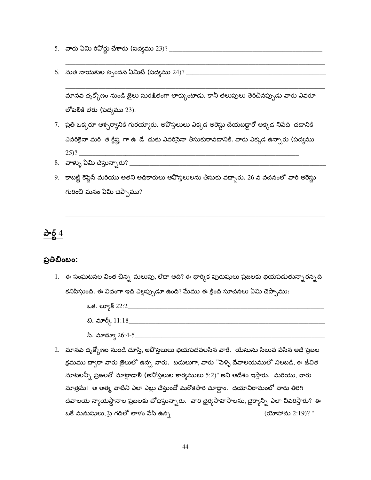- 
- 

మానవ దృక్కోణం నుండి జైలు సురక్షితంగా లాక్కుంటాడు. కానీ తలుపులు తెరిచినప్పుడు వారు ఎవరూ లోపలికి లేరు (పద్యము  $23$ ).

- 7. ప్రతి ఒక్కరూ ఆశ్చర్యానికి గురయ్యారు. అవొస్తలులు ఎక్కడ అరెస్టు చేయబడ్డారో అక్కడ నిపేది చడానికి ఎవరికైనా మరి త క్లిష్ట గా ఉ డే దుకు ఎవరిసైనా తీసుకురావడానికి. వారు ఎక్కడ ఉన్నారు (పద్యము  $(25)?$
- 
- 9. కాబట్టి కెప్టెన్ మరియు అతని అధికారులు అపొస్తలులను తీసుకు వచ్చారు. 26 వ వచనంలో వారి అరెస్టు గురించి మనం ఏమి చెప్పాము?

పార్ట్  $4$ 

#### ప్రతిబింబం:

1. ఈ సంఘటనల వింత చిన్న మలుపు, లేదా అది? ఈ ధార్మిక పురుషులు ప్రజలకు భయపడుతున్నారన్నది కనిపిస్తుంది. ఈ విధంగా ఇది ఎల్లప్పుడూ ఉంది? మేము ఈ క్రింది సూచనలు ఏమి చెప్పాము:

| ఒక. ల్యూక్ 22:2_              |  |  |
|-------------------------------|--|--|
| బి. మార్క్ 11:18 <sub>-</sub> |  |  |
| <u>పి. మాదూఁ 26.4-5</u>       |  |  |

2. మానవ దృక్కోణం నుండి చూస్తే, అవొస్తలులు భయపడవలసిన వారే. యేసును సిలువ పేసిన అదే ప్రజల క్రమము దా్ారా వారు జైలులో ఉన్న వారు. బదులుగా, వారు "పెళ్ళి దేవాలయములో నిలబడి, ఈ జీవిత మాటలన్నీ ప్రజలతో మాట్లాడా<mark>లి (</mark>అవోస్తలుల కార్యములు 5:2)" అని ఆదేశం ఇస్తారు. మరియు, వారు మాత్రమే! ఆ ఆత్మ వాటిని ఎలా ఎట్లు చేస్తుందో మరొకసారి చూద్దాం. దయావిరామంలో వారు తిరిగి దేవాలయ న్యాయస్థానాల ప్రజలకు బోధిస్తున్నారు. వారి దైర్యసాహసాలను, దైర్యాన్ని ఎలా వివరిస్తారు? ఈ ఒకే మనుషులు, పై గదిలో తాళం పేసి ఉన్న \_\_\_\_\_\_\_\_\_\_\_\_\_\_\_\_\_\_\_\_\_\_\_\_\_\_\_\_\_\_\_\_ (యోహాను 2:19)? "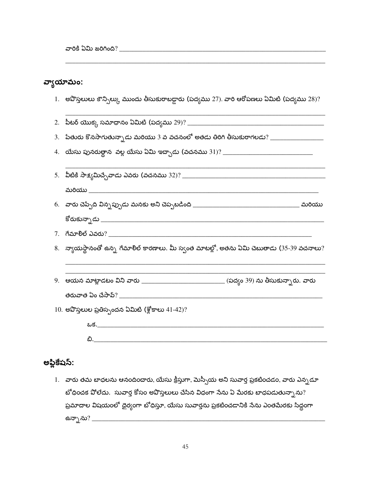#### వ్యాయామం:

1. అవొస్తలులు కౌన్సిల్కు ముందు తీసుకురాబడ్డారు (పద్యము 27). వారి ఆరోపణలు ఏమిటి (పద్యము 28)?

| $8.$ న్యాయస్థానంతో ఉన్న గేమాలిల్ కారణాలు. మీ స్వంత మాటల్లో, అతను ఏమి చెబుతాడు (35-39 వచనాలు? |
|----------------------------------------------------------------------------------------------|
| 9. ఆయన మాట్లాడటం విని వారు ___________________________ (పద్యం 39) ను తీసుకున్నారు. వారు      |
|                                                                                              |
| $10.$ అపొస్తలుల ప్రతిస్పందన ఏమిటి (శ్లోకాలు $41-42$ )?                                       |
| <u>ఒక.___________________________________</u>                                                |
|                                                                                              |

#### అప్లికేషస్:

1. వారు తమ బాధలను ఆనందించారు, యేసు క్రీస్తుగా, మెస్సీయ అని సువార్త ప్రకటించడం, వారు ఎన్నడూ బోధించక పోలేదు. సువార్త కోసం అవొస్తలులు చేసిన విధంగా నేను ఏ మేరకు బాధపడుతున్నాను? ప్రమాదాల విషయంలో దైర్యంగా టోధిస్తూ, యేసు సువార్తను ప్రకటించడానికి సేను ఎంతమేరకు సిద్ధంగా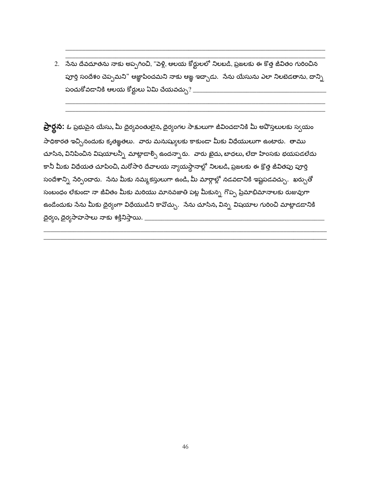2. సేను దేవదూతను నాకు అప్పగించి, "పెళ్లి, ఆలయ కోర్టులలో నిలబడి, ప్రజలకు ఈ కొత్త జీవితం గురించిన పూర్తి సందేశం చెప్పమని" ఆజ్ఞాపించమని నాకు ఆజ్ఞ ఇచ్చాడు. నేను యేసును ఎలా నిలబెడతాను, దాన్ని పంచుకోవడానికి ఆలయ కోర్టులు ఏమి చేయవచ్చు $?$  \_\_\_\_\_\_\_

**ప్రార్థన:** ఓ ప్రభుపైన యేసు, మీ దైర్యవంతులైన, దైర్యంగల సాక్షులుగా జీవించడానికి మీ అవొస్తలులకు స్వయం సాధికారత ఇచ్చినందుకు కృతఙ్ఞతలు. వారు మనుష్యులకు కాకుండా మీకు విధేయులుగా ఉంటారు. తాము చూసిన, వినిపించిన విషయాలన్నీ మాట్లాడాల్సి ఉందన్నారు. వారు ఖైదు, బాధలు, లేదా హింసకు భయపడలేదు కానీ మీకు విధేయత చూపించి, మరోసారి దేవాలయ న్యాయస్థానాల్లో నిలబడి, ప్రజలకు ఈ క్రొత్త జీవితపు పూర్తి సందేశాన్ని సేర్పించారు. సేను మీకు నమ్మకస్తులుగా ఉండి, మీ మార్గాల్లో నడవడానికి ఇష్టపడవచ్చు. ఖర్చుతో సంబంధం లేకుండా నా జీవితం మీకు మరియు మానవజాతి పట్ల మీకున్న గొప్ప ప్రేమాభిమానాలకు రుజువుగా ఉండేందుకు సేను మీకు దైర్యంగా విధేయుడిని కావొచ్చు. సేను చూసిన, విన్న విషయాల గురించి మాట్లాడడానికి దైర్యం, దైర్యసాహసాలు నాకు శక్తినిస్తాయి.  $\_$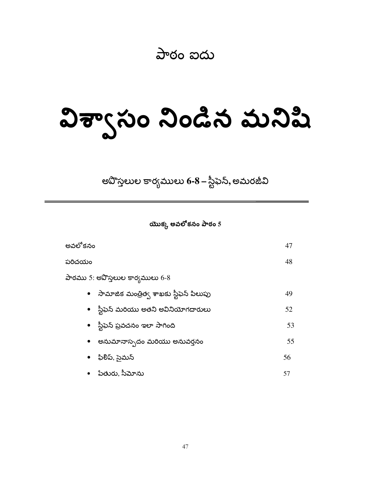పాఠం ఐదు

# విశ్వాసం నిండిన మనిషి

అవొస్తలుల కార్యములు 6-8 – స్టీఫెన్, అమరజీవి

యొక్క అవలోకనం పాఠం 5

| అవలోకనం                                              | 47 |
|------------------------------------------------------|----|
| పరిచయం                                               | 48 |
| పాఠము 5: అపొస్తలుల కార్యములు 6-8                     |    |
| సామాజిక మంత్రిత్వ శాఖకు స్టీఫెన్ పిలుపు<br>$\bullet$ | 49 |
| • ్ష్టీఫెన్ మరియు అతని అవినియోగదారులు                | 52 |
| • ్ష్టీఫెన్ ప్రవచనం ఇలా సాగింది                      | 53 |
| అనుమానాస్పదం మరియు అనువర్తనం<br>$\bullet$            | 55 |
| ఫిలిప్, సైమన్<br>$\bullet$                           | 56 |
| పేతురు, సీమోను                                       | 57 |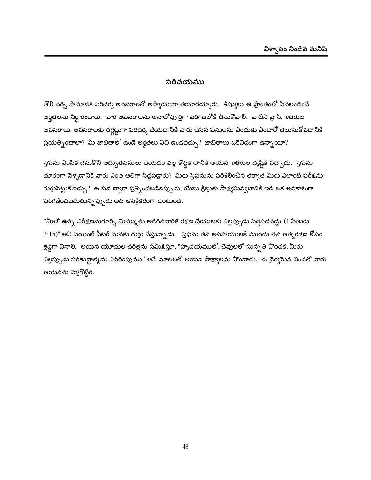#### పరిచయము

తొలి చర్చి సామాజిక పరిచర్య అవసరాలతో అప్యాయంగా తయారయ్యారు. శిష్యులు ఈ ప్రాంతంలో సేవలందించే అర్హతలను నిర్ధారించారు. వారి అవసరాలను అనాలోపూర్తిగా పరిగణలోకి తీసుకోవాలి. వాటిని వ్రాసి, ఇతరుల అవసరాలు, అవసరాలకు తగ్గట్టుగా పరిచర్య చేయడానికి వారు చేసిన పనులను ఎందుకు ఎందారో తెలుసుకోవడానికి ప్రయత్నిందాలా? మీ జాబితాలో ఉండే అర్హతలు ఏవి ఉండవచ్చు? జాబితాలు ఒకేవిధంగా ఉన్నాయా?

స్తెఫను ఎంపిక చేసుకొని అద్భుతపనులు చేయడం వల్ల కొద్దికాలానికే ఆయన ఇతరుల దృష్టికి వచ్చాడు. స్తెఫను దూరంగా పెళ్ళడానికి వారు ఎంత అతిగా సిద్దపడ్డారు? మీరు స్తెఫనును పరిశీలించిన తర్వాత మీరు ఎలాంటి పరీక్షను గుర్తుపెట్టుకోవచ్చు? ఈ సభ ద్వారా ప్రశ్నించబడినప్పుడు, యేసు క్రీస్తుకు సాక్ష్యమివ్వటానికి ఇది ఒక అవకాశంగా పరిగణించబడుతున్నప్పుడు అది ఆసక్తికరంగా ఉంటుంది.

"మీలో ఉన్న నిరీక్షణనుగూర్చి మిమ్మును అడిగినవారికి రక్షణ చేయుటకు ఎల్లప్పుడు సిద్ధపడవద్దు (1 పేతురు  $3:15)$ " అని సెయింట్ పీటర్ మనకు గుర్తు చేస్తున్నాడు.  $\,$ స్తెఫను తన అసహాయులకి ముందు తన ఆత్మరక్షణ కోసం శ్రద్ధగా వినాలి. ఆయన యూదుల చరిత్రను సమీక్షిస్తూ, "హృదయములో, చెవులలో సున్న తి పొందక, మీరు ఎల్లప్పుడు పరిశుద్దాత్మను ఎదిరింపుము" అసే మాటలతో ఆయన సాక్ష్యాలను పొందాడు. ఈ దైర్యమైన నిందతో వారు ఆయనను పెళ్లగొట్టిరి.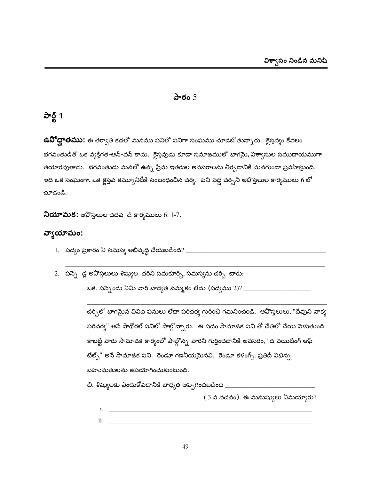#### పాఠం  $5$

#### <u>పార్ట్ 1</u>

**ఉవోద్ఘాతము:** ఈ తర్వాతి కథలో మనము పనిలో పనిగా సంఘము చూడబోతున్నారు. కైస్తవ్యం కేవలం భగవంతుడితో ఒక వ్యక్తిగత-ఆన్-వన్ కాదు. క్రైస్తవుడు కూడా సమాజములో భాగమై, విశ్వాసుల సముదాయముగా తయారవుతాడు. భగవంతుడు మనలో ఉన్న ప్రేమ ఇతరుల అవసరాలను తీర్చడానికి మనగుండా ప్రవహిస్తుంది. ఇది ఒక సంఘంగా, ఒక కైస్తవ కమ్యూనిటీకి సంబంధించిన చర్య. పని వద్ద చర్చిని అవొస్తలుల కార్యములు 6 లో చూడండి.

**నియామక:** అపొస్తలుల చదవ డి కార్యములు 6: 1-7.

#### వ్యాయామం:

- 1. పద్యం ప్రకారం ఏ సమస్య అభివృద్ధి చేయబడింది? \_\_\_\_\_\_\_\_\_\_\_\_\_\_\_
- 2. పన్నె డ్ల అవొస్తలులు శిష్యుల దరినీ సమకూర్చి, సమస్యను చర్చి చారు:

చర్చిలో భాగమైన వివిధ పనులు లేదా పరిచర్య గురించి గమనించండి. అవొస్తలులు, "దేవుని వాక్య పరిచర్య" అసే పాథోరల్ పనిలో పాల్గొన్నారు. ఈ పదం సామాజిక పని తో చేతిలో చేయి పెళుతుంది కాబట్టి వారు సామాజిక కార్యంలో పాల్గొన్న వారిని గుర్తించడానికి అవసరం, "ది పెయిటింగ్ ఆఫ్ టేల్స్" అనే సామాజిక పని. రెండూ గణనీయమైనవి. రెండూ కళింగ్స్. ప్రతిదీ విభిన్న బహుమతులను ఉపయోగించుకుంటుంది. బి. శిష్యులకు ఎంచుకోవడానికి బాధ్యత అప్పగించబడింది \_\_\_\_\_\_\_\_\_\_\_\_\_\_\_  $\mathbf{i}$ .  $\mathbf{j}$  $\ddot{\mathbf{i}}$ .  $\ddot{\mathbf{j}}$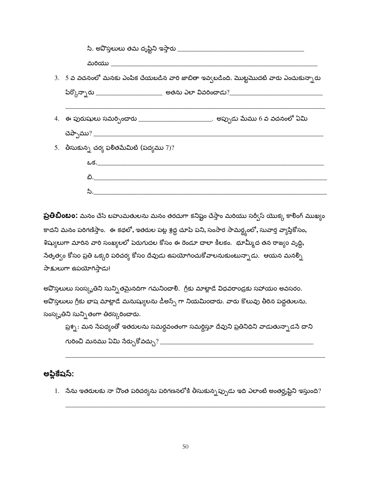| సి. అవొస్తలులు తమ దృష్టిని ఇస్తారు __________ |                                                                                              |
|-----------------------------------------------|----------------------------------------------------------------------------------------------|
| మరియు సంస్థ కార్యాలు ఉండి ఉండి అవ             |                                                                                              |
|                                               | $3. \;\; 5$ వ వచనంలో మనకు ఎంపిక చేయబడిన వారి జాబితా ఇవ్వబడింది. మొట్టమొదటి వారు ఎంచుకున్నారు |
|                                               |                                                                                              |
|                                               | 4.   ఈ పురుషులు సమర్పించారు _________________________.  అప్పుడు మేము 6 వ వచనంలో ఏమి          |
| 5. తీసుకున్న చర్య ఫలితమేమిటి (పద్యము $7$ )?   |                                                                                              |
| <u>ఒక._____________________________</u>       |                                                                                              |
| ಬಿ. ______________                            |                                                                                              |
| <u>సి. _______</u>                            |                                                                                              |

**ప్రతిబింబం:** మనం చేసే బహుమతులను మనం తరచుగా కనిష్టం చేస్తాం మరియు సర్వీస్ యొక్క కాలింగ్ ముఖ్యం కాదని మనం పరిగణిస్తాం. ఈ కథలో, ఇతరుల పట్ల శ్రద్ధ చూపే పని, సంసార సామర్థ్యంలో, సువార్త వ్యాప్తికోసం, శిష్యులుగా మారిన వారి సంఖ్యలలో పెరుగుదల కోసం ఈ రెండూ చాలా కీలకం. భూమ్మీద తన రాజ్యం వృద్ధి, సేతృత్వం కోసం ప్రతి ఒక్కరి పరిచర్య కోసం దేవుడు ఉపయోగించుకోవాలనుకుంటున్నాడు. ఆయన మనల్సి సాక్షులుగా ఉపయోగిస్తాడు!

అవొస్తలులు సంస్కృతిని సున్ని తమైనదిగా గమనించాలి. గ్రీకు మాట్లాడే విధవరాండ్రకు సహాయం అవసరం. అవొస్తలులు గ్రీకు భాష మాట్లాడే మనుష్యులను డీఅన్స్ గా నియమించారు. వారు కొలువు తీరిన పద్ధతులను, సంస్కృతిని సున్ని తంగా తిరస్కరించారు.

ప్రశ్న : మన సేపథ్యంతో ఇతరులను సమర్ధవంతంగా సమర్థిస్తూ దేవుని ప్రతినిధిని వాడుతున్నాడసే దాని గురించి మనము ఏమి సేర్చుకోవచ్చు? \_\_\_\_\_

#### అప్లికేషస్:

 $1.$  నేను ఇతరులకు నా నొంత పరిచర్యను పరిగణనలోకి తీసుకున్నప్పుడు ఇది ఎలాంటి అంతర్శ్రష్టిని ఇస్తుంది?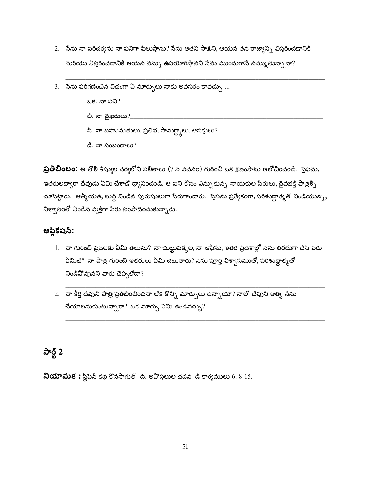- 2. నేను నా పరిచర్యను నా పనిగా పిలుస్తాను? నేను అతని సాక్షిని, ఆయన తన రాజ్యాన్ని విస్తరించడానికి మరియు విస్తరించడానికి ఆయన నన్ను ఉపయోగిస్తానని సేను ముందుగాసే నమ్ముతున్నానా? \_\_\_\_\_\_\_\_\_\_
- 3. నేను పరిగణించిన విధంగా ఏ మార్పులు నాకు అవసరం కావచ్చు ...



ప్రతిబింబం: ఈ తొలి శిష్యుల చర్యలోని ఫలితాలు (7 వ వచనం) గురించి ఒక క్షణంపాటు ఆలోచించండి. స్తెఫను, ఇతరులద్వారా దేవుడు ఏమి చేశాడో ధ్యానించండి. ఆ పని కోసం ఎన్నుకున్న నాయకుల పేరులు, దైవభక్తి పాత్రల్ని చూపెట్టారు. ఆత్మీయత, బుద్ధి నిండిన పురుషులుగా పేరుగాంచారు. స్తెఫను ప్రత్యేకంగా, పరిశుద్ధాత్మతో నిండియున్న, విశ్వాసంతో నిండిన వ్యక్తిగా పేరు సంపాదించుకున్నారు.

#### అప్లికేషస్:

- 1. నా గురించి ప్రజలకు ఏమి తెలుసు? నా చుట్టుపక్కల, నా ఆఫీసు, ఇతర ప్రదేశాల్లో సేను తరచుగా చేసే పేరు ఏమిటి? నా పాత్ర గురించి ఇతరులు ఏమి చెబుతారు? సేను పూర్తి విశా్సముతో, పరిశుద్ధాత్మతో
- 2. నా కీర్తి దేవుని పాత్ర ప్రతిబింబించనా లేక కొన్ని మార్పులు ఉన్నాయా? నాలో దేవుని ఆత్మ సేను

#### $\frac{\partial^2 \delta}{\partial x^2}$

**నియామక:** స్టీఫైన్ కథ కొనసాగుతో ది. అపొస్తలుల చదవ డి కార్యములు 6: 8-15.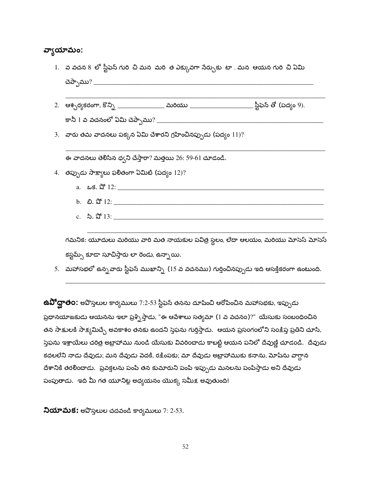#### వ్యాయామం:

- 1. వ వచన 8 లో స్టీఫెన్ గురి చి మన మరి త ఎక్కువగా సేర్చుకు టా . మన ఆయన గురి చి ఏమి
- 2. ఆశ్చర్యకరంగా, కొన్ని \_\_\_\_\_\_\_\_\_\_\_\_\_\_\_ మరియు \_\_\_\_\_\_\_\_\_\_\_\_\_\_\_\_\_\_\_\_ స్టీఫెన్ తో (పద్యం 9).
- 3. వారు తమ వాదనలు పక్కన ఏమి చేశారని గ్రహించినప్పుడు (పద్యం 11)?

ఈ వాదనలు తెలిసిన ధ్వని చేస్తారా? మత్తయి 26: 59-61 చూడండి.

- 4. తప్పుడు సాక్ష్యాలు ఫలితంగా ఏమిటి (పద్యం 12)?
	-
	- b.  $2.2^{\circ}12$ :
	- c.  $2 \cdot 2 \cdot 3 \cdot 13$ :

గమనిక: యూదులు మరియు వారి మత నాయకుల పవిత్ర స్థలం, లేదా ఆలయం, మరియు మోసెస్ మోసెస్ కస్టమ్స్ కూడా సూచిస్తారు లా రెండు, ఉన్నాయి.

5. మహాసభలో ఉన్న వారు స్టీఫెన్ ముఖాన్ని (15 వ వచనము) గుర్తించినప్పుడు ఇది ఆసక్తికరంగా ఉంటుంది.

**ఉవిో ద్ఘాతo:** అపొస్తలుల కార్యములు 7:2-53 స్టీఫెన్ తనను దూషించి ఆరోపించిన మహాసభకు, ఇప్పుడు ప్రధానయాజకుడు ఆయనను ఇలా ప్రశ్నిస్తాడు, "ఈ ఆపేశాలు సత్వమా (1 వ వచనం)?" యేసుకు సంబంధించిన తన సాక్షులకి సాక్ష్యమిచ్చే అవకాశం తనకు ఉందని స్తెప్టను గుర్తిస్తాడు. ఆయన ప్రసంగంలోని సంక్షిప్త ప్రతిని చూసి, స్తెఫను ఇశ్రాయేలు చరిత్ర అబ్రాహాము నుండి యేసుకు వివరించాడు కాబట్టి ఆయన పనిలో దేవుణ్ణి చూడండి. దేవుడు కదలలేని నాడు దేవుడు; మన దేవుడు పెదకి, రక్షింపకు; మా దేవుడు అబ్రాహాముకు కనాను, మోషేను వాగ్దాన దేశానికి తరలించాడు. ప్రవక్తలను పంపి తన కుమారుని పంపి ఇప్పుడు మనలను పంపిస్తాడు అని దేవుడు పంపుతాడు. ఇది మీ గత యూనిట్ల అధ్యయనం యొక్క సమీక్ష అవుతుంది!

ని**యామక:** అవొస్తలుల చదవండి కార్వములు 7: 2-53.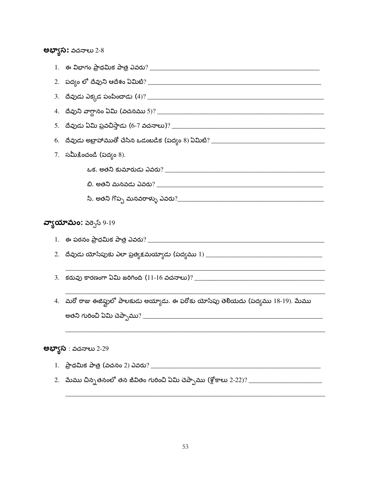#### **అభ్యాస:** వచనాలు 2-8

| 3. |                                                                                                      |  |  |  |
|----|------------------------------------------------------------------------------------------------------|--|--|--|
| 4. |                                                                                                      |  |  |  |
| 5. |                                                                                                      |  |  |  |
| 6. | <u>దేవుడు అబ్రాహాముతో చేసిన ఒడంబడిక (పద్యం 8) ఏమిటి? ______________________________</u>              |  |  |  |
|    | $7.$ సమీక్షించండి (పద్యం $8$ ).                                                                      |  |  |  |
|    |                                                                                                      |  |  |  |
|    |                                                                                                      |  |  |  |
|    |                                                                                                      |  |  |  |
|    | వ్యాయామం: వెర్సెస్ 9-19                                                                              |  |  |  |
|    |                                                                                                      |  |  |  |
|    |                                                                                                      |  |  |  |
| 3. |                                                                                                      |  |  |  |
|    | 4.   మరో రాజు ఈజిఫ్టులో పాలకుడు అయ్యాడు. ఈ ఫరోకు యోసేపు తెలియదు (పద్యము 18-19). మేము                 |  |  |  |
|    |                                                                                                      |  |  |  |
|    |                                                                                                      |  |  |  |
|    | <b>అభ్యాస</b> : వచనాలు 2-29                                                                          |  |  |  |
|    |                                                                                                      |  |  |  |
|    | 2.   మేము చిన్నతనంలో తన జీవితం గురించి ఏమి చెప్పాము (శ్లోకాలు 2-22)? _______________________________ |  |  |  |
|    |                                                                                                      |  |  |  |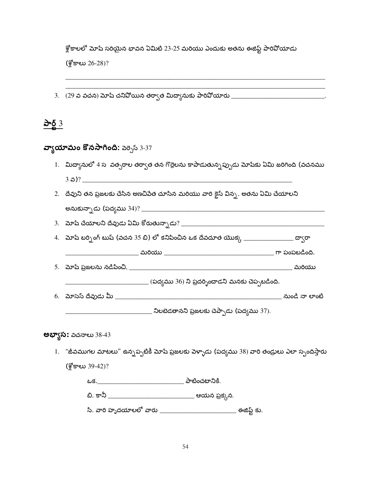శ్లోకాలలో మోషే సరియైన భావన ఏమిటి 23-25 మరియు ఎందుకు అతను ఈజిప్ట్ పారివోయాడు  $\frac{15}{2}$ కాలు 26-28)?

3.  $(29 \text{ s } 32 \text{ s } 32 \text{ s } 32 \text{ s } 32 \text{ s } 32 \text{ s } 32 \text{ s } 32 \text{ s } 32 \text{ s } 32 \text{ s } 32 \text{ s } 32 \text{ s } 32 \text{ s } 32 \text{ s } 32 \text{ s } 32 \text{ s } 32 \text{ s } 32 \text{ s } 32 \text{ s } 32 \text{ s } 32 \text{ s } 32 \text{ s } 32 \text{ s } 32 \text{ s } 32 \text{ s } 32 \text{ s } 32 \text{ s }$ 

<u>పార్ట్ 3</u>

#### వ్వాయామం కొనసాగింది: వెర్సెస్ 3-37

- 1. మిద్యానులో 4 స వత్సరాల తర్వాత తన గొర్రెలను కాపాడుతున్నప్పుడు మోషేకు ఏమి జరిగింది (వచనము
- 2. దేవుని తన ప్రజలకు చేసిన అణచిపేత చూసిన మరియు వారి కైస్ విన్న. అతను ఏమి చేయాలని

4. మోషే బర్సింగ్ బుష్ (వచన 35 బి) లో కనిపించిన ఒక దేవదూత యొక్క \_\_\_\_\_\_\_\_\_\_\_\_\_\_\_\_\_\_ ద్వారా

\_\_\_\_\_\_\_\_\_\_\_\_\_\_\_\_ (పద్యము 36) ని ప్రదర్నించాడని మనకు చెప్పబడింది.

\_\_\_\_\_\_\_\_\_\_\_\_\_\_\_\_\_ నిలబెడతానని ప్రజలకు చెప్పాడు (పద్యము 37).

#### **అభ్యాస:** వచనాలు 38-43

1. "జీవముగల మాటలు" ఉన్నప్పటికీ మోషే ప్రజలకు పెళ్ళాడు (పద్యము 38) వారి తండ్రులు ఎలా స్పందిస్తారు  $\frac{25}{2}$ కాలు 39-42)?

| ఒక.                    | పాటించటానికి. |  |
|------------------------|---------------|--|
| చి. కానీ               | ఆయన ప్రక్కన.  |  |
| సి. వారి హృదయాలలో వారు | ఈజిప్ట్ కు    |  |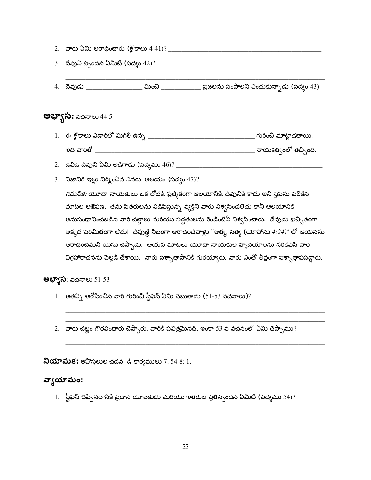|                              | 4.   దేవుడు ___________________ మించి ______________ ప్రజలను పంపాలని ఎంచుకున్నాడు (పద్యం 43).        |
|------------------------------|------------------------------------------------------------------------------------------------------|
| <b>అభ్యాస:</b> వచనాలు 44-5   |                                                                                                      |
|                              |                                                                                                      |
|                              |                                                                                                      |
|                              |                                                                                                      |
|                              |                                                                                                      |
|                              | <i>గమనిక:</i> యూదా నాయకులు ఒక చోటికి, ప్రత్యేకంగా ఆలయానికి, దేవునికి కాదు అని స్తెఫను పలికిన         |
|                              | మాటల ఆక్షేపణ.  తమ పితరులను విడిపిస్తున్న వ్యక్తిని వారు విశ్వసించలేదు కానీ ఆలయానికి                  |
|                              | అనుసంధానించబడిన వారి చట్టాలు మరియు పద్ధతులను రెండింటినీ విశ్వసించారు.  దేవుడు ఖచ్చితంగా              |
|                              | అక్కడ పరిమితంగా లేడు!  దేవుణ్ణి నిజంగా ఆరాధించేవాళ్లు "ఆత్మ, సత్య (యోహాను 4:24)" లో ఆయనను            |
|                              | ఆరాధించమని యేసు చెప్పాడు.  ఆయన మాటలు యూదా నాయకుల హృదయాలను నరికిపేసి వారి                             |
|                              | విగ్రహారాధనను పెల్లడి చేశాయి.  వారు పశ్చాత్తాపానికి గురయ్యారు. వారు ఎంతో తీవ్రంగా పశ్చాత్తాపపడ్డారు. |
| <b>అభ్యాస</b> : వచనాలు 51-53 |                                                                                                      |
|                              | 1.   అతన్ని ఆరోపించిన వారి గురించి స్టీఫెన్ ఏమి చెబుతాడు (51-53 వచనాలు)? ______                      |

2.  $\,$  వారు చట్టం గౌరవించారు చెప్పారు. వారికి పవిత్రమైనది. ఇంకా 53 వ వచనంలో ఏమి చెప్పాము?

నియామక: అపొస్తలుల చదవ డి కార్యములు 7: 54-8: 1.

#### వ్యాయామం:

1. స్టీఫెన్ చెప్పినదానికి ప్రధాన యాజకుడు మరియు ఇతరుల ప్రతిస్పందన ఏమిటి (పద్యము 54)?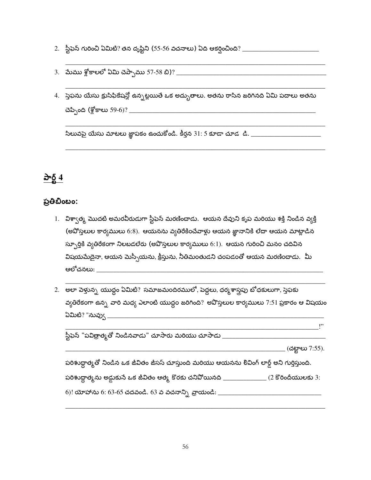- 
- 
- 4. స్తెఫను యేసు క్రుసిఫికేషన్లో ఉన్నట్లయితే ఒక అద్భుతాలు. అతను రాసిన జరిగినది ఏమి పదాలు అతను

#### <u>केई 4</u>

#### ప్రతిబింబం:

- 1. విశ్వాత్మ మొదటి అమరవీరుడుగా స్టీఫెన్ మరణించాడు. ఆయన దేవుని కృప మరియు శక్తి నిండిన వ్యక్తి (అవోస్తలుల కార్యములు 6:8). ఆయనను వ్యతిరేకించేవాళ్లు ఆయన జ్ఞానానికి లేదా ఆయన మాట్లాడిన స్ఫూర్తికి వ్యతిరేకంగా నిలబడలేరు (అవొస్తలుల కార్యములు 6:1). ఆయన గురించి మనం చదివిన విషయమేదైనా, ఆయన మెస్సీయను, క్రీస్తును, నీతిమంతుడని చంపడంతో ఆయన మరణించాడు. మీ ఆలోచనలు: \_\_\_\_\_\_\_\_\_\_\_\_\_\_\_\_\_\_\_\_\_\_
- వ్యతిరేకంగా ఉన్న వారి మధ్య ఎలాంటి యుద్ధం జరిగింది? అవొస్తలుల కార్యములు 7:51 ప్రకారం ఆ విషయం

| స్టీఫెన్ "పవిత్రాత్మతో నిండినవాడు" చూసారు మరియు చూసాడు                                        |                        |
|-----------------------------------------------------------------------------------------------|------------------------|
|                                                                                               | (చట్టాలు 7:55).        |
| పరిశుద్ధాత్మతో నిండిన ఒక జీవితం జీసస్ చూస్తుంది మరియు ఆయనను లివింగ్ లార్డ్ అని గుర్తిస్తుంది. |                        |
| పరిశుద్ధాత్మను అడ్డుకునే ఒక జీవితం ఆత్మ కొరకు చనిపోయినది __________                           | $(2$ కొరిందీయులకు $3:$ |
| 6)! యోహాను 6: 63-65 చదవండి. 63 వ వచనాన్ని వ్రాయండి: _                                         |                        |

 $, \cdot$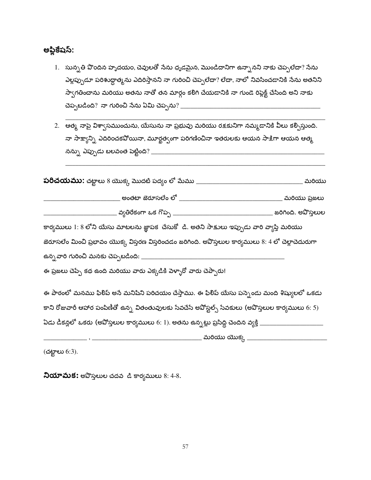అప్లికేషస్:

- 1. సున్నతి పొందిన హృదయం, చెవులతో సేను ధృడమైన, మొండిదానిగా ఉన్నానని నాకు చెప్పలేదా? సేను ఎల్లప్పుడూ పరిశుద్ధాత్మను ఎదిరిస్తానని నా గురించి చెప్పలేదా? లేదా, నాలో నివసించడానికి సేను అతనిని స్వాగతించాను మరియు అతను నాతో తన మార్గం కలిగి చేయడానికి నా గుండె రిప్లెక్ట్ చేసింది అని నాకు
- .<br>2. ఆత్మ నాపై విశ్వాసముంచును, యేసును నా ప్రభువు మరియు రక్షకునిగా నమ్మడానికి వీలు కర్పిస్తుంది. నా సాక్ష్యాన్ని ఎదిరించకవోయినా, మూర్ఖత్వంగా పరిగణించినా ఇతరులకు ఆయన సాక్షిగా ఆయన ఆత్మ

| <b>పరిచయము:</b> చట్టాలు 8 యొక్క మొదటి పద్యం లో మేము _                                                 | మరియు               |
|-------------------------------------------------------------------------------------------------------|---------------------|
| అంతటా జెరూసలేం లో                                                                                     | మరియు ప్రజలు        |
| వ్వతిరేకంగా ఒక గొప్ప $\_$                                                                             | జరిగింది. అవొస్తలుల |
| కార్యములు 1: 8 లోని యేసు మాటలను జ్ఞాపక చేసుకో  డి. అతని సాక్షులు ఇప్పుడు వారి వ్యాప్తి మరియు          |                     |
| జెరూసలేం మించి ప్రభావం యొక్క విస్తరణ విస్తరించడం జరిగింది. అవొస్తలుల కార్యములు 8: 4 లో చెల్లాచెదురుగా |                     |
| ఉన్న వారి గురించి మనకు చెప్పబడింది: __                                                                |                     |
| ఈ ప్రజలు చెప్పే కథ ఉంది మరియు వారు ఎక్కడికి పెళ్ళారో వారు చెప్పారు!                                   |                     |
| ఈ పాఠంలో మనము ఫిలిప్ అనే మనిషిని పరిచయం చేస్తాము. ఈ ఫిలిప్ యేసు పన్పెండు మంది శిష్యులలో ఒకడు          |                     |
| కాని రోజువారీ ఆహార పంపిణీతో ఉన్న వితంతువులకు సేవచేసే అవోస్టల్స్ సేవకులు (అవొస్తలుల కార్యములు 6: 5)    |                     |
| ఏడు డీకన్లలో ఒకరు (అవోస్తలుల కార్యములు 6: 1). అతను ఉన్నట్లు ప్రసిద్ది చెందిన వ్యక్తి <sub>-</sub>     |                     |
| మరియు యొక్క $-$                                                                                       |                     |

(చట్టాలు 6:3).

నియామక: అపొస్తలుల చదవ డి కార్యములు 8: 4-8.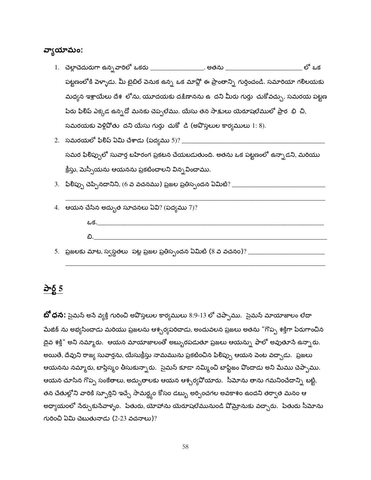#### వ్యాయామం:

- 1. చెల్లాచెదురుగా ఉన్న*వా*రిలో ఒకరు \_\_\_\_\_\_\_\_\_\_\_\_\_\_\_\_. అతను \_\_\_\_\_\_\_\_\_\_\_\_\_\_\_\_\_\_\_\_\_\_\_\_\_\_లో ఒక పట్టణంలోకి పెళ్ళాడు. మీ బైబిల్ పెనుక ఉన్న ఒక మావ్లో ఈ ప్రాంతాన్ని గుర్తించండి. సమారియా గలిలయకు మధ్యన ఇశ్రాయేలు దేశ లోను, యూదయకు దక్షిణానను ఉ దని మీరు గుర్తు చుకోవచ్చు. సమరయ పట్టణ పేరు ఫిలీప్ ఎక్కడ ఉన్నదో మనకు చెప్పలేము. యేసు తన సా<u>కు</u>లు యెరూషలేములో ప్రార*ి*భి చి, సమరయకు పెళ్లిపోతు దని యేసు గుర్తు చుకో డి (అపొస్తలుల కార్యములు  $1: 8$ ).
- సమర ఫిలిప్పులో సువార్త బహిరంగ ప్రకటన చేయబడుతుంది. అతను ఒక పట్టణంలో ఉన్నాడని, మరియు క్రీస్తు, మెస్సీయను ఆయనను ప్రకటించాలని విన్నవించాము.
- 
- 4. ఆయన చేసిన అద్భుత సూచనలు ఏవి? (పద్యము 7)? <u>ఒక.\_\_\_\_\_\_\_\_\_\_\_\_\_\_\_\_\_\_\_\_\_</u> ಬಿ.
- 

#### <u>పార్ట్ 5</u>

**బో ధన:** సైమన్ అనే వ్యక్తి గురించి అవొస్తలుల కార్యములు 8:9-13 లో చెప్పాము. సైమన్ మాయాజాలం లేదా మేజిక్ ను అభ్యసించాడు మరియు ప్రజలను ఆశ్చర్యపరిచాడు, అందువలన ప్రజలు అతను "గొప్ప శక్తిగా పేరుగాంచిన దైవ శక్తి" అని నమ్మారు. ఆయన మాయాజాలంతో అబ్బురపడుతూ ప్రజలు ఆయన్ను ఫాలో అవుతూనే ఉన్నారు. అయితే, దేవుని రాజ్య సువార్తను, యేసుక్రీస్తు నామమును ప్రకటించిన ఫిలిప్పు ఆయన పెంట వచ్చాడు. ప్రజలు ఆయనను నమ్మారు, బాప్తిస్మం తీసుకున్నారు. సైమన్ కూడా నమ్మించి బాప్టిజం పొందాడు అని మేము చెప్పాము. ఆయన చూసిన గొప్ప సంకేతాలు, అద్భుతాలకు ఆయన ఆశ్చర్యవోయారు. సీమోను తాను గమనించేదాన్ని<sub>,</sub> బట్టి, తన చేతుల్లోని వారికి స్ఫూర్తిని ఇచ్చే సామర్థ్యం కోసం డబ్బు అర్పించగల అవకాశం ఉందని తర్వాత మనం ఆ అధ్యాయంలో సేర్చుకుసేవాళ్ళం. పేతురు, యోహాను యెరూషలేమునుండి షోమ్రానుకు వచ్చారు. పేతురు సీమోను గురించి ఏమి చెబుతునాడు (2-23 వచనాలు)?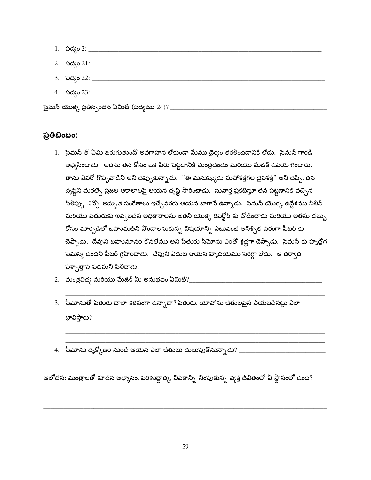| 2. పద్యం 21: ______________                     |  |
|-------------------------------------------------|--|
| 3. పద్యం 22: ___________________                |  |
| 4. పద్యం 23: __________                         |  |
| సైమన్ యొక్క ప్రతిస్పందన ఏమిటి (పద్యము 24)? $\_$ |  |

#### ప్రతిబింబం:

- 1. సైమన్ తో ఏమి జరుగుతుందో అవగాహన లేకుండా మేము దైర్యం తరలించడానికి లేదు. సైమన్ గారడీ అభ్యసించాడు. అతను తన కోసం ఒక పేరు పెట్టడానికి మంత్రదండం మరియు మేజిక్ ఉపయోగించారు. తాను ఎవరో గొప్పవాడిని అని చెప్పుకున్నాడు. "ఈ మనుష్యుడు మహాశక్తిగల దైవశక్తి" అని చెప్పి, తన దృష్టిని మరల్చే ప్రజల అకాలాలపై ఆయన దృష్టి సారించాడు. సువార్త ప్రకటిస్తూ తన పట్టణానికి వచ్చిన ఫిలిప్పు, ఎన్నో అద్భుత సంకేతాలు ఇచ్చేవరకు ఆయన బాగానే ఉన్నాడు. సైమన్ యొక్క ఉద్దేశము ఫిలిప్ మరియు పేతురుకు ఇవ్వబడిన అధికారాలను అతని యొక్క రిపెర్టోర్ కు జోడించాడు మరియు అతను డబ్బు కోసం మార్పిడిలో బహుమతిని వొందాలనుకున్న విషయాన్ని ఎటువంటి అనిశ్చిత పరంగా పీటర్ కు చెప్పాడు. దేవుని బహుమానం కొనలేము అని పేతురు సీమోను ఎంతో శ్రద్ధగా చెప్పాడు. సైమన్ కు హృద్రోగ సమస్య ఉందని పీటర్ గ్రహించాడు. దేవుని ఎదుట ఆయన హృదయము సరిగ్గా లేదు. ఆ తర్వాత పశ్చాత్తాప పడమని పిలిచాడు.
- 
- 3. సీమోనుతో పేతురు చాలా కఠినంగా ఉన్నాడా? పేతురు, యోహాను చేతులపైన వేయబడినట్లు ఎలా భావిస్తారు?
- 4. సీమోను దృక్కోణం నుండి ఆయన ఎలా చేతులు దులుపుకోనున్నాడు? \_\_\_\_\_\_\_\_\_\_\_\_\_\_\_\_\_\_\_\_\_

ఆలోచన: మంత్రాలతో కూడిన అభ్యాసం, పరిశుద్ధాత్మ, వివేకాన్ని నింపుకున్న వ్యక్తి జీవితంలో ఏ స్థానంలో ఉంది?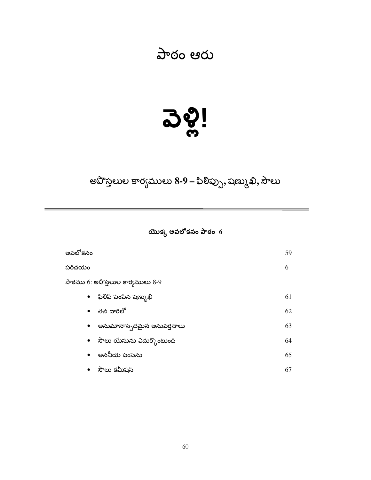#### పాఠం ఆరు

## <u> ၁ဗွီ!</u>

#### అవొస్తలుల కార్యములు 8-9 – ఫిలిప్పు, షణ్ముఖి, సౌలు

#### యొక్క అవలోకనం పాఠం $\,$  6

| అవలోకనం                                 | 59 |
|-----------------------------------------|----|
| పరిచయం                                  | 6  |
| పాఠము 6: అపొస్తలుల కార్యములు 8-9        |    |
| ● ಿ ಫಿಲಿವಿ ಏಂಪಿನ షಣ್ಮುಖಿ                | 61 |
| తన దారిలో<br>$\bullet$                  | 62 |
| అనుమానాస్పదమైన అనువర్తనాలు<br>$\bullet$ | 63 |
| $\bullet$ పాలు యేసును ఎదుర్కొంటుంది     | 64 |
| అననీయ పంపెను<br>$\bullet$               | 65 |
| • సౌలు కమీషన్                           | 67 |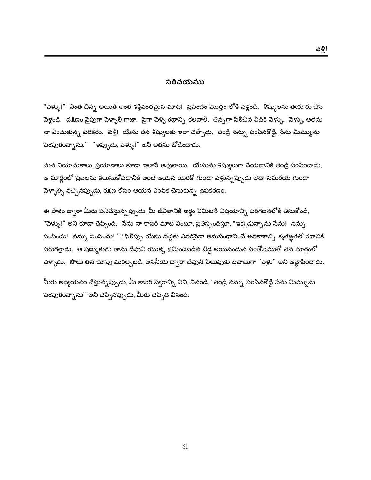#### పరిచయము

"పెళ్ళు!" ఎంత చిన్న అయితే అంత శక్తివంతమైన మాట! ప్రపంచం మొత్తం లోకి పెళ్లండి. శిష్యులను తయారు చేసి పెళ్లండి. దక్షిణం వైపుగా పెళ్ళాలీ గాజా. పైగా పెళ్ళి రథాన్ని కలవాలి. తిన్నగా పిలిచిన వీధికి పెళ్ళు. పెళ్ళు, అతను నా ఎంచుకున్న పరికరం. పెళ్లి! యేసు తన శిష్యులకు ఇలా చెప్పాడు, "తండ్రి నన్ను పంపినకొద్దీ, సేను మిమ్మును పంపుతున్నాను." "ఇప్పుడు, పెళ్ళు!" అని అతను జోడించాడు.

మన నియామకాలు, ప్రయాణాలు కూడా ఇలాసే అవుతాయి. యేసును శిష్యులుగా చేయడానికి తండ్రి పంపించాడు, ఆ మార్గంలో ప్రజలను కలుసుకోవడానికి అంటే ఆయన యెరికో గుండా పెళ్తున్న*ప్పు*డు లేదా సమరయ గుండా పెళ్ళాల్సి వచ్చినప్పుడు, రక్షణ కోసం ఆయన ఎంపిక చేసుకున్న ఉపకరణం.

ఈ పాఠం ద్వారా మీరు పనిచేస్తున్నప్పుడు, మీ జీవితానికి అర్థం ఏమిటనే విషయాన్ని పరిగణనలోకి తీసుకోండి, "పెళ్ళు!" అని కూడా చెప్పింది. నేను నా కాపరి మాట వింటూ, ప్రతిస్పందిస్తూ, "ఇక్కడున్నాను నేను! నన్ను పంపించు! నన్ను పంపించు! "? ఫిలిప్పు యేసు నొద్దకు ఎవరిసైనా అనుసంధానించే అవకాశాన్ని కృతజ్ఞతతో రథానికి పరుగెత్తాడు. ఆ షణ్ముకుడు తాను దేవుని యొక్క క్షమించబడిన బిడ్డ అయినందున సంతోషముతో తన మార్గంలో పెళ్ళాడు. సౌలు తన చూపు మరల్చబడి, అననీయ ద్వారా దేవుని పిలుపుకు జవాబుగా "పెళ్లు" అని ఆజ్ఞాపించాడు.

మీరు అధ్యయనం చేస్తున్నప్పుడు, మీ కాపరి స్వరాన్ని విని, వినండి, "తండ్రి నన్ను పంపినకొద్దీ సేను మిమ్మును పంపుతున్నాను" అని చెప్పినప్పుడు, మీరు చెప్పేది వినండి.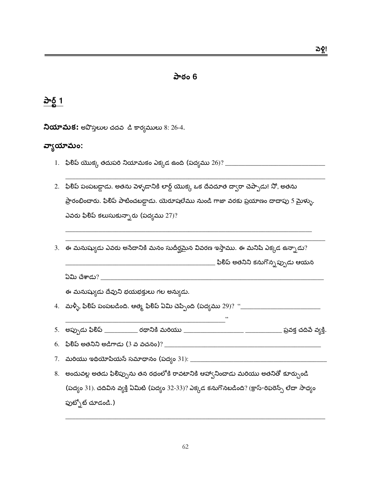#### పాఠం 6

#### పార్ట్ 1

నియామక: అపొస్తలుల చదవ డి కార్యములు 8: 26-4.

#### వ్వాయామం:

- 
- 2. ఫిలీప్ పంపబడ్డాడు. అతను పెళ్ళడానికి లార్డ్ యొక్క ఒక దేవదూత ద్వారా చెప్పాడు! నో, అతను ప్రారంభించారు. ఫిరిప్ పాటించబడ్డాడు. యెరూషలేము నుండి గాజా వరకు ప్రయాణం దాదాపు 5 మైళ్ళు. ఎవరు ఫిలిప్ కలుసుకున్నారు (పద్యము 27)?
- $3.$  ఈ మనుష్యుడు ఎవరు అసేదానికి మనం సుదీర్ఘమైన వివరణ ఇస్తాము. ఈ మనిషి ఎక్కడ ఉన్నాడు? \_\_\_\_\_\_\_\_\_\_\_\_\_\_\_\_\_\_\_\_\_\_\_ ఫిలీప్ అతనిని కనుగొన్నప్పుడు ఆయన

ఏమి చేశాడు?  $\sim$ 

ఈ మనుష్వుడు దేవుని భయభక్తులు గల అన్వుడు.

- 
- 
- 
- 
- 8. అందువల్ల అతడు ఫిలిప్పును తన రథంలోకి రావటానికి ఆహ్వానించాడు మరియు అతనితో కూర్చుండి (పద్యం 31). చదివిన వ్యక్తి ఏమిటి (పద్యం 32-33)? ఎక్కడ కనుగొనబడింది? (క్రాస్-రిఫరెన్స్ లేదా సాధ్యం ఫుట్సోట్ చూడండి.)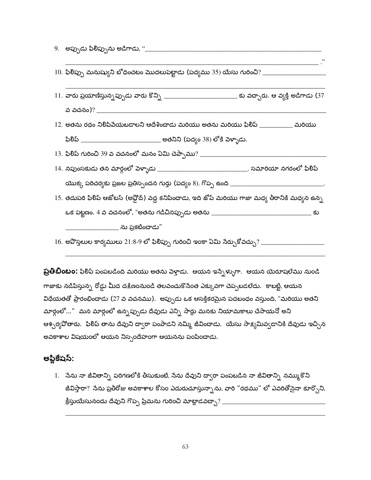$11.$  వారు ప్రయాణిస్తున్నప్పుడు వారు కొన్ని \_\_\_\_\_\_\_\_\_\_\_\_\_\_\_\_\_\_\_\_\_\_\_\_\_\_\_\_\_\_ కు వచ్చారు. ఆ వ్యక్తి అడిగాడు (37 వ వచనం)? 12. అతను రథం నిలిపివేయబడాలని ఆదేశించాడు మరియు అతను మరియు ఫిలిప్ \_\_\_\_\_\_\_\_\_\_ మరియు ఫిలిప్ \_\_\_\_\_\_\_\_\_\_\_\_\_\_\_\_\_\_\_\_\_\_\_\_\_\_\_\_\_\_\_ అతనిని (పద్యం 38) లోకి పెళ్ళాడు. 14. నపుంసకుడు తన మార్గంలో వెళ్ళాడు \_\_\_\_\_\_\_\_\_\_\_\_\_\_\_\_\_\_\_\_\_\_\_\_\_\_\_\_\_. సమారియా నగరంలో ఫిలిప్ 15. తదుపరి ఫిలిప్ ఆజోటస్ (అప్లోద్) వద్ద కనిపించాడు, ఇది జోప్ మరియు గాజా మధ్య తీరానికి మధ్యన ఉన్న \_\_\_\_\_\_\_\_\_\_\_\_\_\_\_\_ ను ప్రకటించాడు" 

**ప్రతిబింబం:** ఫిలిప్ పంపబడింది మరియు అతను వెళ్తాడు. ఆయన ఇస్నేళ్ళుగా. ఆయన యెరూషలేము నుండి గాజాకు నడిపిస్తున్న రోడ్డు మీద దక్షిణంనుండి తలవంచుకొనేంత ఎక్కువగా చెప్పబడలేదు. కాబట్టి, ఆయన విధేయతతో ప్రారంభించాడు (27 వ వచనము). అప్పుడు ఒక ఆసక్తికరమైన పదటంధం వస్తుంది, "మరియు అతని మార్గంలో..." మన మార్గంలో ఉన్నప్పుడు దేవుడు ఎన్ని సార్లు మనకు నియామకాలు చేసాయనో అని ఆశ్చర్యపోతారు. ఫిలిప్ తాను దేవుని ద్వారా పంపాడని నమ్మి జీవించాడు. యేసు సాక్షమివ్వడానికి దేవుడు ఇచ్చిన అవకాశాల విషయంలో ఆయన నిస్సందేహంగా ఆయనను పంపించాడు.

#### అప్లికేషస్:

1. నేను నా జీవితాన్ని పరిగణలోకి తీసుకుంటే, నేను దేవుని ద్వారా పంపబడిన నా జీవితాన్ని నమ్ముకొని జీవిస్తారా? నేను ప్రతీరోజు అవకాశాల కోసం ఎదురుచూస్తున్నాను, వారి "రథము" లో ఎవరితోనైనా కూర్చొని,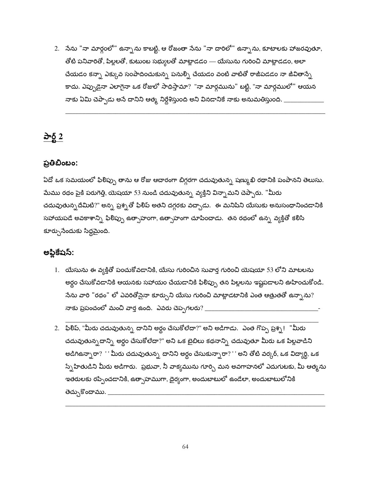2. నేను "నా మార్గంలో" ఉన్నాను కాబట్టి, ఆ రోజంతా నేను "నా దారిలో" ఉన్నాను, కూటాలకు హాజరవుతూ, తోటి పనివారితో, పిల్లలతో, కుటుంబ సభ్యులతో మాట్లాడడం — యేసును గురించి మాట్లాడడం, అలా చేయడం కన్నా ఎక్కువ సంపాదించుకున్న పనుల్ని చేయడం వంటి వాటితో రాజీపడడం నా జీవితాన్నే కాదు. ఎప్పుడైనా ఎలాగైనా ఒక రోజులో సాధిస్తామా? "నా మార్గమును" బట్టి, "నా మార్గములో" ఆయన నాకు ఏమి చెప్పాడు అసే దానిని ఆత్మ నిర్దేశిస్తుంది అని వినడానికే నాకు అనుమతిస్తుంది. \_\_

#### పార్ట్  $2$

#### ప్రతిబింబం:

ఏదో ఒక సమయంలో ఫిలిప్పు తాను ఆ రోజు ఆచారంగా బిగ్గరగా చదువుతున్న షణ్ముఖి రథానికి పంపానని తెలుసు. మేము రథం పైకి పరుగెత్తి, యెషయా 53 నుండి చదువుతున్న వ్యక్తిని విన్నామని చెప్పారు. "మీరు చదువుతున్నదేమిటి?" అన్న ప్రశ్నతో ఫిలిప్ అతని దగ్గరకు వచ్చాడు. ఈ మనిషిని యేసుకు అనుసంధానించడానికి సహాయపడే అవకాశాన్ని ఫిలిప్పు ఉత్సాహంగా, ఉత్సాహంగా చూపించాడు. తన రథంలో ఉన్న వ్యక్తితో కలిసి కూర్చుసేందుకు సిద్ధమైంది.

#### అప్డికేషస్:

- 1. యేసును ఈ వ్యక్తితో పంచుకోవడానికి, యేసు గురించిన సువార్త గురించి యెషయా 53 లోని మాటలను అర్ధం చేసుకోవడానికి ఆయనకు సహాయం చేయడానికి ఫిలిప్పు తన పిల్లలను ఇష్టపడాలని ఊహించుకోండి. సేను వారి "రథం" లో ఎవరితోసైనా కూర్చుని యేసు గురించి మాట్లాడటానికి ఎంత ఆత్రుతతో ఉన్నాను? నాకు ప్రపంచంలో మంచి వార్త ఉంది. ఎవరు చెప్పగలరు?  $\_$
- 2. ఫిలిప్, "మీరు చదువుతున్న దానిని అర్థం చేసుకోలేదా?" అని అడిగాడు. ఎంత గొప్ప ప్రశ్న! "మీరు చదువుతున్నదాన్ని అర్థం చేసుకోలేదా?" అని ఒక బైబిలు కథనాన్ని చదువుతూ మీరు ఒక పిల్లవాడిని అడిగిఉన్నారా? '' మీరు చదువుతున్న దానిని అర్థం చేసుకున్నారా?'' అని తోటి వర్కర్, ఒక విద్యార్ది, ఒక స్నేహితుడిని మీరు అడిగారు. ప్రభువా, నీ వాక్యమును గూర్చి మన అవగాహనలో ఎదుగుటకు, మీ ఆత్మను ఇతరులకు రప్పించడానికి, ఉత్సాహముగా, దైర్యంగా, అందుబాటులో ఉండేలా, అందుబాటులోనికి తెచ్చుకొందాము. \_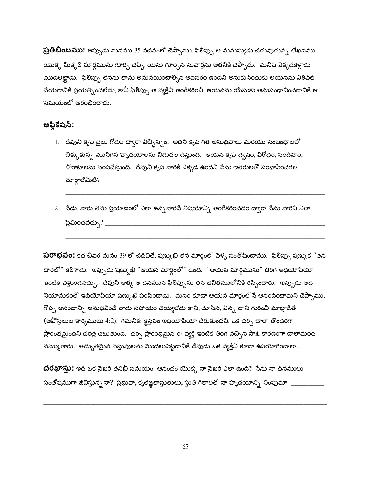**ప్రతిబింబము:** అప్పుడు మనము 35 వచనంలో చెప్పాము, ఫిలిప్పు ఆ మనుష్యుడు చదువుచున్న లేఖనము యొక్క మిక్కిలి మార్గమును గూర్చి చెప్పి, యేసు గూర్చిన సువార్తను అతనికి చెప్పాడు. మనిషి ఎక్కడికెళ్లాడు మొదలెట్టాడు. ఫిలిప్పు తనను తాను అనునయించాల్సిన అవసరం ఉందని అనుకునేందుకు ఆయనను ఎలిపేట్ చేయడానికి ప్రయత్నించలేదు, కానీ ఫిలిప్పు ఆ వ్యక్తిని అంగీకరించి, ఆయనను యేసుకు అనుసంధానించడానికి ఆ సమయంలో ఆరంబించాడు.

#### అప్లికేషస్:

- 1. దేవుని కృప జైలు గోడల ద్వారా విచ్చిన్నం. అతని కృప గత అనుభవాలు మరియు సంబంధాలలో చిక్కుకున్న మునిగిన హృదయాలను విడుదల చేస్తుంది. ఆయన కృప ద్వేషం, విరోధం, సందేహం, వోరాటాలను పెంపచేస్తుంది. దేవుని కృప వారికి ఎక్కడ ఉందని సేను ఇతరులతో సంభాషించగల మార్గాలేమిటి?
- 2. నేడు, వారు తమ ప్రయాణంలో ఎలా ఉన్నవారసే విషయాన్ని అంగీకరించడం ద్వారా సేను వారిని ఎలా ప్రేమించవచ్చు $?$  \_\_\_\_\_\_\_

**పరాభవం:** కథ చివర మనం 39 లో చదివితే, షణ్ముఖి తన మార్గంలో పెళ్ళి సంతోషించాము. ఫిలిప్పు షణ్ముక "తన దారిలో" కలిశాడు. ఇప్పుడు షణ్ముఖి "ఆయన మార్గంలో" ఉంది. "ఆయన మార్గమును" తిరిగి ఇథియోపియా ఇంటికి పెళ్తుండవచ్చు. దేవుని ఆత్మ ఆ దినమున ఫిలిప్పును తన జీవితములోనికి రప్పించారు. ఇప్పుడు అదే నియామకంతో ఇథియోపియా షణ్ముఖి పంపించాడు. మనం కూడా ఆయన మార్గంలోనే ఆనందించామని చెప్పాము. గొప్ప ఆనందాన్ని అనుభవించే వాడు సహాయం చెయ్యలేడు కాని, చూసిన, విన్న దాని గురించి మాట్లాడితే (అపోస్తలుల కార్యములు 4:2). గమనిక: కైస్తవం ఇథియోపియా చేరుకుందని, ఒక చర్చి చాలా తొందరగా ప్రారంభమైందని చరిత్ర చెబుతుంది. చర్చి ప్రారంభమైన ఈ వ్యక్తి ఇంటికి తిరిగి వచ్చిన సాక్షి కారణంగా చాలామంది నమ్ముతారు. అద్భుతమైన వస్తువులను మొదలుపెట్టడానికి దేవుడు ఒక వ్యక్తిని కూడా ఉపయోగించాలా.

దరఖాస్తు: ఇది ఒక పైఖరి తనిఖీ సమయం: ఆనందం యొక్క నా పైఖరి ఎలా ఉంది? నేను నా దినములు సంతోషముగా జీవిస్తున్ననా? ప్రభువా, కృతజ్ఞతాస్తుతులు, స్తుతి గీతాలతో నా హృదయాన్ని నింపుమా! \_\_\_\_\_\_\_\_\_\_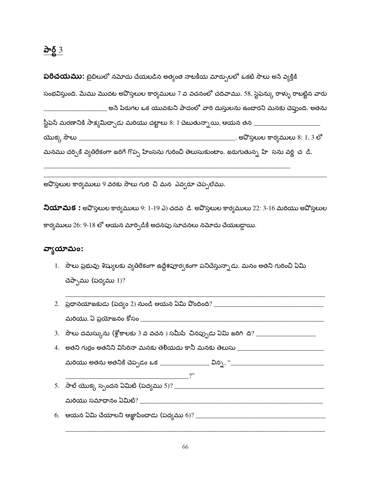పరిచయము: బైబిలులో నమోదు చేయబడిన అత్యంత నాటకీయ మార్పులలో ఒకటి సౌలు అనే వ్యక్తికి సంభవిస్తుంది. మేము మొదట అవొస్తలుల కార్యములు 7 వ వచనంలో చదివాము. 58, స్టెఫెన్కు రాళ్ళు రాబట్టిన వారు \_\_ అసే పేరుగల ఒక యువకుని పాదంలో వారి దుస్తులను ఉం<mark>చారని మనకు చెప్</mark>తుంది. అతను

ಯುಕ್ಕು ಸೌಲು  $\_$ మనము చర్చికి వ్యతిరేకంగా జరిగే గొప్ప హింసను గురించి తెలుసుకుంటాం. జరుగుతున్న హి సను వర్ణి చ*ి*..

అవొస్తలుల కార్యములు 9 వరకు సౌలు గురి చి మన ఎవ్వరూ చెప్పలేము.

నియామక : అపొస్తలుల కార్యములు 9: 1-19 ఎ) చదవ డి. అవొస్తలుల కార్యములు 22: 3-16 మరియు అపోస్తలుల కార్యములు 26: 9-18 లో ఆయన మార్పిడికి అదనపు సూచనలు నమోదు చేయబడ్డాయి.

#### వ్యాయామం:

1. సౌలు ప్రభువు శిష్యులకు వ్యతిరేకంగా ఉద్దేశపూర్వకంగా పనిచేస్తున్నాడు. మనం అతని గురించి ఏమి చెప్పాము (పద్యము  $1$ )?

| $2.$ ప్రధానయాజకుడు (పద్యం 2) నుండి ఆయన ఏమి పొందింది? ____                       |
|---------------------------------------------------------------------------------|
| మరియు, ఏ ప్రయోజనం కోసం ________                                                 |
| 3.   సౌలు దమస్కును (శ్లోకాలకు 3 వ వచన ) సమీపి  చినప్పుడు ఏమి జరిగి  ది? _______ |
| 4. అతని గుర్రం అతనిని విసిరినా మనకు తెలియదు కానీ మనకు తెలుసు                    |
| మరియు అతను అతనికి చెప్పడం ఒక _________________ విన్న, ''____________            |
|                                                                                 |
| $5.$ సాల్ యొక్క స్పందన ఏమిటి (పద్యము $5$ )? _______                             |
| మరియు సమాధానం ఏమిటి? __________                                                 |
| $6.$ ఆయన ఏమి చేయాలని ఆజ్ఞాపించాడు (పద్యము $6$ )? ____                           |
|                                                                                 |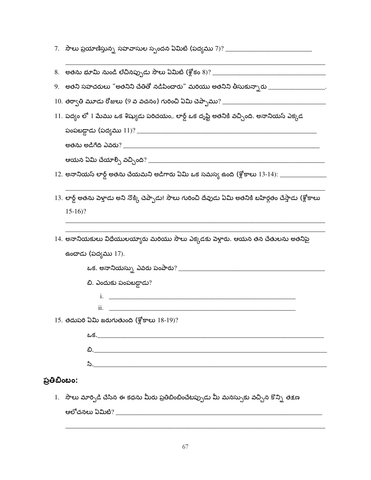| 7.   సౌలు ప్రయాణిస్తున్న సహవాసుల స్పందన ఏమిటి (పద్యము 7)? ____________________________                         |
|----------------------------------------------------------------------------------------------------------------|
|                                                                                                                |
| 9.   అతని సహచరులు "అతనిని చేతితో నడిపించారు" మరియు అతనిని తీసుకున్నారు _____________________                   |
|                                                                                                                |
| $11.$ పద్యం లో $1$ మేము ఒక శిష్యుడు పరిచయం,. లార్డ్ ఒక దృష్టి అతనికి వచ్చింది. అనానియస్ ఎక్కడ                  |
|                                                                                                                |
|                                                                                                                |
|                                                                                                                |
| 12. అనానియస్ లార్డ్ అతను చేయమని అడిగారు ఏమి ఒక సమస్య ఉంది (శ్లోకాలు 13-14): __________________________________ |
| 13. లార్డ్ అతను పెళ్తాడు అని నొక్కి చెప్పాడు! సౌలు గురించి దేవుడు ఏమి అతనికి బహిర్గతం చేస్తాడు (శ్లోకాలు       |
| $15-16$ ?                                                                                                      |
| 14. అనానియకులు విధేయులయ్యారు మరియు సౌలు ఎక్కడకు పెళ్లారు. ఆయన తన చేతులను అతనిపై                                |
| ఉంచాడు (పద్యము 17).                                                                                            |
|                                                                                                                |
| బి. ఎందుకు పంపబడ్డాడు?                                                                                         |
| <u>i. __________________________________</u>                                                                   |
| ii.                                                                                                            |
| 15. తదుపరి ఏమి జరుగుతుంది (శ్లోకాలు $18-19$ )?                                                                 |
| <u> ಒక.___________________________</u>                                                                         |
|                                                                                                                |
| సి. <u>______________________</u>                                                                              |
| ప్రతిబింబం:                                                                                                    |

1. సౌలు మార్పిడి చేసిన ఈ కధను మీరు ప్రతిబింబించేటప్పుడు మీ మనస్సుకు వచ్చిన కొన్ని తక్షణ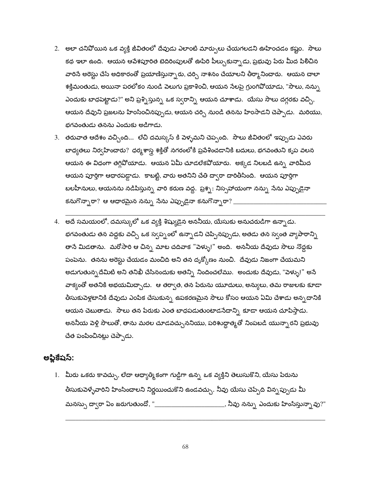- 2. అలా చనిపోయిన ఒక వ్యక్తి జీవితంలో దేవుడు ఎలాంటి మార్పులు చేయగలడని ఊహించడం కష్టం. సౌలు కథ ఇలా ఉంది. ఆయన ఆపేశపూరిత బెదిరింపులతో ఊపిరి పీల్చుకున్నాడు, ప్రభువు పేరు మీద పిలిచిన వారిసే అరెస్టు చేసే అధికారంతో ప్రయాణిస్తున్నారు, చర్చి నాశనం చేయాలని తీర్మానించారు. ఆయన చాలా శక్తిమంతుడు, అయినా పరలోకం నుండి పెలుగు ప్రకాశించి, ఆయన సేలపై గ్రుంగివోయాడు, "సౌలు, నన్ను ఎందుకు బాధపెట్టాడు?" అని ప్రశ్నిస్తున్న ఒక స్వరాన్ని ఆయన చూశాడు. యేసు సౌలు దగ్గరకు వచ్చి, ఆయన దేవుని ప్రజలను హింసించినప్పుడు, ఆయన చర్చి నుండి తనను హింసాడని చెప్పాడు. మరియు, భగవంతుడు తనను ఎందుకు అడిగాడు.
- 3. తరువాత ఆదేశం వచ్చింది… లేచి దమస్కస్ కి వెళ్ళమని చెప్పంది. సౌలు జీవితంలో ఇప్పుడు ఎవరు బాధ్యతలు నిర్వహించారు? ధర్మశాస్త్ర శక్తితో నగరంలోకి ప్రవేశించడానికి బదులు, భగవంతుని కృప వలన ఆయన ఈ విధంగా తగ్గివోయాడు. ఆయన ఏమీ చూడలేకవోయారు. అక్కడ నిలబడి ఉన్న వారిమీద ఆయన పూర్తిగా ఆధారపడ్డాడు. కాబట్టి, వారు అతనిని చేతి ద్వారా దారితీసింది. ఆయన పూర్తిగా బలహీనులు, ఆయనను నడిపిస్తున్న వారి కరుణ వద్ద. ప్రశ్న: నిస్సహాయంగా నన్ను నేను ఎప్పుడైనా కనుగొన్నారా $?$  ఆ ఆధారమైన నన్ను నేను ఎప్పుడైనా కనుగొన్నారా $?$   $\_$
- 4. అదే సమయంలో, దమస్కులో ఒక వ్యక్తి శిష్యుడైన అననీయ, యేసుకు అనుచరుడిగా ఉన్నాడు. భగవంతుడు తన వద్దకు వచ్చి ఒక స్వప్నంలో ఉన్నాడని చెప్పినప్పుడు, అతడు తన స్వంత వ్యాపారాన్ని తానే మిడతాను. మరోసారి ఆ చిన్న మాట చదివాక "పెళ్ళు!" అంది. అననీయ దేవుడు సౌలు నొద్దకు పంపెను. తనను అరెస్టు చేయడం మంచిది అని తన దృక్కోణం నుంచి. దేవుడు నిజంగా చేయమని అడుగుతున్నదేమిటి అని తనిఖీ చేసినందుకు అతన్ని నిందించలేము. అందుకు దేవుడు, "పెళ్ళు!" అనే వాక్యంతో అతనికి అభయమిద్చాడు. ఆ తర్వాత, తన పేరును యూదులు, అన్యులు, తమ రాజులకు కూడా తీసుకుపెళ్లటానికి దేవుడు ఎంపిక చేసుకున్న<sub>,</sub> ఉపకరణమైన సౌలు కోసం ఆయన ఏమి చేశాడు అన్న*దాని*కి ఆయన చెబుతాడు. సౌలు తన పేరుకు ఎంత బాధపడుతుంటాడనేదాన్ని కూడా ఆయన చూపిస్తాడు. అననీయ పెళ్లి సౌలుతో, తాను మరల చూడవచ్చుననియు, పరిశుద్ధాత్మతో నింపబడి యున్నారని ప్రభువు చేత పంపించినట్లు చెప్పాడు.

#### అప్లికేషస్:

1. మీరు ఒకరు కావచ్చు, లేదా ఆధ్యాత్మికంగా గుడ్డిగా ఉన్న ఒక వ్యక్తిని తెలుసుకొని, యేసు పేరును తీసుకుపెళ్ళేవారిని హింసించాలని నిర్ణయించుకొని ఉండవచ్చు. నీవు యేసు చెప్పేది విన్న*ప్పుడు* మీ మనస్సు ద్వారా ఏం జరుగుతుందో, "\_\_\_\_\_\_\_\_\_\_\_\_\_\_\_\_\_\_\_\_\_\_\_\_, నీవు నన్ను ఎందుకు హింసిస్తున్నావు?"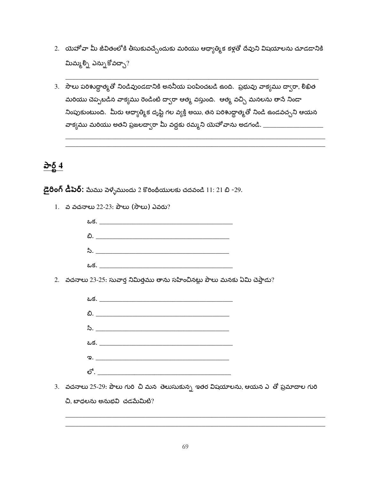- 2. యెహోవా మీ జీవితంలోకి తీసుకువచ్చేందుకు మరియు ఆధ్యాత్మిక కళ్లతో దేవుని విషయాలను చూడడానికి మిమ్మల్ని ఎన్ను కోవచ్చా?
- 3. సౌలు పరిశుద్ధాత్మతో నిండివుండడానికి అననీయ పంపించబడి ఉంది. ప్రభువు వాక్యము దా్ారా, లిఖిత మరియు చెప్పబడిన వాక్యము రెండింటి ద్వారా ఆత్మ వస్తుంది. ఆత్మ వచ్చి మనలను తానే నిండా నింపుకుంటుంది. మీరు ఆధ్యాత్మిక దృష్టి గల వ్యక్తి అయి, తన పరిశుద్ధాత్మతో నిండి ఉండవచ్చని ఆయన వాక్యము మరియు అతని ప్రజలద్వారా మీ వద్దకు రమ్మని యెహోవాను అడగండి. \_\_\_\_\_\_\_\_\_\_\_\_\_\_\_\_\_\_\_\_\_\_\_\_\_\_\_\_\_\_\_\_\_\_\_

#### <u>పార్ట్ 4</u>

 $\vec{c}$ రింగ్ డీపెర్: మేము పెళ్ళేముందు 2 కొరింథీయులకు చదవండి 11: 21 బి -29.

1. వ వచనాలు 22-23: పౌలు (సౌలు) ఎవరు?



2. వచనాలు 23-25: సువార్త నిమిత్తము తాను సహించినట్లు పౌలు మనకు ఏమి చెప్తాడు?



3. వచనాలు 25-29: పౌలు గురి చి మన తెలుసుకున్న ఇతర విషయాలను, ఆయన ఎ తో ప్రమాదాల గురి

చి, బాధలను అనుభవి చడమేమిటి?